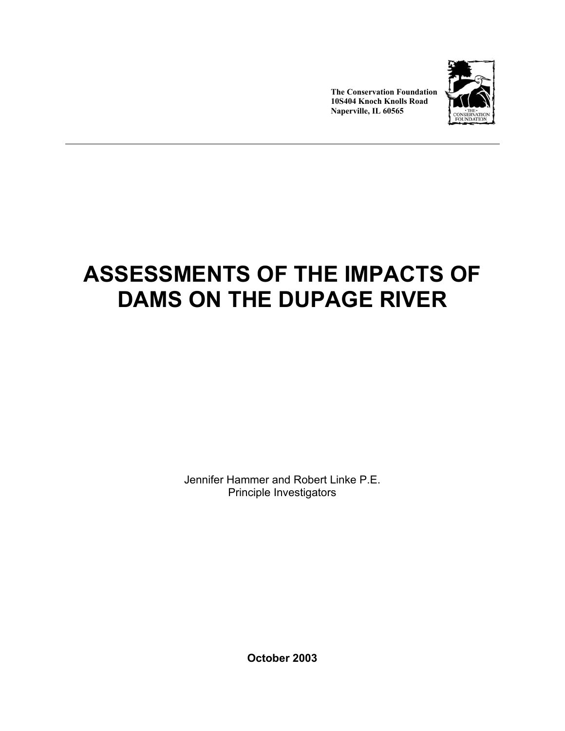

**The Conservation Foundation 10S404 Knoch Knolls Road Naperville, IL 60565** 

# **ASSESSMENTS OF THE IMPACTS OF DAMS ON THE DUPAGE RIVER**

Jennifer Hammer and Robert Linke P.E. Principle Investigators

**October 2003**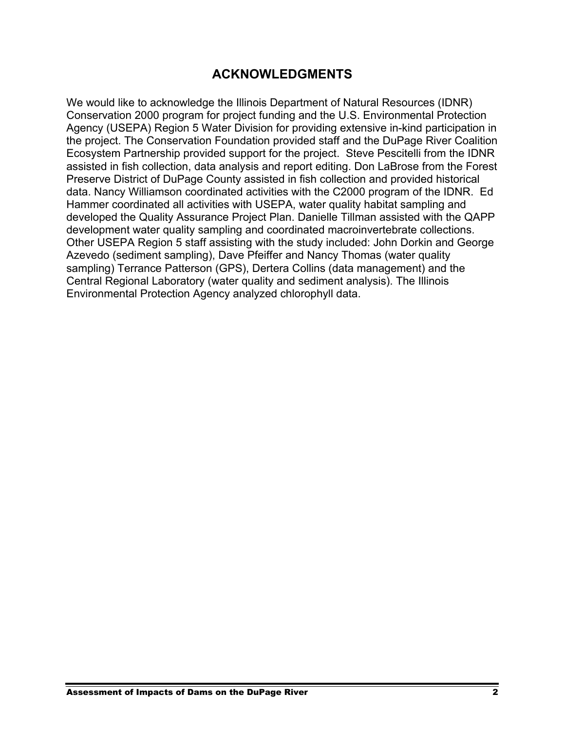### **ACKNOWLEDGMENTS**

We would like to acknowledge the Illinois Department of Natural Resources (IDNR) Conservation 2000 program for project funding and the U.S. Environmental Protection Agency (USEPA) Region 5 Water Division for providing extensive in-kind participation in the project. The Conservation Foundation provided staff and the DuPage River Coalition Ecosystem Partnership provided support for the project. Steve Pescitelli from the IDNR assisted in fish collection, data analysis and report editing. Don LaBrose from the Forest Preserve District of DuPage County assisted in fish collection and provided historical data. Nancy Williamson coordinated activities with the C2000 program of the IDNR. Ed Hammer coordinated all activities with USEPA, water quality habitat sampling and developed the Quality Assurance Project Plan. Danielle Tillman assisted with the QAPP development water quality sampling and coordinated macroinvertebrate collections. Other USEPA Region 5 staff assisting with the study included: John Dorkin and George Azevedo (sediment sampling), Dave Pfeiffer and Nancy Thomas (water quality sampling) Terrance Patterson (GPS), Dertera Collins (data management) and the Central Regional Laboratory (water quality and sediment analysis). The Illinois Environmental Protection Agency analyzed chlorophyll data.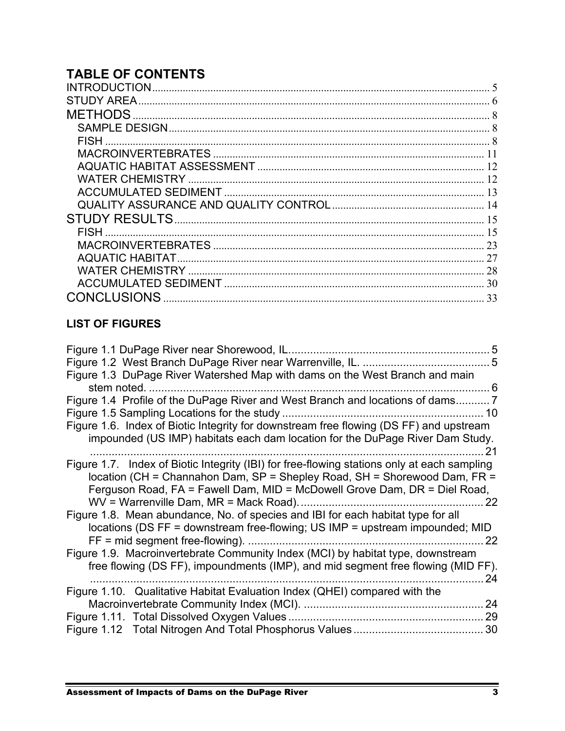# **TABLE OF CONTENTS**

| <b>METHODS</b> |    |
|----------------|----|
|                |    |
|                |    |
|                |    |
|                |    |
|                |    |
|                |    |
|                |    |
|                |    |
|                |    |
|                | 23 |
|                | 27 |
|                |    |
|                |    |
|                | 33 |
|                |    |

### **LIST OF FIGURES**

|                                                                                                                                                                                                                                                       | 5  |
|-------------------------------------------------------------------------------------------------------------------------------------------------------------------------------------------------------------------------------------------------------|----|
|                                                                                                                                                                                                                                                       |    |
| Figure 1.3 DuPage River Watershed Map with dams on the West Branch and main                                                                                                                                                                           |    |
| stem noted.<br>. 6                                                                                                                                                                                                                                    |    |
| Figure 1.4 Profile of the DuPage River and West Branch and locations of dams7                                                                                                                                                                         |    |
|                                                                                                                                                                                                                                                       | 10 |
| Figure 1.6. Index of Biotic Integrity for downstream free flowing (DS FF) and upstream<br>impounded (US IMP) habitats each dam location for the DuPage River Dam Study.                                                                               | 21 |
| Figure 1.7. Index of Biotic Integrity (IBI) for free-flowing stations only at each sampling<br>location (CH = Channahon Dam, SP = Shepley Road, SH = Shorewood Dam, FR =<br>Ferguson Road, FA = Fawell Dam, MID = McDowell Grove Dam, DR = Diel Road, | 22 |
| Figure 1.8. Mean abundance, No. of species and IBI for each habitat type for all<br>locations (DS FF = downstream free-flowing; US IMP = upstream impounded; MID<br>$FF = mid segment free-flowing)$ .                                                | 22 |
| Figure 1.9. Macroinvertebrate Community Index (MCI) by habitat type, downstream                                                                                                                                                                       |    |
| free flowing (DS FF), impoundments (IMP), and mid segment free flowing (MID FF).                                                                                                                                                                      | 24 |
| Figure 1.10. Qualitative Habitat Evaluation Index (QHEI) compared with the                                                                                                                                                                            |    |
|                                                                                                                                                                                                                                                       | 24 |
|                                                                                                                                                                                                                                                       |    |
|                                                                                                                                                                                                                                                       |    |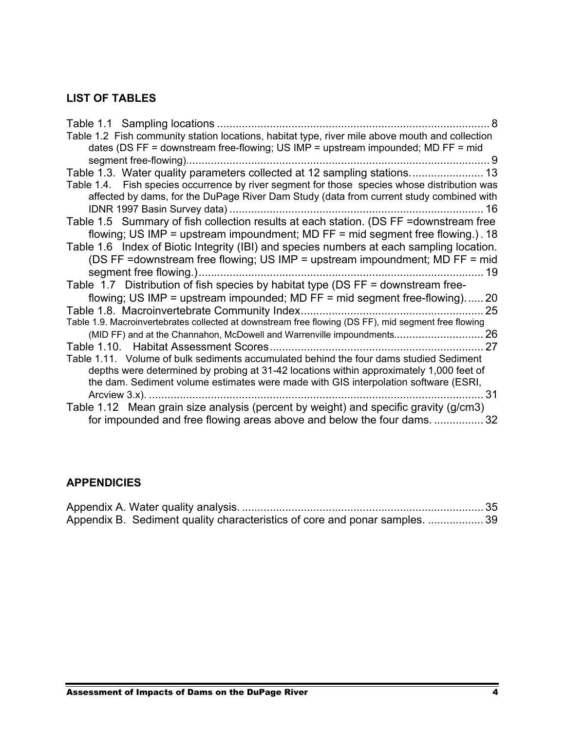### **LIST OF TABLES**

| Table 1.1 Sampling locations                                                                         |  |
|------------------------------------------------------------------------------------------------------|--|
| Table 1.2 Fish community station locations, habitat type, river mile above mouth and collection      |  |
| dates (DS FF = downstream free-flowing; US IMP = upstream impounded; MD FF = mid                     |  |
| 9                                                                                                    |  |
| Table 1.3. Water quality parameters collected at 12 sampling stations 13                             |  |
| Fish species occurrence by river segment for those species whose distribution was<br>Table 1.4.      |  |
| affected by dams, for the DuPage River Dam Study (data from current study combined with              |  |
| 16                                                                                                   |  |
| Table 1.5 Summary of fish collection results at each station. (DS FF = downstream free               |  |
| flowing; US IMP = upstream impoundment; MD FF = mid segment free flowing.). 18                       |  |
| Table 1.6 Index of Biotic Integrity (IBI) and species numbers at each sampling location.             |  |
| (DS FF =downstream free flowing; US IMP = upstream impoundment; MD FF = mid                          |  |
| segment free flowing.)<br>19                                                                         |  |
| Table 1.7 Distribution of fish species by habitat type (DS FF = downstream free-                     |  |
| flowing; US IMP = upstream impounded; MD FF = mid segment free-flowing) 20                           |  |
| Table 1.8. Macroinvertebrate Community Index<br>25                                                   |  |
| Table 1.9. Macroinvertebrates collected at downstream free flowing (DS FF), mid segment free flowing |  |
| (MID FF) and at the Channahon, McDowell and Warrenville impoundments 26                              |  |
| 27                                                                                                   |  |
| Table 1.11. Volume of bulk sediments accumulated behind the four dams studied Sediment               |  |
| depths were determined by probing at 31-42 locations within approximately 1,000 feet of              |  |
| the dam. Sediment volume estimates were made with GIS interpolation software (ESRI,                  |  |
| 31                                                                                                   |  |
| Table 1.12 Mean grain size analysis (percent by weight) and specific gravity (g/cm3)                 |  |
| for impounded and free flowing areas above and below the four dams<br>32                             |  |

#### **APPENDICIES**

| Appendix B. Sediment quality characteristics of core and ponar samples.  39 |  |
|-----------------------------------------------------------------------------|--|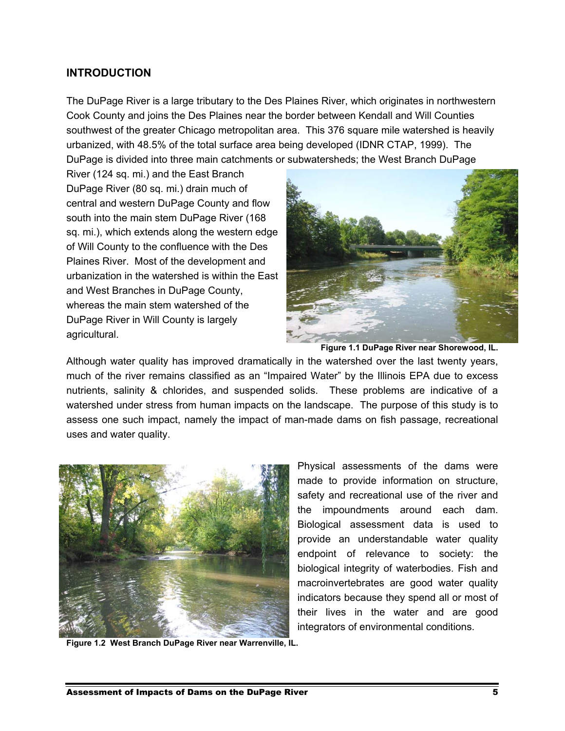#### **INTRODUCTION**

The DuPage River is a large tributary to the Des Plaines River, which originates in northwestern Cook County and joins the Des Plaines near the border between Kendall and Will Counties southwest of the greater Chicago metropolitan area. This 376 square mile watershed is heavily urbanized, with 48.5% of the total surface area being developed (IDNR CTAP, 1999). The DuPage is divided into three main catchments or subwatersheds; the West Branch DuPage

River (124 sq. mi.) and the East Branch DuPage River (80 sq. mi.) drain much of central and western DuPage County and flow south into the main stem DuPage River (168 sq. mi.), which extends along the western edge of Will County to the confluence with the Des Plaines River. Most of the development and urbanization in the watershed is within the East and West Branches in DuPage County, whereas the main stem watershed of the DuPage River in Will County is largely agricultural.



**Figure 1.1 DuPage River near Shorewood, IL.** 

Although water quality has improved dramatically in the watershed over the last twenty years, much of the river remains classified as an "Impaired Water" by the Illinois EPA due to excess nutrients, salinity & chlorides, and suspended solids. These problems are indicative of a watershed under stress from human impacts on the landscape. The purpose of this study is to assess one such impact, namely the impact of man-made dams on fish passage, recreational uses and water quality.



**Figure 1.2 West Branch DuPage River near Warrenville, IL.** 

Physical assessments of the dams were made to provide information on structure, safety and recreational use of the river and the impoundments around each dam. Biological assessment data is used to provide an understandable water quality endpoint of relevance to society: the biological integrity of waterbodies. Fish and macroinvertebrates are good water quality indicators because they spend all or most of their lives in the water and are good integrators of environmental conditions.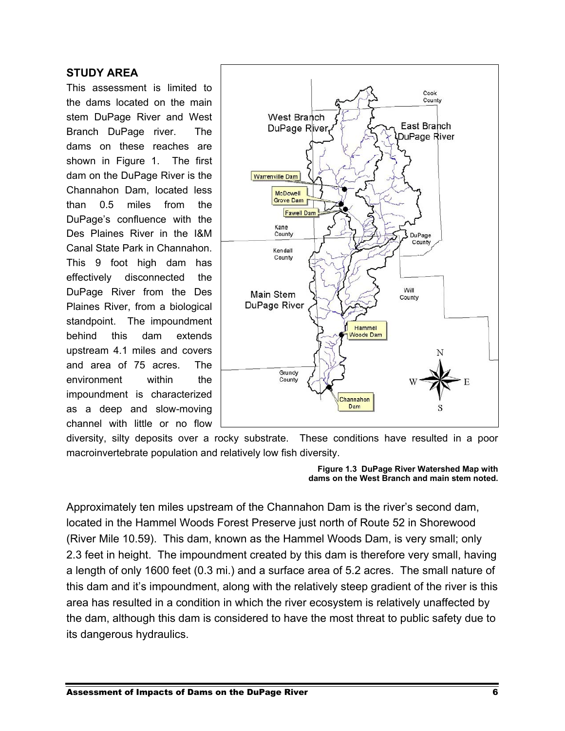#### **STUDY AREA**

This assessment is limited to the dams located on the main stem DuPage River and West Branch DuPage river. The dams on these reaches are shown in Figure 1. The first dam on the DuPage River is the Channahon Dam, located less than 0.5 miles from the DuPage's confluence with the Des Plaines River in the I&M Canal State Park in Channahon. This 9 foot high dam has effectively disconnected the DuPage River from the Des Plaines River, from a biological standpoint. The impoundment behind this dam extends upstream 4.1 miles and covers and area of 75 acres. The environment within the impoundment is characterized as a deep and slow-moving channel with little or no flow



diversity, silty deposits over a rocky substrate. These conditions have resulted in a poor macroinvertebrate population and relatively low fish diversity.

> **Figure 1.3 DuPage River Watershed Map with dams on the West Branch and main stem noted.**

Approximately ten miles upstream of the Channahon Dam is the river's second dam, located in the Hammel Woods Forest Preserve just north of Route 52 in Shorewood (River Mile 10.59). This dam, known as the Hammel Woods Dam, is very small; only 2.3 feet in height. The impoundment created by this dam is therefore very small, having a length of only 1600 feet (0.3 mi.) and a surface area of 5.2 acres. The small nature of this dam and it's impoundment, along with the relatively steep gradient of the river is this area has resulted in a condition in which the river ecosystem is relatively unaffected by the dam, although this dam is considered to have the most threat to public safety due to its dangerous hydraulics.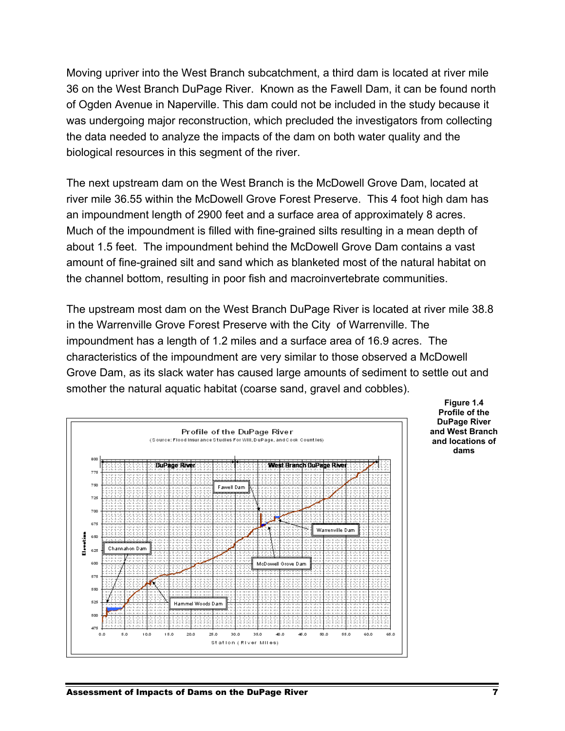Moving upriver into the West Branch subcatchment, a third dam is located at river mile 36 on the West Branch DuPage River. Known as the Fawell Dam, it can be found north of Ogden Avenue in Naperville. This dam could not be included in the study because it was undergoing major reconstruction, which precluded the investigators from collecting the data needed to analyze the impacts of the dam on both water quality and the biological resources in this segment of the river.

The next upstream dam on the West Branch is the McDowell Grove Dam, located at river mile 36.55 within the McDowell Grove Forest Preserve. This 4 foot high dam has an impoundment length of 2900 feet and a surface area of approximately 8 acres. Much of the impoundment is filled with fine-grained silts resulting in a mean depth of about 1.5 feet. The impoundment behind the McDowell Grove Dam contains a vast amount of fine-grained silt and sand which as blanketed most of the natural habitat on the channel bottom, resulting in poor fish and macroinvertebrate communities.

The upstream most dam on the West Branch DuPage River is located at river mile 38.8 in the Warrenville Grove Forest Preserve with the City of Warrenville. The impoundment has a length of 1.2 miles and a surface area of 16.9 acres. The characteristics of the impoundment are very similar to those observed a McDowell Grove Dam, as its slack water has caused large amounts of sediment to settle out and smother the natural aquatic habitat (coarse sand, gravel and cobbles).



**Figure 1.4 Profile of the DuPage River and West Branch and locations of dams**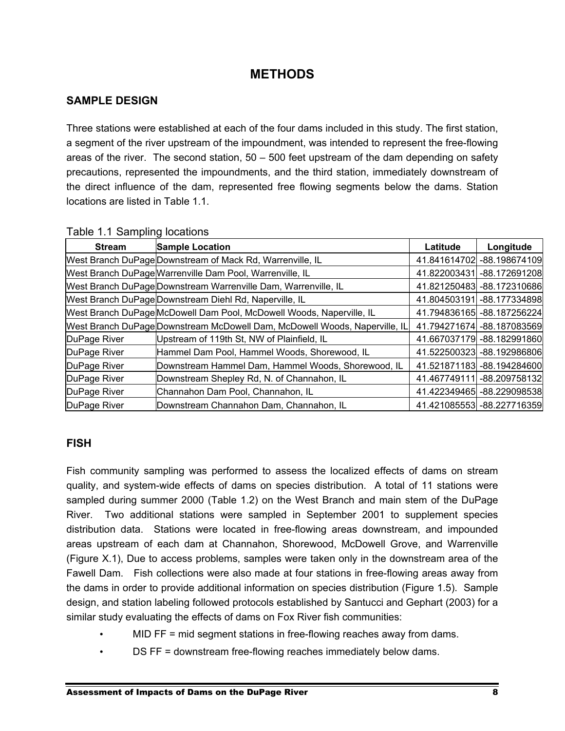## **METHODS**

#### **SAMPLE DESIGN**

Three stations were established at each of the four dams included in this study. The first station, a segment of the river upstream of the impoundment, was intended to represent the free-flowing areas of the river. The second station,  $50 - 500$  feet upstream of the dam depending on safety precautions, represented the impoundments, and the third station, immediately downstream of the direct influence of the dam, represented free flowing segments below the dams. Station locations are listed in Table 1.1.

| $1.4010$ $1.1000111$ $1.100011$ |                                                                            |              |                             |
|---------------------------------|----------------------------------------------------------------------------|--------------|-----------------------------|
| <b>Stream</b>                   | <b>Sample Location</b>                                                     | Latitude     | Longitude                   |
|                                 | West Branch DuPage Downstream of Mack Rd, Warrenville, IL                  |              | 41.841614702 - 88.198674109 |
|                                 | West Branch DuPage Warrenville Dam Pool, Warrenville, IL                   | 41.822003431 | -88.172691208               |
|                                 | West Branch DuPage Downstream Warrenville Dam, Warrenville, IL             |              | 41.821250483 - 88.172310686 |
|                                 | West Branch DuPage Downstream Diehl Rd, Naperville, IL                     |              | 41.804503191 - 88.177334898 |
|                                 | West Branch DuPage McDowell Dam Pool, McDowell Woods, Naperville, IL       |              | 41.794836165 - 88.187256224 |
|                                 | West Branch DuPage Downstream McDowell Dam, McDowell Woods, Naperville, IL |              | 41.794271674 -88.187083569  |
| DuPage River                    | Upstream of 119th St, NW of Plainfield, IL                                 |              | 41.667037179 -88.182991860  |
| DuPage River                    | Hammel Dam Pool, Hammel Woods, Shorewood, IL                               |              | 41.522500323 -88.192986806  |
| DuPage River                    | Downstream Hammel Dam, Hammel Woods, Shorewood, IL                         |              | 41.521871183 - 88.194284600 |
| DuPage River                    | Downstream Shepley Rd, N. of Channahon, IL                                 |              | 41.467749111 - 88.209758132 |
| DuPage River                    | Channahon Dam Pool, Channahon, IL                                          |              | 41.422349465 - 88.229098538 |
| DuPage River                    | Downstream Channahon Dam, Channahon, IL                                    |              | 41.421085553 - 88.227716359 |

Table 1.1 Sampling locations

#### **FISH**

Fish community sampling was performed to assess the localized effects of dams on stream quality, and system-wide effects of dams on species distribution. A total of 11 stations were sampled during summer 2000 (Table 1.2) on the West Branch and main stem of the DuPage River. Two additional stations were sampled in September 2001 to supplement species distribution data. Stations were located in free-flowing areas downstream, and impounded areas upstream of each dam at Channahon, Shorewood, McDowell Grove, and Warrenville (Figure X.1), Due to access problems, samples were taken only in the downstream area of the Fawell Dam. Fish collections were also made at four stations in free-flowing areas away from the dams in order to provide additional information on species distribution (Figure 1.5). Sample design, and station labeling followed protocols established by Santucci and Gephart (2003) for a similar study evaluating the effects of dams on Fox River fish communities:

- MID FF = mid segment stations in free-flowing reaches away from dams.
- DS FF = downstream free-flowing reaches immediately below dams.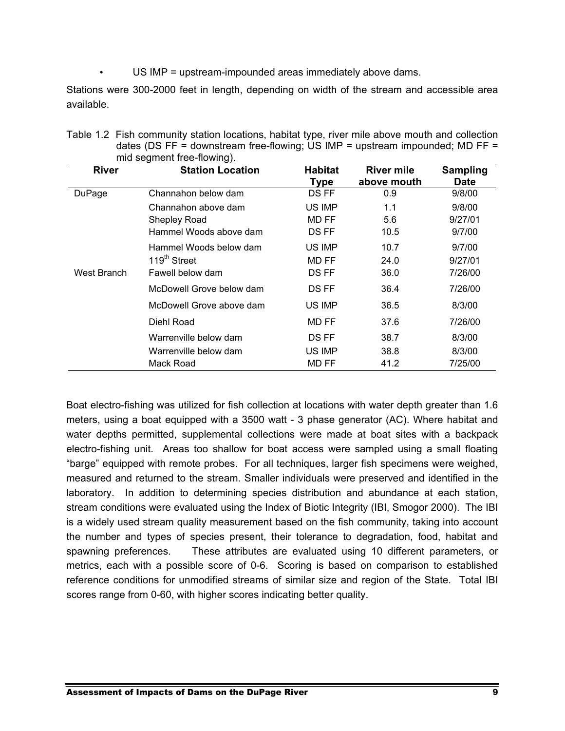US IMP = upstream-impounded areas immediately above dams.

Stations were 300-2000 feet in length, depending on width of the stream and accessible area available.

| Table 1.2 Fish community station locations, habitat type, river mile above mouth and collection |
|-------------------------------------------------------------------------------------------------|
| dates (DS FF = downstream free-flowing; US IMP = upstream impounded; MD FF =                    |
| mid segment free-flowing).                                                                      |

| <b>River</b> | <b>Station Location</b>  | <b>Habitat</b><br><b>Type</b> | <b>River mile</b><br>above mouth | <b>Sampling</b><br><b>Date</b> |
|--------------|--------------------------|-------------------------------|----------------------------------|--------------------------------|
| DuPage       | Channahon below dam      | DS FF                         | 0.9                              | 9/8/00                         |
|              | Channahon above dam      | US IMP                        | 1.1                              | 9/8/00                         |
|              | <b>Shepley Road</b>      | MD FF                         | 5.6                              | 9/27/01                        |
|              | Hammel Woods above dam   | DS FF                         | 10.5                             | 9/7/00                         |
|              | Hammel Woods below dam   | US IMP                        | 10.7                             | 9/7/00                         |
|              | 119 <sup>th</sup> Street | MD FF                         | 24.0                             | 9/27/01                        |
| West Branch  | Fawell below dam         | DS FF                         | 36.0                             | 7/26/00                        |
|              | McDowell Grove below dam | DS FF                         | 36.4                             | 7/26/00                        |
|              | McDowell Grove above dam | US IMP                        | 36.5                             | 8/3/00                         |
|              | Diehl Road               | MD FF                         | 37.6                             | 7/26/00                        |
|              | Warrenville below dam    | DS FF                         | 38.7                             | 8/3/00                         |
|              | Warrenville below dam    | US IMP                        | 38.8                             | 8/3/00                         |
|              | Mack Road                | MD FF                         | 41.2                             | 7/25/00                        |

Boat electro-fishing was utilized for fish collection at locations with water depth greater than 1.6 meters, using a boat equipped with a 3500 watt - 3 phase generator (AC). Where habitat and water depths permitted, supplemental collections were made at boat sites with a backpack electro-fishing unit. Areas too shallow for boat access were sampled using a small floating "barge" equipped with remote probes. For all techniques, larger fish specimens were weighed, measured and returned to the stream. Smaller individuals were preserved and identified in the laboratory. In addition to determining species distribution and abundance at each station, stream conditions were evaluated using the Index of Biotic Integrity (IBI, Smogor 2000). The IBI is a widely used stream quality measurement based on the fish community, taking into account the number and types of species present, their tolerance to degradation, food, habitat and spawning preferences. These attributes are evaluated using 10 different parameters, or metrics, each with a possible score of 0-6. Scoring is based on comparison to established reference conditions for unmodified streams of similar size and region of the State. Total IBI scores range from 0-60, with higher scores indicating better quality.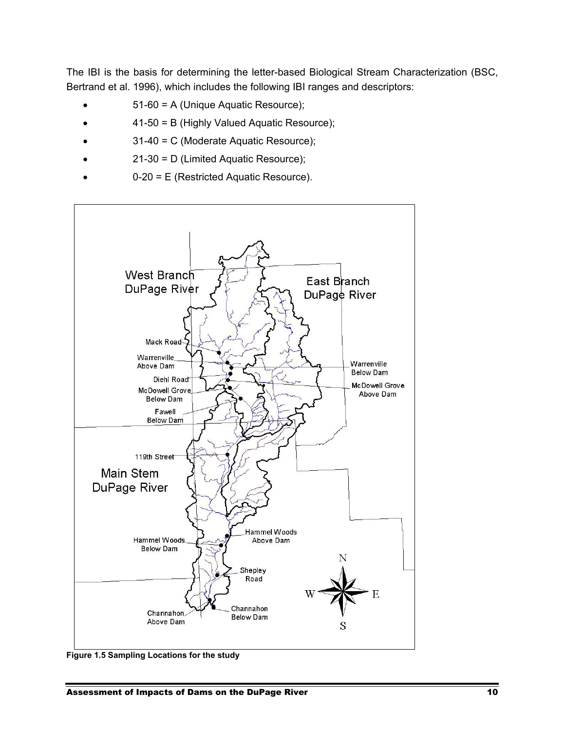The IBI is the basis for determining the letter-based Biological Stream Characterization (BSC, Bertrand et al. 1996), which includes the following IBI ranges and descriptors:

- 51-60 = A (Unique Aquatic Resource);
- 41-50 = B (Highly Valued Aquatic Resource);
- 31-40 = C (Moderate Aquatic Resource);
- 21-30 = D (Limited Aquatic Resource);
- 0-20 = E (Restricted Aquatic Resource).



**Figure 1.5 Sampling Locations for the study**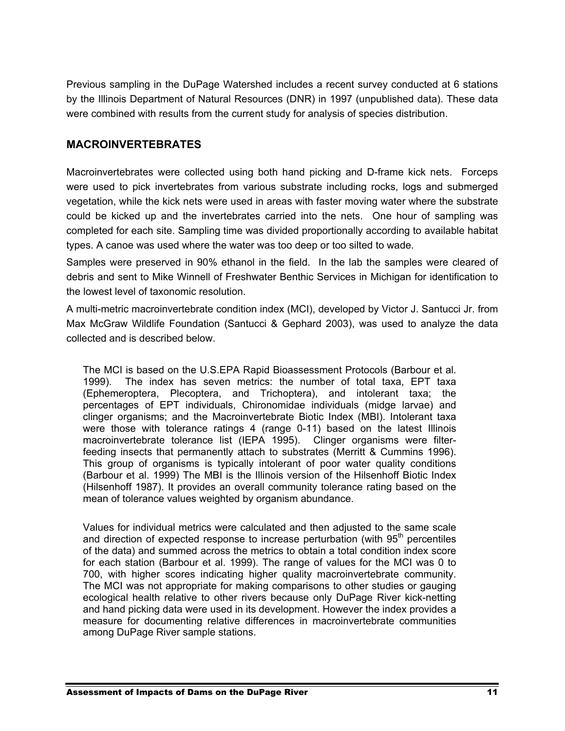Previous sampling in the DuPage Watershed includes a recent survey conducted at 6 stations by the Illinois Department of Natural Resources (DNR) in 1997 (unpublished data). These data were combined with results from the current study for analysis of species distribution.

#### **MACROINVERTEBRATES**

Macroinvertebrates were collected using both hand picking and D-frame kick nets. Forceps were used to pick invertebrates from various substrate including rocks, logs and submerged vegetation, while the kick nets were used in areas with faster moving water where the substrate could be kicked up and the invertebrates carried into the nets. One hour of sampling was completed for each site. Sampling time was divided proportionally according to available habitat types. A canoe was used where the water was too deep or too silted to wade.

Samples were preserved in 90% ethanol in the field. In the lab the samples were cleared of debris and sent to Mike Winnell of Freshwater Benthic Services in Michigan for identification to the lowest level of taxonomic resolution.

A multi-metric macroinvertebrate condition index (MCI), developed by Victor J. Santucci Jr. from Max McGraw Wildlife Foundation (Santucci & Gephard 2003), was used to analyze the data collected and is described below.

The MCI is based on the U.S.EPA Rapid Bioassessment Protocols (Barbour et al. 1999). The index has seven metrics: the number of total taxa, EPT taxa (Ephemeroptera, Plecoptera, and Trichoptera), and intolerant taxa; the percentages of EPT individuals, Chironomidae individuals (midge larvae) and clinger organisms; and the Macroinvertebrate Biotic Index (MBI). Intolerant taxa were those with tolerance ratings 4 (range 0-11) based on the latest Illinois macroinvertebrate tolerance list (IEPA 1995). Clinger organisms were filterfeeding insects that permanently attach to substrates (Merritt & Cummins 1996). This group of organisms is typically intolerant of poor water quality conditions (Barbour et al. 1999) The MBI is the Illinois version of the Hilsenhoff Biotic Index (Hilsenhoff 1987). It provides an overall community tolerance rating based on the mean of tolerance values weighted by organism abundance.

Values for individual metrics were calculated and then adjusted to the same scale and direction of expected response to increase perturbation (with  $95<sup>th</sup>$  percentiles of the data) and summed across the metrics to obtain a total condition index score for each station (Barbour et al. 1999). The range of values for the MCI was 0 to 700, with higher scores indicating higher quality macroinvertebrate community. The MCI was not appropriate for making comparisons to other studies or gauging ecological health relative to other rivers because only DuPage River kick-netting and hand picking data were used in its development. However the index provides a measure for documenting relative differences in macroinvertebrate communities among DuPage River sample stations.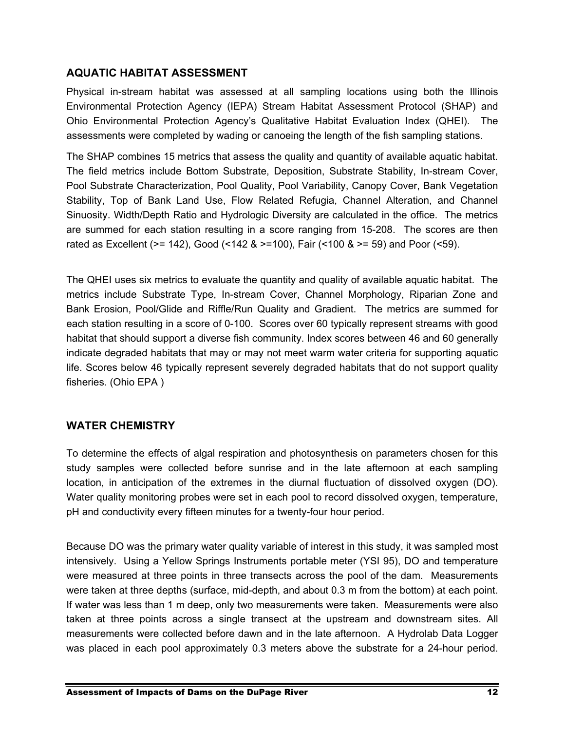#### **AQUATIC HABITAT ASSESSMENT**

Physical in-stream habitat was assessed at all sampling locations using both the Illinois Environmental Protection Agency (IEPA) Stream Habitat Assessment Protocol (SHAP) and Ohio Environmental Protection Agency's Qualitative Habitat Evaluation Index (QHEI). The assessments were completed by wading or canoeing the length of the fish sampling stations.

The SHAP combines 15 metrics that assess the quality and quantity of available aquatic habitat. The field metrics include Bottom Substrate, Deposition, Substrate Stability, In-stream Cover, Pool Substrate Characterization, Pool Quality, Pool Variability, Canopy Cover, Bank Vegetation Stability, Top of Bank Land Use, Flow Related Refugia, Channel Alteration, and Channel Sinuosity. Width/Depth Ratio and Hydrologic Diversity are calculated in the office. The metrics are summed for each station resulting in a score ranging from 15-208. The scores are then rated as Excellent (>= 142), Good (<142 & >=100), Fair (<100 & >= 59) and Poor (<59).

The QHEI uses six metrics to evaluate the quantity and quality of available aquatic habitat. The metrics include Substrate Type, In-stream Cover, Channel Morphology, Riparian Zone and Bank Erosion, Pool/Glide and Riffle/Run Quality and Gradient. The metrics are summed for each station resulting in a score of 0-100. Scores over 60 typically represent streams with good habitat that should support a diverse fish community. Index scores between 46 and 60 generally indicate degraded habitats that may or may not meet warm water criteria for supporting aquatic life. Scores below 46 typically represent severely degraded habitats that do not support quality fisheries. (Ohio EPA )

#### **WATER CHEMISTRY**

To determine the effects of algal respiration and photosynthesis on parameters chosen for this study samples were collected before sunrise and in the late afternoon at each sampling location, in anticipation of the extremes in the diurnal fluctuation of dissolved oxygen (DO). Water quality monitoring probes were set in each pool to record dissolved oxygen, temperature, pH and conductivity every fifteen minutes for a twenty-four hour period.

Because DO was the primary water quality variable of interest in this study, it was sampled most intensively. Using a Yellow Springs Instruments portable meter (YSI 95), DO and temperature were measured at three points in three transects across the pool of the dam. Measurements were taken at three depths (surface, mid-depth, and about 0.3 m from the bottom) at each point. If water was less than 1 m deep, only two measurements were taken. Measurements were also taken at three points across a single transect at the upstream and downstream sites. All measurements were collected before dawn and in the late afternoon. A Hydrolab Data Logger was placed in each pool approximately 0.3 meters above the substrate for a 24-hour period.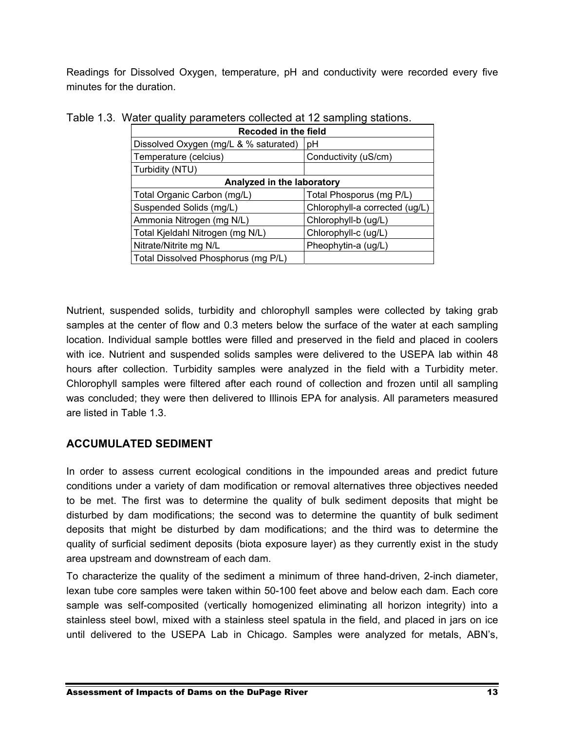Readings for Dissolved Oxygen, temperature, pH and conductivity were recorded every five minutes for the duration.

| Recoded in the field                  |                                |  |  |  |  |  |  |
|---------------------------------------|--------------------------------|--|--|--|--|--|--|
| Dissolved Oxygen (mg/L & % saturated) | рH                             |  |  |  |  |  |  |
| Temperature (celcius)                 | Conductivity (uS/cm)           |  |  |  |  |  |  |
| Turbidity (NTU)                       |                                |  |  |  |  |  |  |
| Analyzed in the laboratory            |                                |  |  |  |  |  |  |
| Total Organic Carbon (mg/L)           | Total Phosporus (mg P/L)       |  |  |  |  |  |  |
| Suspended Solids (mg/L)               | Chlorophyll-a corrected (ug/L) |  |  |  |  |  |  |
| Ammonia Nitrogen (mg N/L)             | Chlorophyll-b (ug/L)           |  |  |  |  |  |  |
| Total Kjeldahl Nitrogen (mg N/L)      | Chlorophyll-c (ug/L)           |  |  |  |  |  |  |
| Nitrate/Nitrite mg N/L                | Pheophytin-a (ug/L)            |  |  |  |  |  |  |
| Total Dissolved Phosphorus (mg P/L)   |                                |  |  |  |  |  |  |

| Table 1.3. Water quality parameters collected at 12 sampling stations. |  |  |  |  |  |  |
|------------------------------------------------------------------------|--|--|--|--|--|--|
|------------------------------------------------------------------------|--|--|--|--|--|--|

Nutrient, suspended solids, turbidity and chlorophyll samples were collected by taking grab samples at the center of flow and 0.3 meters below the surface of the water at each sampling location. Individual sample bottles were filled and preserved in the field and placed in coolers with ice. Nutrient and suspended solids samples were delivered to the USEPA lab within 48 hours after collection. Turbidity samples were analyzed in the field with a Turbidity meter. Chlorophyll samples were filtered after each round of collection and frozen until all sampling was concluded; they were then delivered to Illinois EPA for analysis. All parameters measured are listed in Table 1.3.

#### **ACCUMULATED SEDIMENT**

In order to assess current ecological conditions in the impounded areas and predict future conditions under a variety of dam modification or removal alternatives three objectives needed to be met. The first was to determine the quality of bulk sediment deposits that might be disturbed by dam modifications; the second was to determine the quantity of bulk sediment deposits that might be disturbed by dam modifications; and the third was to determine the quality of surficial sediment deposits (biota exposure layer) as they currently exist in the study area upstream and downstream of each dam.

To characterize the quality of the sediment a minimum of three hand-driven, 2-inch diameter, lexan tube core samples were taken within 50-100 feet above and below each dam. Each core sample was self-composited (vertically homogenized eliminating all horizon integrity) into a stainless steel bowl, mixed with a stainless steel spatula in the field, and placed in jars on ice until delivered to the USEPA Lab in Chicago. Samples were analyzed for metals, ABN's,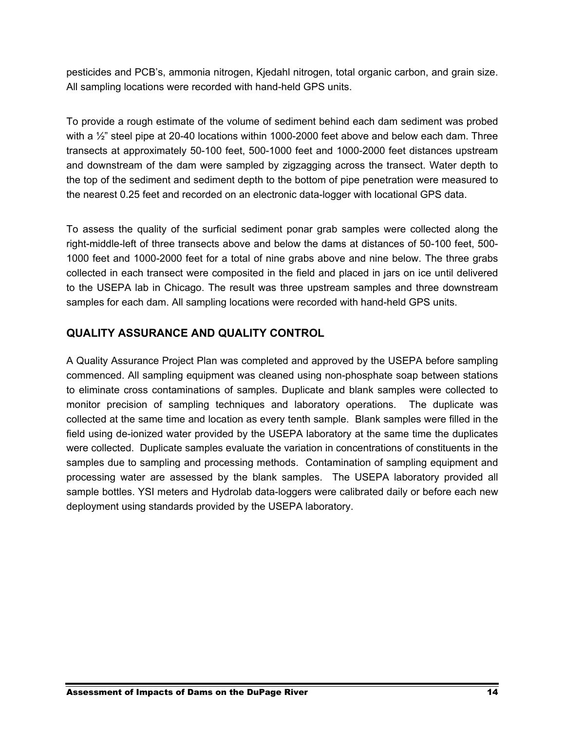pesticides and PCB's, ammonia nitrogen, Kjedahl nitrogen, total organic carbon, and grain size. All sampling locations were recorded with hand-held GPS units.

To provide a rough estimate of the volume of sediment behind each dam sediment was probed with a  $\frac{1}{2}$ " steel pipe at 20-40 locations within 1000-2000 feet above and below each dam. Three transects at approximately 50-100 feet, 500-1000 feet and 1000-2000 feet distances upstream and downstream of the dam were sampled by zigzagging across the transect. Water depth to the top of the sediment and sediment depth to the bottom of pipe penetration were measured to the nearest 0.25 feet and recorded on an electronic data-logger with locational GPS data.

To assess the quality of the surficial sediment ponar grab samples were collected along the right-middle-left of three transects above and below the dams at distances of 50-100 feet, 500- 1000 feet and 1000-2000 feet for a total of nine grabs above and nine below. The three grabs collected in each transect were composited in the field and placed in jars on ice until delivered to the USEPA lab in Chicago. The result was three upstream samples and three downstream samples for each dam. All sampling locations were recorded with hand-held GPS units.

#### **QUALITY ASSURANCE AND QUALITY CONTROL**

A Quality Assurance Project Plan was completed and approved by the USEPA before sampling commenced. All sampling equipment was cleaned using non-phosphate soap between stations to eliminate cross contaminations of samples. Duplicate and blank samples were collected to monitor precision of sampling techniques and laboratory operations. The duplicate was collected at the same time and location as every tenth sample. Blank samples were filled in the field using de-ionized water provided by the USEPA laboratory at the same time the duplicates were collected. Duplicate samples evaluate the variation in concentrations of constituents in the samples due to sampling and processing methods. Contamination of sampling equipment and processing water are assessed by the blank samples. The USEPA laboratory provided all sample bottles. YSI meters and Hydrolab data-loggers were calibrated daily or before each new deployment using standards provided by the USEPA laboratory.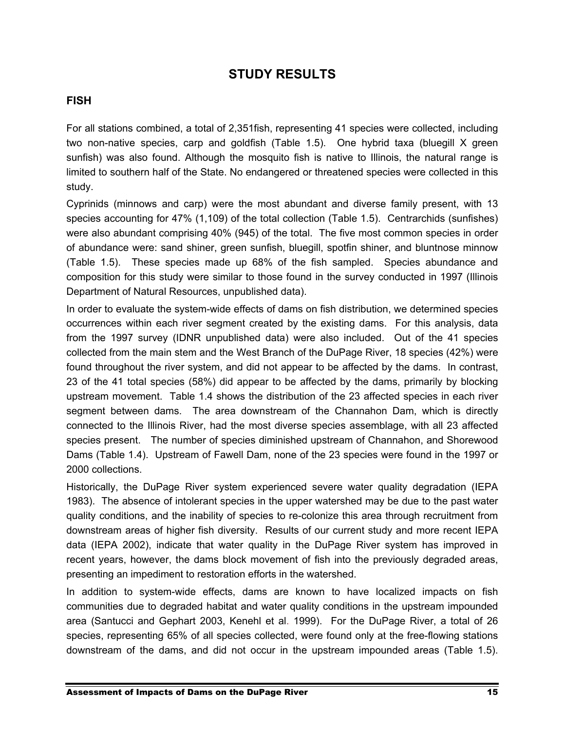### **STUDY RESULTS**

#### **FISH**

For all stations combined, a total of 2,351fish, representing 41 species were collected, including two non-native species, carp and goldfish (Table 1.5). One hybrid taxa (bluegill X green sunfish) was also found. Although the mosquito fish is native to Illinois, the natural range is limited to southern half of the State. No endangered or threatened species were collected in this study.

Cyprinids (minnows and carp) were the most abundant and diverse family present, with 13 species accounting for 47% (1,109) of the total collection (Table 1.5). Centrarchids (sunfishes) were also abundant comprising 40% (945) of the total. The five most common species in order of abundance were: sand shiner, green sunfish, bluegill, spotfin shiner, and bluntnose minnow (Table 1.5). These species made up 68% of the fish sampled. Species abundance and composition for this study were similar to those found in the survey conducted in 1997 (Illinois Department of Natural Resources, unpublished data).

In order to evaluate the system-wide effects of dams on fish distribution, we determined species occurrences within each river segment created by the existing dams. For this analysis, data from the 1997 survey (IDNR unpublished data) were also included. Out of the 41 species collected from the main stem and the West Branch of the DuPage River, 18 species (42%) were found throughout the river system, and did not appear to be affected by the dams. In contrast, 23 of the 41 total species (58%) did appear to be affected by the dams, primarily by blocking upstream movement. Table 1.4 shows the distribution of the 23 affected species in each river segment between dams. The area downstream of the Channahon Dam, which is directly connected to the Illinois River, had the most diverse species assemblage, with all 23 affected species present. The number of species diminished upstream of Channahon, and Shorewood Dams (Table 1.4). Upstream of Fawell Dam, none of the 23 species were found in the 1997 or 2000 collections.

Historically, the DuPage River system experienced severe water quality degradation (IEPA 1983). The absence of intolerant species in the upper watershed may be due to the past water quality conditions, and the inability of species to re-colonize this area through recruitment from downstream areas of higher fish diversity. Results of our current study and more recent IEPA data (IEPA 2002), indicate that water quality in the DuPage River system has improved in recent years, however, the dams block movement of fish into the previously degraded areas, presenting an impediment to restoration efforts in the watershed.

In addition to system-wide effects, dams are known to have localized impacts on fish communities due to degraded habitat and water quality conditions in the upstream impounded area (Santucci and Gephart 2003, Kenehl et al. 1999). For the DuPage River, a total of 26 species, representing 65% of all species collected, were found only at the free-flowing stations downstream of the dams, and did not occur in the upstream impounded areas (Table 1.5).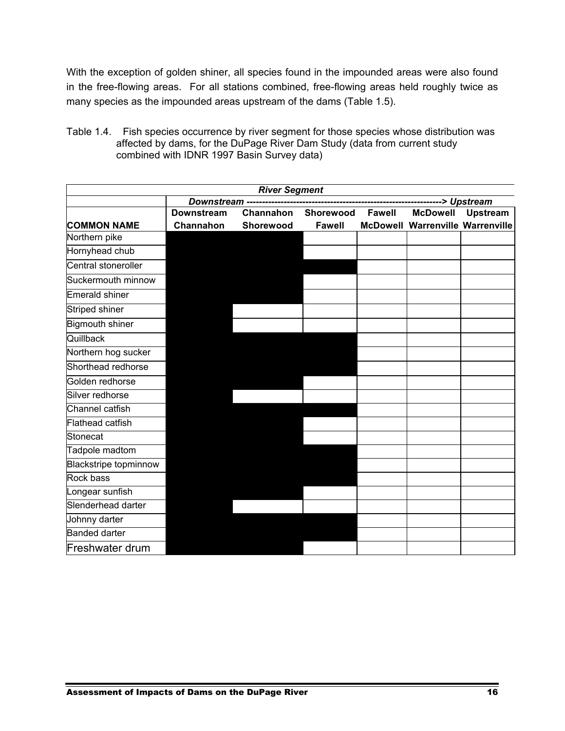With the exception of golden shiner, all species found in the impounded areas were also found in the free-flowing areas. For all stations combined, free-flowing areas held roughly twice as many species as the impounded areas upstream of the dams (Table 1.5).

Table 1.4. Fish species occurrence by river segment for those species whose distribution was affected by dams, for the DuPage River Dam Study (data from current study combined with IDNR 1997 Basin Survey data)

| <b>River Segment</b>         |                   |           |               |               |                                         |                 |  |  |
|------------------------------|-------------------|-----------|---------------|---------------|-----------------------------------------|-----------------|--|--|
|                              |                   |           |               |               |                                         |                 |  |  |
|                              | <b>Downstream</b> | Channahon | Shorewood     | <b>Fawell</b> | <b>McDowell</b>                         | <b>Upstream</b> |  |  |
| <b>COMMON NAME</b>           | Channahon         | Shorewood | <b>Fawell</b> |               | <b>McDowell Warrenville Warrenville</b> |                 |  |  |
| Northern pike                |                   |           |               |               |                                         |                 |  |  |
| Hornyhead chub               |                   |           |               |               |                                         |                 |  |  |
| Central stoneroller          |                   |           |               |               |                                         |                 |  |  |
| Suckermouth minnow           |                   |           |               |               |                                         |                 |  |  |
| <b>Emerald shiner</b>        |                   |           |               |               |                                         |                 |  |  |
| Striped shiner               |                   |           |               |               |                                         |                 |  |  |
| <b>Bigmouth shiner</b>       |                   |           |               |               |                                         |                 |  |  |
| Quillback                    |                   |           |               |               |                                         |                 |  |  |
| Northern hog sucker          |                   |           |               |               |                                         |                 |  |  |
| Shorthead redhorse           |                   |           |               |               |                                         |                 |  |  |
| Golden redhorse              |                   |           |               |               |                                         |                 |  |  |
| Silver redhorse              |                   |           |               |               |                                         |                 |  |  |
| Channel catfish              |                   |           |               |               |                                         |                 |  |  |
| Flathead catfish             |                   |           |               |               |                                         |                 |  |  |
| Stonecat                     |                   |           |               |               |                                         |                 |  |  |
| Tadpole madtom               |                   |           |               |               |                                         |                 |  |  |
| <b>Blackstripe topminnow</b> |                   |           |               |               |                                         |                 |  |  |
| Rock bass                    |                   |           |               |               |                                         |                 |  |  |
| Longear sunfish              |                   |           |               |               |                                         |                 |  |  |
| Slenderhead darter           |                   |           |               |               |                                         |                 |  |  |
| Johnny darter                |                   |           |               |               |                                         |                 |  |  |
| <b>Banded darter</b>         |                   |           |               |               |                                         |                 |  |  |
| Freshwater drum              |                   |           |               |               |                                         |                 |  |  |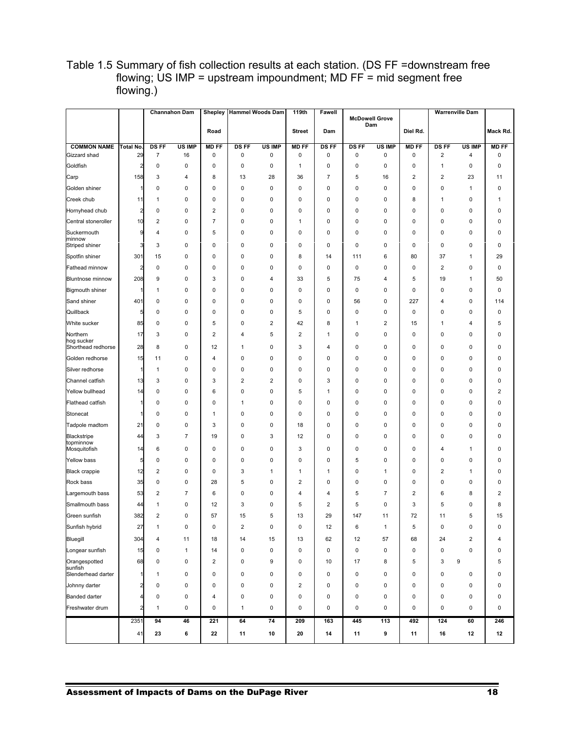|                                    |                         |                                | <b>Channahon Dam</b> | <b>Shepley</b><br>Road |                  | <b>Hammel Woods Dam</b> | 119th<br><b>Street</b>      | Fawell<br>Dam |                   | <b>McDowell Grove</b><br>Dam | Diel Rd.          |                                        | Warrenville Dam         | Mack Rd.                |
|------------------------------------|-------------------------|--------------------------------|----------------------|------------------------|------------------|-------------------------|-----------------------------|---------------|-------------------|------------------------------|-------------------|----------------------------------------|-------------------------|-------------------------|
|                                    |                         |                                |                      |                        |                  |                         |                             |               |                   |                              |                   |                                        |                         |                         |
| <b>COMMON NAME</b><br>Gizzard shad | Total No.<br>29         | <b>DS FF</b><br>$\overline{7}$ | US IMP<br>16         | <b>MD FF</b><br>0      | <b>DSFF</b><br>0 | US IMP<br>0             | <b>MD FF</b><br>$\mathbf 0$ | DS FF<br>0    | <b>DS FF</b><br>0 | <b>US IMP</b><br>0           | <b>MD FF</b><br>0 | <b>DSFF</b><br>$\overline{\mathbf{c}}$ | US IMP<br>4             | <b>MD FF</b><br>0       |
| Goldfish                           | $\overline{2}$          | 0                              | 0                    | 0                      | 0                | 0                       | 1                           | 0             | 0                 | 0                            | 0                 | $\mathbf{1}$                           | $\mathbf 0$             | 0                       |
| Carp                               | 158                     | 3                              | 4                    | 8                      | 13               | 28                      | 36                          | 7             | 5                 | 16                           | 2                 | $\overline{2}$                         | 23                      | 11                      |
| Golden shiner                      | 1                       | 0                              | 0                    | 0                      | 0                | 0                       | $\mathbf 0$                 | 0             | 0                 | 0                            | 0                 | 0                                      | $\mathbf{1}$            | 0                       |
| Creek chub                         | 11                      | 1                              | 0                    | 0                      | 0                | 0                       | 0                           | 0             | 0                 | 0                            | 8                 | 1                                      | 0                       | 1                       |
| Hornyhead chub                     | $\overline{\mathbf{c}}$ | 0                              | 0                    | $\overline{2}$         | 0                | 0                       | 0                           | 0             | 0                 | 0                            | 0                 | 0                                      | $\mathbf 0$             | 0                       |
| Central stoneroller                | 10                      | $\overline{\mathbf{c}}$        | 0                    | 7                      | 0                | 0                       | 1                           | 0             | 0                 | 0                            | 0                 | 0                                      | 0                       | 0                       |
| Suckermouth<br>minnow              | 9                       | 4                              | 0                    | 5                      | 0                | 0                       | 0                           | 0             | 0                 | 0                            | 0                 | 0                                      | 0                       | 0                       |
| Striped shiner                     | 3                       | 3                              | 0                    | 0                      | 0                | 0                       | 0                           | 0             | 0                 | 0                            | 0                 | 0                                      | $\mathbf 0$             | 0                       |
| Spotfin shiner                     | 301                     | 15                             | 0                    | 0                      | 0                | 0                       | 8                           | 14            | 111               | 6                            | 80                | 37                                     | $\mathbf{1}$            | 29                      |
| Fathead minnow                     | $\overline{2}$          | 0                              | 0                    | 0                      | 0                | 0                       | 0                           | 0             | 0                 | 0                            | 0                 | 2                                      | $\mathbf 0$             | 0                       |
| <b>Bluntnose minnow</b>            | 208                     | 9                              | 0                    | 3                      | 0                | 4                       | 33                          | 5             | 75                | 4                            | 5                 | 19                                     | $\mathbf{1}$            | 50                      |
| <b>Bigmouth shiner</b>             |                         | 1                              | 0                    | 0                      | 0                | 0                       | $\mathbf 0$                 | $\mathbf 0$   | 0                 | 0                            | 0                 | 0                                      | $\mathbf 0$             | $\pmb{0}$               |
| Sand shiner                        | 401                     | 0                              | 0                    | 0                      | 0                | 0                       | 0                           | 0             | 56                | 0                            | 227               | 4                                      | 0                       | 114                     |
| Quillback                          | 5                       | 0                              | 0                    | 0                      | 0                | 0                       | 5                           | 0             | 0                 | 0                            | 0                 | 0                                      | $\mathbf 0$             | 0                       |
| White sucker                       | 85                      | 0                              | 0                    | 5                      | 0                | $\overline{\mathbf{c}}$ | 42                          | 8             | 1                 | 2                            | 15                | 1                                      | 4                       | 5                       |
| Northern<br>hog sucker             | 17                      | 3                              | 0                    | 2                      | 4                | 5                       | 2                           | 1             | 0                 | 0                            | 0                 | 0                                      | $\mathbf 0$             | 0                       |
| Shorthead redhorse                 | 28                      | 8                              | $\mathsf 0$          | 12                     | 1                | $\pmb{0}$               | 3                           | 4             | 0                 | 0                            | 0                 | $\mathbf 0$                            | $\mathbf 0$             | $\pmb{0}$               |
| Golden redhorse                    | 15                      | 11                             | 0                    | 4                      | 0                | $\pmb{0}$               | $\mathbf 0$                 | 0             | 0                 | 0                            | 0                 | $\mathbf 0$                            | 0                       | $\pmb{0}$               |
| Silver redhorse                    |                         | $\mathbf{1}$                   | 0                    | 0                      | 0                | $\pmb{0}$               | $\mathbf 0$                 | 0             | 0                 | 0                            | 0                 | $\mathbf 0$                            | 0                       | $\pmb{0}$               |
| Channel catfish                    | 13                      | 3                              | 0                    | 3                      | 2                | $\overline{\mathbf{c}}$ | $\mathbf 0$                 | 3             | 0                 | 0                            | 0                 | $\mathbf 0$                            | 0                       | $\pmb{0}$               |
| Yellow bullhead                    | 14                      | 0                              | 0                    | 6                      | 0                | 0                       | 5                           | 1             | 0                 | 0                            | 0                 | 0                                      | 0                       | $\sqrt{2}$              |
| <b>Flathead catfish</b>            |                         | 0                              | 0                    | 0                      | 1                | 0                       | $\mathbf 0$                 | 0             | 0                 | 0                            | 0                 | 0                                      | 0                       | $\mathbf 0$             |
| Stonecat                           |                         | 0                              | 0                    | $\mathbf{1}$           | 0                | 0                       | $\mathbf 0$                 | 0             | 0                 | 0                            | 0                 | 0                                      | 0                       | 0                       |
| Tadpole madtom                     | 21                      | 0                              | 0                    | 3                      | 0                | 0                       | 18                          | 0             | 0                 | 0                            | 0                 | 0                                      | 0                       | $\mathbf 0$             |
| Blackstripe<br>topminnow           | 44                      | 3                              | $\overline{7}$       | 19                     | 0                | 3                       | 12                          | 0             | 0                 | 0                            | 0                 | 0                                      | 0                       | $\mathbf 0$             |
| Mosquitofish                       | 14                      | 6                              | 0                    | 0                      | 0                | 0                       | 3                           | $\mathbf 0$   | 0                 | 0                            | 0                 | 4                                      | 1                       | 0                       |
| Yellow bass                        | 5                       | 0                              | 0                    | 0                      | 0                | 0                       | $\mathbf 0$                 | 0             | 5                 | 0                            | 0                 | 0                                      | 0                       | 0                       |
| <b>Black crappie</b>               | 12                      | $\overline{2}$                 | 0                    | 0                      | 3                | 1                       | $\mathbf{1}$                | 1             | 0                 | 1                            | 0                 | $\overline{2}$                         | $\mathbf{1}$            | 0                       |
| Rock bass                          | 35                      | 0                              | 0                    | 28                     | 5                | 0                       | $\overline{2}$              | $\mathbf 0$   | 0                 | 0                            | 0                 | 0                                      | $\mathbf 0$             | 0                       |
| Largemouth bass                    | 53                      | $\overline{\mathbf{c}}$        | $\overline{7}$       | 6                      | 0                | 0                       | 4                           | 4             | 5                 | $\overline{7}$               | 2                 | 6                                      | 8                       | $\overline{\mathbf{c}}$ |
| Smallmouth bass                    | 44                      | 1                              | 0                    | 12                     | 3                | 0                       | 5                           | 2             | 5                 | 0                            | 3                 | 5                                      | 0                       | 8                       |
| Green sunfish                      | 382                     | 2                              | 0                    | 57                     | 15               | 5                       | 13                          | 29            | 147               | 11                           | 72                | 11                                     | 5                       | 15                      |
| Sunfish hybrid                     | 27                      | 1                              | 0                    | 0                      | 2                | 0                       | 0                           | 12            | 6                 | 1                            | 5                 | 0                                      | 0                       | 0                       |
| Bluegill                           | 304                     | 4                              | 11                   | 18                     | 14               | 15                      | 13                          | 62            | 12                | 57                           | 68                | 24                                     | $\overline{\mathbf{c}}$ | 4                       |
| Longear sunfish                    | 15                      | 0                              | $\mathbf{1}$         | 14                     | 0                | $\pmb{0}$               | $\mathsf 0$                 | 0             | 0                 | $\pmb{0}$                    | 0                 | $\pmb{0}$                              | $\pmb{0}$               | 0                       |
| Orangespotted<br>sunfish           | 68                      | 0                              | 0                    | $\overline{2}$         | 0                | 9                       | 0                           | 10            | 17                | 8                            | 5                 | 3                                      | $\boldsymbol{9}$        | 5                       |
| Slenderhead darter                 | 1                       | $\mathbf{1}$                   | 0                    | 0                      | 0                | $\pmb{0}$               | $\mathsf 0$                 | 0             | $\pmb{0}$         | $\pmb{0}$                    | 0                 | $\pmb{0}$                              | $\pmb{0}$               | 0                       |
| Johnny darter                      | $\overline{\mathbf{c}}$ | $\pmb{0}$                      | $\pmb{0}$            | 0                      | 0                | $\pmb{0}$               | $\overline{2}$              | 0             | 0                 | $\pmb{0}$                    | 0                 | $\mathbf 0$                            | 0                       | 0                       |
| <b>Banded darter</b>               | 4                       | $\pmb{0}$                      | $\pmb{0}$            | 4                      | 0                | 0                       | $\mathsf 0$                 | 0             | 0                 | $\pmb{0}$                    | 0                 | $\mathbf 0$                            | 0                       | $\pmb{0}$               |
| Freshwater drum                    | $\overline{2}$          | $\mathbf{1}$                   | $\pmb{0}$            | $\pmb{0}$              | $\mathbf{1}$     | $\pmb{0}$               | $\mathsf 0$                 | 0             | 0                 | $\pmb{0}$                    | 0                 | $\pmb{0}$                              | 0                       | $\pmb{0}$               |
|                                    | 2351                    | 94                             | 46                   | 221                    | 64               | 74                      | 209                         | 163           | 445               | 113                          | 492               | 124                                    | 60                      | 246                     |
|                                    | 41                      | 23                             | 6                    | 22                     | 11               | 10                      | 20                          | 14            | 11                | 9                            | 11                | 16                                     | 12                      | 12                      |

#### Table 1.5 Summary of fish collection results at each station. (DS FF =downstream free flowing; US IMP = upstream impoundment; MD FF $=$  mid segment free flowing.)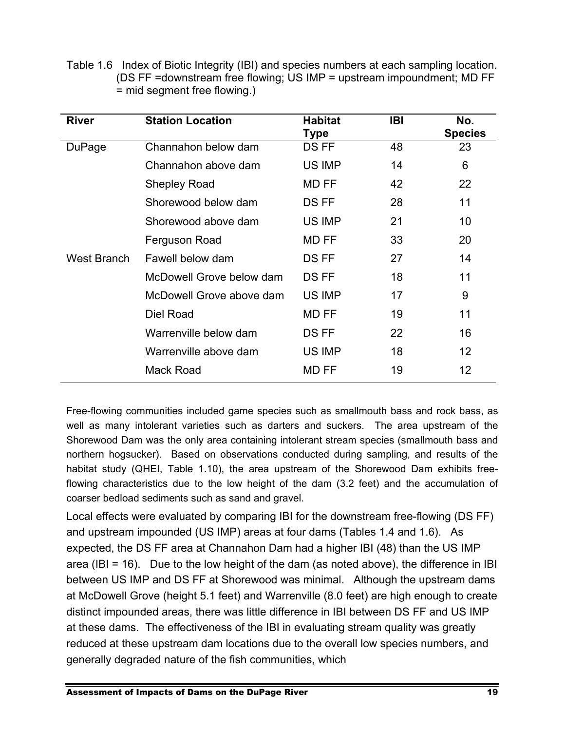Table 1.6 Index of Biotic Integrity (IBI) and species numbers at each sampling location. (DS FF =downstream free flowing; US IMP = upstream impoundment; MD FF = mid segment free flowing.)

| <b>River</b> | <b>Station Location</b>  | <b>Habitat</b><br>Type | <b>IBI</b> | No.<br><b>Species</b> |
|--------------|--------------------------|------------------------|------------|-----------------------|
| DuPage       | Channahon below dam      | DS FF                  | 48         | 23                    |
|              | Channahon above dam      | US IMP                 | 14         | 6                     |
|              | <b>Shepley Road</b>      | <b>MD FF</b>           | 42         | 22                    |
|              | Shorewood below dam      | DS FF                  | 28         | 11                    |
|              | Shorewood above dam      | US IMP                 | 21         | 10                    |
|              | Ferguson Road            | MD FF                  | 33         | 20                    |
| West Branch  | Fawell below dam         | DS FF                  | 27         | 14                    |
|              | McDowell Grove below dam | DS FF                  | 18         | 11                    |
|              | McDowell Grove above dam | US IMP                 | 17         | 9                     |
|              | Diel Road                | MD FF                  | 19         | 11                    |
|              | Warrenville below dam    | DS FF                  | 22         | 16                    |
|              | Warrenville above dam    | US IMP                 | 18         | 12                    |
|              | Mack Road                | MD FF                  | 19         | 12                    |

Free-flowing communities included game species such as smallmouth bass and rock bass, as well as many intolerant varieties such as darters and suckers. The area upstream of the Shorewood Dam was the only area containing intolerant stream species (smallmouth bass and northern hogsucker). Based on observations conducted during sampling, and results of the habitat study (QHEI, Table 1.10), the area upstream of the Shorewood Dam exhibits freeflowing characteristics due to the low height of the dam (3.2 feet) and the accumulation of coarser bedload sediments such as sand and gravel.

Local effects were evaluated by comparing IBI for the downstream free-flowing (DS FF) and upstream impounded (US IMP) areas at four dams (Tables 1.4 and 1.6). As expected, the DS FF area at Channahon Dam had a higher IBI (48) than the US IMP area (IBI = 16). Due to the low height of the dam (as noted above), the difference in IBI between US IMP and DS FF at Shorewood was minimal. Although the upstream dams at McDowell Grove (height 5.1 feet) and Warrenville (8.0 feet) are high enough to create distinct impounded areas, there was little difference in IBI between DS FF and US IMP at these dams. The effectiveness of the IBI in evaluating stream quality was greatly reduced at these upstream dam locations due to the overall low species numbers, and generally degraded nature of the fish communities, which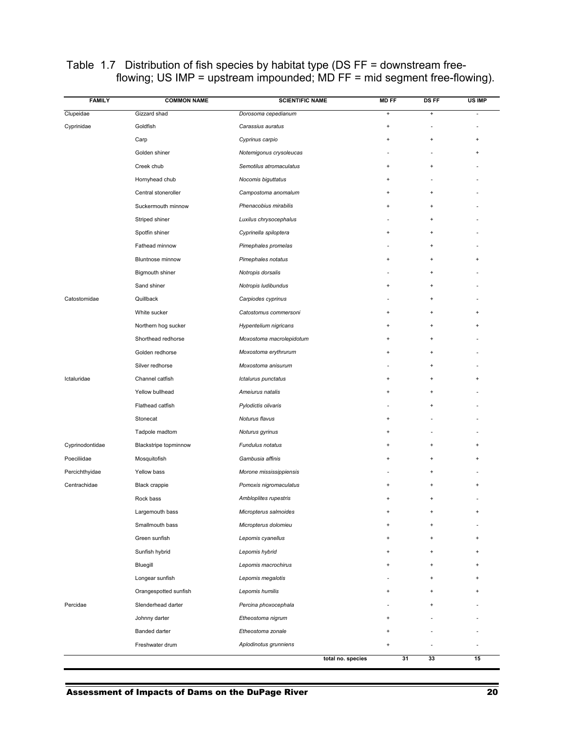| <b>FAMILY</b>   | <b>COMMON NAME</b>    | <b>SCIENTIFIC NAME</b>   | <b>MD FF</b> | <b>DS FF</b>                     | US IMP    |
|-----------------|-----------------------|--------------------------|--------------|----------------------------------|-----------|
| Clupeidae       | Gizzard shad          | Dorosoma cepedianum      | $\pmb{+}$    | $\bf{+}$                         | ٠         |
| Cyprinidae      | Goldfish              | Carassius auratus        | $\ddot{}$    |                                  |           |
|                 | Carp                  | Cyprinus carpio          | $\ddot{}$    | $\ddot{}$                        | ÷         |
|                 | Golden shiner         | Notemigonus crysoleucas  |              |                                  |           |
|                 | Creek chub            | Semotilus atromaculatus  | $+$          | $\begin{array}{c} + \end{array}$ |           |
|                 | Hornyhead chub        | Nocomis biguttatus       | $\ddot{}$    |                                  |           |
|                 | Central stoneroller   | Campostoma anomalum      | $+$          | $\begin{array}{c} + \end{array}$ |           |
|                 | Suckermouth minnow    | Phenacobius mirabilis    | +            | $\ddot{}$                        |           |
|                 | Striped shiner        | Luxilus chrysocephalus   |              | $+$                              |           |
|                 | Spotfin shiner        | Cyprinella spiloptera    | $\ddot{}$    | $\ddot{}$                        |           |
|                 | Fathead minnow        | Pimephales promelas      |              | $+$                              |           |
|                 | Bluntnose minnow      | Pimephales notatus       | $+$          | $\ddot{}$                        | $\ddot{}$ |
|                 | Bigmouth shiner       | Notropis dorsalis        |              | $\ddot{}$                        |           |
|                 | Sand shiner           | Notropis ludibundus      | $\ddot{}$    | $+$                              |           |
| Catostomidae    | Quillback             | Carpiodes cyprinus       |              | $\ddot{}$                        |           |
|                 | White sucker          | Catostomus commersoni    | $\ddot{}$    | $\ddot{}$                        |           |
|                 | Northern hog sucker   | Hypentelium nigricans    | $\ddot{}$    | $+$                              |           |
|                 | Shorthead redhorse    | Moxostoma macrolepidotum | $\ddot{}$    | $\ddot{}$                        |           |
|                 | Golden redhorse       | Moxostoma erythrurum     | $\ddot{}$    | $+$                              |           |
|                 | Silver redhorse       | Moxostoma anisurum       |              | $\ddot{}$                        |           |
| Ictaluridae     | Channel catfish       | Ictalurus punctatus      | $\ddot{}$    | $\ddot{}$                        |           |
|                 | Yellow bullhead       | Ameiurus natalis         | $+$          | $+$                              |           |
|                 | Flathead catfish      | Pylodictis olivaris      |              | $\ddot{}$                        |           |
|                 | Stonecat              | Noturus flavus           | $\ddot{}$    |                                  |           |
|                 | Tadpole madtom        | Noturus gyrinus          | $\ddot{}$    |                                  |           |
| Cyprinodontidae | Blackstripe topminnow | Fundulus notatus         | $\ddot{}$    | $+$                              |           |
| Poeciliidae     | Mosquitofish          | Gambusia affinis         | $+$          | $+$                              |           |
| Percichthyidae  | Yellow bass           | Morone mississippiensis  |              | +                                |           |
| Centrachidae    | <b>Black crappie</b>  | Pomoxis nigromaculatus   | $\ddot{}$    | $\ddot{}$                        |           |
|                 | Rock bass             | Ambloplites rupestris    | $\ddot{}$    | $\ddot{}$                        |           |
|                 | Largemouth bass       | Micropterus salmoides    | $\ddot{}$    | $\ddot{}$                        | $\ddot{}$ |
|                 | Smallmouth bass       | Micropterus dolomieu     | $\ddot{}$    | $+$                              |           |
|                 | Green sunfish         | Lepomis cyanellus        | +            | $\ddot{}$                        |           |
|                 | Sunfish hybrid        | Lepomis hybrid           | $\ddot{}$    | $+$                              |           |
|                 | Bluegill              | Lepomis macrochirus      | $\ddot{}$    | $\begin{array}{c} + \end{array}$ |           |
|                 | Longear sunfish       | Lepomis megalotis        |              | $+$                              |           |
|                 | Orangespotted sunfish | Lepomis humilis          | $+$          | $+$                              |           |
| Percidae        | Slenderhead darter    | Percina phoxocephala     |              | ÷                                |           |
|                 | Johnny darter         | Etheostoma nigrum        | $\ddot{}$    |                                  |           |
|                 | Banded darter         | Etheostoma zonale        | $\ddot{}$    |                                  |           |
|                 | Freshwater drum       | Aplodinotus grunniens    | $\ddot{}$    |                                  |           |
|                 |                       | total no. species        | 31           | 33                               | 15        |

#### Table 1.7 Distribution of fish species by habitat type (DS FF = downstream freeflowing; US IMP = upstream impounded; MD FF = mid segment free-flowing).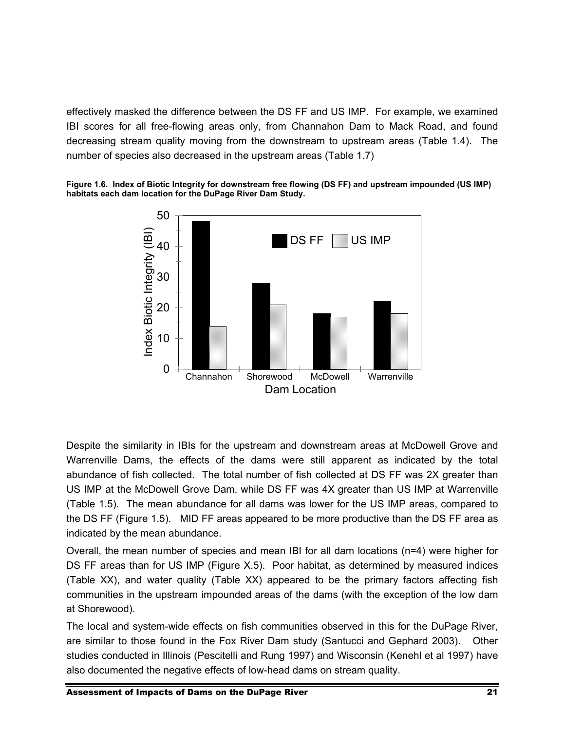effectively masked the difference between the DS FF and US IMP. For example, we examined IBI scores for all free-flowing areas only, from Channahon Dam to Mack Road, and found decreasing stream quality moving from the downstream to upstream areas (Table 1.4). The number of species also decreased in the upstream areas (Table 1.7)





Despite the similarity in IBIs for the upstream and downstream areas at McDowell Grove and Warrenville Dams, the effects of the dams were still apparent as indicated by the total abundance of fish collected. The total number of fish collected at DS FF was 2X greater than US IMP at the McDowell Grove Dam, while DS FF was 4X greater than US IMP at Warrenville (Table 1.5). The mean abundance for all dams was lower for the US IMP areas, compared to the DS FF (Figure 1.5). MID FF areas appeared to be more productive than the DS FF area as indicated by the mean abundance.

Overall, the mean number of species and mean IBI for all dam locations (n=4) were higher for DS FF areas than for US IMP (Figure X.5). Poor habitat, as determined by measured indices (Table XX), and water quality (Table XX) appeared to be the primary factors affecting fish communities in the upstream impounded areas of the dams (with the exception of the low dam at Shorewood).

The local and system-wide effects on fish communities observed in this for the DuPage River, are similar to those found in the Fox River Dam study (Santucci and Gephard 2003). Other studies conducted in Illinois (Pescitelli and Rung 1997) and Wisconsin (Kenehl et al 1997) have also documented the negative effects of low-head dams on stream quality.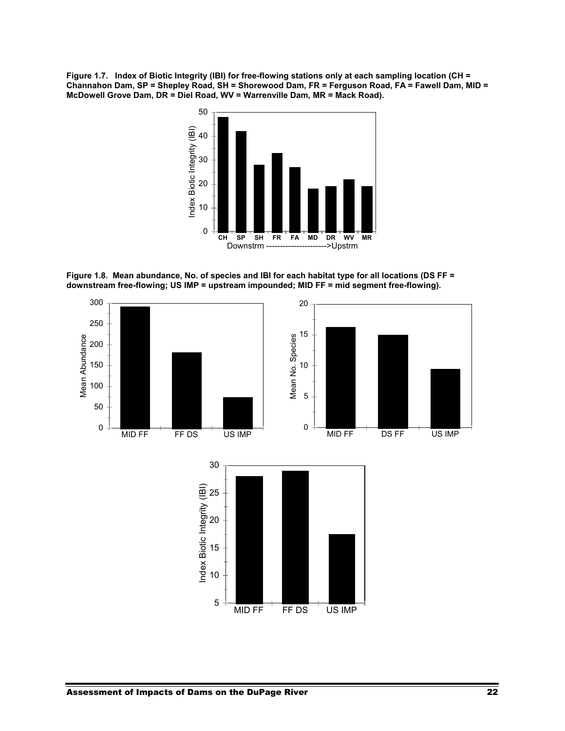**Figure 1.7. Index of Biotic Integrity (IBI) for free-flowing stations only at each sampling location (CH = Channahon Dam, SP = Shepley Road, SH = Shorewood Dam, FR = Ferguson Road, FA = Fawell Dam, MID = McDowell Grove Dam, DR = Diel Road, WV = Warrenville Dam, MR = Mack Road).** 



**Figure 1.8. Mean abundance, No. of species and IBI for each habitat type for all locations (DS FF = downstream free-flowing; US IMP = upstream impounded; MID FF = mid segment free-flowing).** 



MID FF FF DS US IMP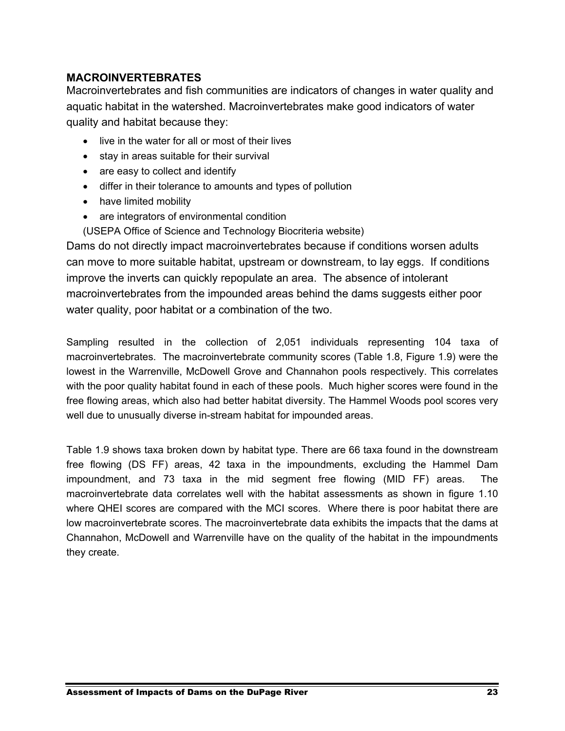#### **MACROINVERTEBRATES**

Macroinvertebrates and fish communities are indicators of changes in water quality and aquatic habitat in the watershed. Macroinvertebrates make good indicators of water quality and habitat because they:

- live in the water for all or most of their lives
- stay in areas suitable for their survival
- are easy to collect and identify
- differ in their tolerance to amounts and types of pollution
- have limited mobility
- are integrators of environmental condition
- (USEPA Office of Science and Technology Biocriteria website)

Dams do not directly impact macroinvertebrates because if conditions worsen adults can move to more suitable habitat, upstream or downstream, to lay eggs. If conditions improve the inverts can quickly repopulate an area. The absence of intolerant macroinvertebrates from the impounded areas behind the dams suggests either poor water quality, poor habitat or a combination of the two.

Sampling resulted in the collection of 2,051 individuals representing 104 taxa of macroinvertebrates. The macroinvertebrate community scores (Table 1.8, Figure 1.9) were the lowest in the Warrenville, McDowell Grove and Channahon pools respectively. This correlates with the poor quality habitat found in each of these pools. Much higher scores were found in the free flowing areas, which also had better habitat diversity. The Hammel Woods pool scores very well due to unusually diverse in-stream habitat for impounded areas.

Table 1.9 shows taxa broken down by habitat type. There are 66 taxa found in the downstream free flowing (DS FF) areas, 42 taxa in the impoundments, excluding the Hammel Dam impoundment, and 73 taxa in the mid segment free flowing (MID FF) areas. The macroinvertebrate data correlates well with the habitat assessments as shown in figure 1.10 where QHEI scores are compared with the MCI scores. Where there is poor habitat there are low macroinvertebrate scores. The macroinvertebrate data exhibits the impacts that the dams at Channahon, McDowell and Warrenville have on the quality of the habitat in the impoundments they create.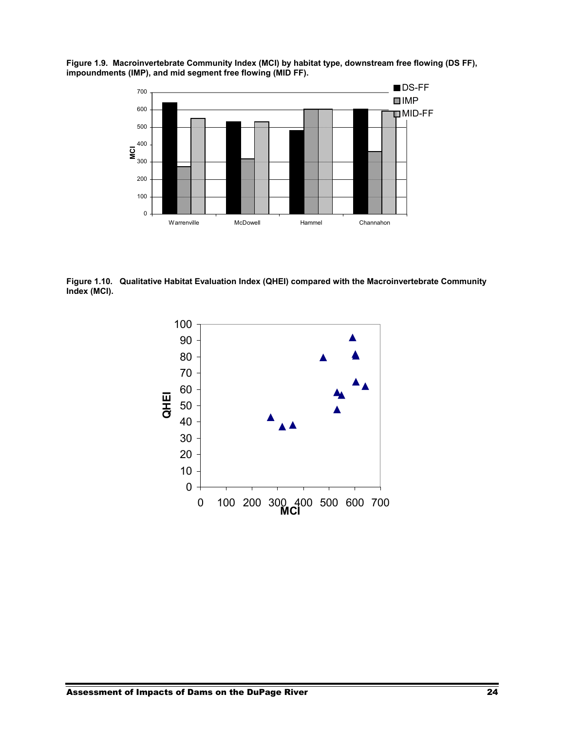**Figure 1.9. Macroinvertebrate Community Index (MCI) by habitat type, downstream free flowing (DS FF), impoundments (IMP), and mid segment free flowing (MID FF).** 



**Figure 1.10. Qualitative Habitat Evaluation Index (QHEI) compared with the Macroinvertebrate Community Index (MCI).** 

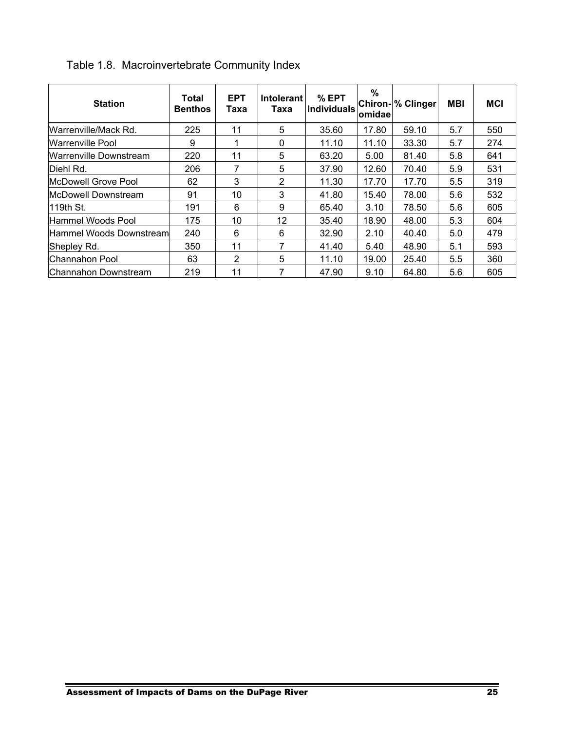| <b>Station</b>           | Total<br><b>Benthos</b> | <b>EPT</b><br>Taxa | <b>Intolerant</b><br>Taxa | $%$ EPT<br><b>Individuals</b> | $\%$<br>omidae | <b>Chiron- % Clinger</b> | <b>MBI</b> | <b>MCI</b> |
|--------------------------|-------------------------|--------------------|---------------------------|-------------------------------|----------------|--------------------------|------------|------------|
| Warrenville/Mack Rd.     | 225                     | 11                 | 5                         | 35.60                         | 17.80          | 59.10                    | 5.7        | 550        |
| <b>Warrenville Pool</b>  | 9                       | 1                  | $\Omega$                  | 11.10                         | 11.10          | 33.30                    | 5.7        | 274        |
| Warrenville Downstream   | 220                     | 11                 | 5                         | 63.20                         | 5.00           | 81.40                    | 5.8        | 641        |
| Diehl Rd.                | 206                     | 7                  | 5                         | 37.90                         | 12.60          | 70.40                    | 5.9        | 531        |
| McDowell Grove Pool      | 62                      | 3                  | 2                         | 11.30                         | 17.70          | 17.70                    | 5.5        | 319        |
| lMcDowell Downstream     | 91                      | 10                 | 3                         | 41.80                         | 15.40          | 78.00                    | 5.6        | 532        |
| 119th St.                | 191                     | 6                  | 9                         | 65.40                         | 3.10           | 78.50                    | 5.6        | 605        |
| Hammel Woods Pool        | 175                     | 10                 | 12                        | 35.40                         | 18.90          | 48.00                    | 5.3        | 604        |
| Hammel Woods Downstreaml | 240                     | 6                  | 6                         | 32.90                         | 2.10           | 40.40                    | 5.0        | 479        |
| Shepley Rd.              | 350                     | 11                 | 7                         | 41.40                         | 5.40           | 48.90                    | 5.1        | 593        |
| Channahon Pool           | 63                      | 2                  | 5                         | 11.10                         | 19.00          | 25.40                    | 5.5        | 360        |
| Channahon Downstream     | 219                     | 11                 | 7                         | 47.90                         | 9.10           | 64.80                    | 5.6        | 605        |

Table 1.8. Macroinvertebrate Community Index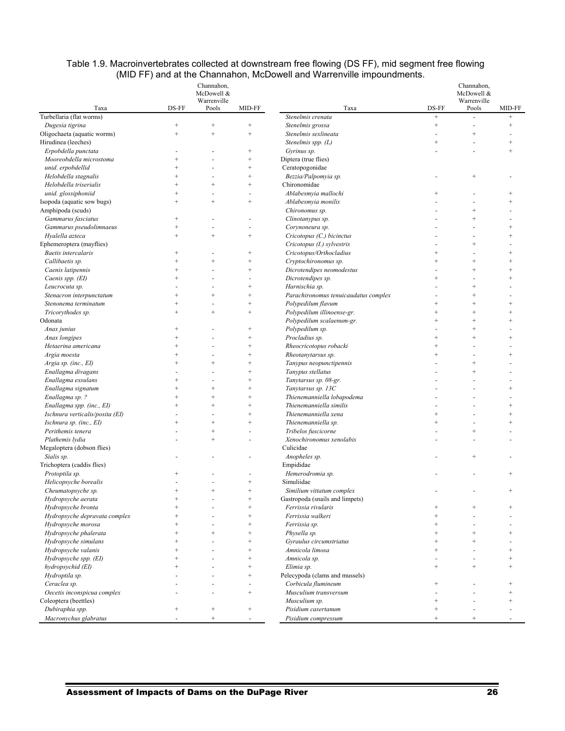|                                 |                 | Channahon,<br>McDowell &<br>Warrenville |                   |                                      | Channahon,<br>McDowell &<br>Warrenville |                   |                   |  |
|---------------------------------|-----------------|-----------------------------------------|-------------------|--------------------------------------|-----------------------------------------|-------------------|-------------------|--|
| Taxa                            | DS-FF           | Pools                                   | MID-FF            | Taxa                                 | DS-FF                                   | Pools             | MID-FF            |  |
| Turbellaria (flat worms)        |                 |                                         |                   | Stenelmis crenata                    | $\qquad \qquad +$                       |                   | $\qquad \qquad +$ |  |
| Dugesia tigrina                 | $\! + \!\!\!\!$ | $^{+}$                                  | $^{+}$            | Stenelmis grossa                     | $^+$                                    |                   | $\qquad \qquad +$ |  |
| Oligochaeta (aquatic worms)     | $\! + \!\!\!\!$ | $^{+}$                                  | $^{+}$            | Stenelmis sexlineata                 |                                         | $^{+}$            |                   |  |
| Hirudinea (leeches)             |                 |                                         |                   | Stenelmis spp. $(L)$                 | $^{+}$                                  |                   | $^{+}$            |  |
| Erpobdella punctata             |                 |                                         | $\qquad \qquad +$ | Gyrinus sp.                          |                                         | $\overline{a}$    | $^{+}$            |  |
| Mooreobdella microstoma         | $^{+}$          |                                         | $^{+}$            | Diptera (true flies)                 |                                         |                   |                   |  |
| unid. erpobdellid               | $\ddot{}$       |                                         | $\ddot{}$         | Ceratopogonidae                      |                                         |                   |                   |  |
| Helobdella stagnalis            | $^{+}$          |                                         | $^{+}$            | Bezzia/Palpomyia sp.                 |                                         | $^{+}$            |                   |  |
| Helobdella triserialis          | $^{+}$          | $^{+}$                                  | $^{+}$            | Chironomidae                         |                                         |                   |                   |  |
| unid. glossiphoniid             | $^{+}$          |                                         |                   | Ablabesmyia mallochi                 | $^{+}$                                  |                   | $^{+}$            |  |
| Isopoda (aquatic sow bugs)      | $^{+}$          | $^{+}$                                  | $^{+}$            | Ablabesmyia monilis                  |                                         | L.                | $^{+}$            |  |
| Amphipoda (scuds)               |                 |                                         |                   | Chironomus sp.                       |                                         | $\ddot{}$         |                   |  |
| Gammarus fasciatus              | $^{+}$          |                                         |                   | Clinotanypus sp.                     |                                         | $\ddot{}$         |                   |  |
| Gammarus pseudolimnaeus         | $^{+}$          |                                         | ÷.                | Corynoneura sp.                      |                                         | ä,                | $^{+}$            |  |
| Hyalella azteca                 | $^{+}$          | $^{+}$                                  | $^{+}$            | Cricotopus (C.) bicinctus            |                                         |                   | $^{+}$            |  |
| Ephemeroptera (mayflies)        |                 |                                         |                   | Cricotopus (I.) sylvestris           |                                         | $^{+}$            |                   |  |
| Baetis intercalaris             | $^{+}$          |                                         | $^{+}$            | Cricotopus/Orthocladius              | $^{+}$                                  |                   | $^{+}$            |  |
| Callibaetis sp.                 | $^{+}$          | $^{+}$                                  | $^{+}$            | Cryptochironomus sp.                 | $^{+}$                                  | $^{+}$            | $^{+}$            |  |
| Caenis latipennis               | $^{+}$          |                                         | $^{+}$            | Dicrotendipes neomodestus            |                                         | $^{+}$            | $^{+}$            |  |
| Caenis spp. (EI)                | $^{+}$          |                                         |                   | Dicrotendipes sp.                    | $^{+}$                                  | $\overline{a}$    | $^{+}$            |  |
| Leucrocuta sp.                  |                 |                                         | $^{+}$            | Harnischia sp.                       |                                         | $\ddot{}$         |                   |  |
| Stenacron interpunctatum        | $\ddot{}$       | $\ddot{}$                               | $\ddot{}$         | Parachironomus tenuicaudatus complex |                                         | $\ddot{}$         |                   |  |
| Stenonema terminatum            | $^{+}$          |                                         | $^{+}$            | Polypedilum flavum                   | $^{+}$                                  | $\ddot{}$         | $^{+}$            |  |
| Tricorythodes sp.               | $^{+}$          | $^{+}$                                  | $^{+}$            | Polypedilum illinoense-gr.           | $^{+}$                                  | $^{+}$            | $^{+}$            |  |
| Odonata                         |                 |                                         |                   | Polypedilum scalaenum-gr.            | $^{+}$                                  | $^{+}$            | $^{+}$            |  |
| Anax junius                     | $^{+}$          |                                         | $^{+}$            | Polypedilum sp.                      |                                         | $^{+}$            |                   |  |
| Anax longipes                   | $^{+}$          |                                         | $^{+}$            | Procladius sp.                       | $\qquad \qquad +$                       | $^{+}$            | $^{+}$            |  |
| Hetaerina americana             | $\ddot{}$       |                                         | $\ddot{}$         | Rheocricotopus robacki               | $\ddot{}$                               |                   |                   |  |
| Argia moesta                    | $^{+}$          |                                         | $^{+}$            | Rheotanytarsus sp.                   | $^{+}$                                  | ÷,                | $^{+}$            |  |
| Argia sp. (inc., EI)            | $^{+}$          | $^{+}$                                  | $^{+}$            | Tanypus neopunctipennis              |                                         | $\ddot{}$         |                   |  |
| Enallagma divagans              |                 |                                         | $^{+}$            | Tanypus stellatus                    |                                         | $^{+}$            |                   |  |
| Enallagma exsulans              | $^{+}$          |                                         | $^{+}$            | Tanytarsus sp. 08-gr.                |                                         |                   |                   |  |
| Enallagma signatum              | $^{+}$          | $^{+}$                                  | $^{+}$            | Tanytarsus sp. 13C                   |                                         |                   | $^{+}$            |  |
| Enallagma sp. ?                 | $\ddot{}$       | $^{+}$                                  | $^{+}$            | Thienemanniella lobapodema           |                                         |                   |                   |  |
| Enallagma spp. (inc., EI)       | $\ddot{}$       | $^{+}$                                  | $^{+}$            | Thienemanniella similis              |                                         |                   | $^{+}$            |  |
| Ischnura verticalis/posita (EI) |                 |                                         |                   | Thienemanniella xena                 | $\ddot{}$                               |                   | $\ddot{}$         |  |
| Ischnura sp. (inc., EI)         | $+$             | $^{+}$                                  | $\ddot{}$         | Thienemanniella sp.                  | $^{+}$                                  | $\overline{a}$    | $^{+}$            |  |
| Perithemis tenera               |                 | $^{+}$                                  |                   | Tribelos fuscicorne                  |                                         | $\ddot{}$         |                   |  |
| Plathemis lydia                 |                 | $^{+}$                                  |                   | Xenochironomus xenolabis             |                                         |                   |                   |  |
| Megaloptera (dobson flies)      |                 |                                         |                   | Culicidae                            |                                         |                   |                   |  |
|                                 |                 |                                         |                   |                                      |                                         | $^{+}$            |                   |  |
| Sialis sp.                      |                 |                                         |                   | Anopheles sp.                        |                                         |                   |                   |  |
| Trichoptera (caddis flies)      |                 |                                         |                   | Empididae                            |                                         |                   |                   |  |
| Protoptila sp.                  | $^{+}$          |                                         |                   | Hemerodromia sp.                     |                                         |                   |                   |  |
| Helicopsyche borealis           |                 |                                         | $^{+}$            | Simuliidae                           |                                         |                   |                   |  |
| Cheumatopsyche sp.              | $^{+}$          | $^{+}$                                  | $^{+}$            | Similium vittatum complex            |                                         |                   | $^{+}$            |  |
| Hydropsyche aerata              | $^{+}$          |                                         | $^{+}$            | Gastropoda (snails and limpets)      |                                         |                   |                   |  |
| Hydropsyche bronta              | $^{+}$          |                                         | $^{+}$            | Ferrissia rivularis                  | $^{+}$                                  | $^{+}$            |                   |  |
| Hydropsyche depravata complex   | $^{+}$          |                                         | $^{+}$            | Ferrissia walkeri                    | $\! + \!\!\!\!$                         |                   |                   |  |
| Hydropsyche morosa              | $^{+}$          |                                         | $^{+}$            | Ferrissia sp.                        | $\! + \!\!\!\!$                         |                   |                   |  |
| Hydropsyche phalerata           | $^{+}$          | $^{+}$                                  | $^{+}$            | Physella sp.                         | $\! + \!\!\!\!$                         | $\qquad \qquad +$ | $^{+}$            |  |
| Hydropsyche simulans            | $^{+}$          |                                         | $^{+}$            | Gyraulus circumstriatus              | $^+$                                    | $\ddot{}$         |                   |  |
| Hydropsyche valanis             | $\ddot{}$       |                                         | $\ddot{}$         | Amnicola limosa                      | $+$                                     | $\omega$          | $^{+}$            |  |
| Hydropsyche spp. (EI)           | $^{+}$          |                                         | $^{+}$            | Amnicola sp.                         |                                         | ÷,                | $\qquad \qquad +$ |  |
| hydropsychid (EI)               | $^{+}$          |                                         | $^{+}$            | Elimia sp.                           | $\qquad \qquad +$                       | $^{+}$            | $^{+}$            |  |
| Hydroptila sp.                  |                 |                                         | $^{+}$            | Pelecypoda (clams and mussels)       |                                         |                   |                   |  |
| Ceraclea sp.                    |                 |                                         |                   | Corbicula flumineum                  | $\! + \!\!\!\!$                         |                   | $^{+}$            |  |
| Oecetis inconspicua complex     |                 |                                         | $^{+}$            | Musculium transversum                | $\ddot{\phantom{1}}$                    | $\overline{a}$    | $\qquad \qquad +$ |  |
| Coleoptera (beettles)           |                 |                                         |                   | Musculium sp.                        | $^+$                                    |                   | $^{+}$            |  |
| Dubiraphia spp.                 | $^{+}$          | $^{+}$                                  | $^{+}$            | Pisidium casertanum                  | $^+$                                    |                   |                   |  |

#### Table 1.9. Macroinvertebrates collected at downstream free flowing (DS FF), mid segment free flowing (MID FF) and at the Channahon, McDowell and Warrenville impoundments.

 *Macronychus glabratus* - + - *Pisidium compressum* + + -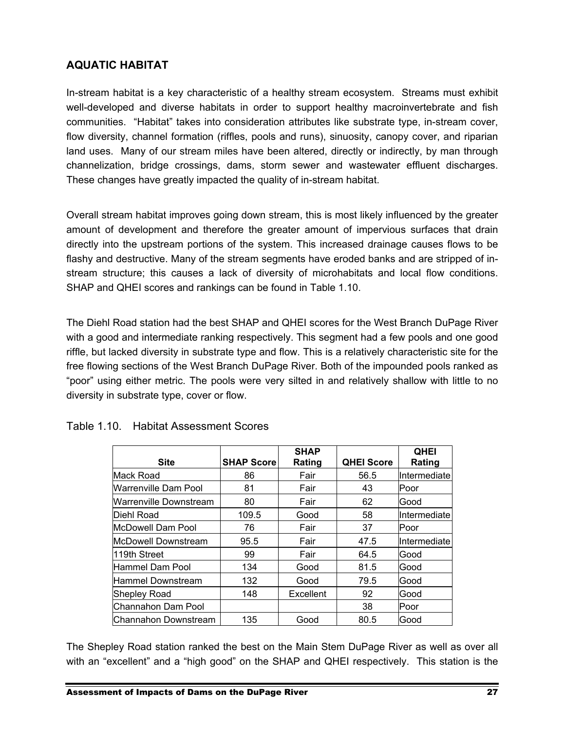#### **AQUATIC HABITAT**

In-stream habitat is a key characteristic of a healthy stream ecosystem. Streams must exhibit well-developed and diverse habitats in order to support healthy macroinvertebrate and fish communities. "Habitat" takes into consideration attributes like substrate type, in-stream cover, flow diversity, channel formation (riffles, pools and runs), sinuosity, canopy cover, and riparian land uses. Many of our stream miles have been altered, directly or indirectly, by man through channelization, bridge crossings, dams, storm sewer and wastewater effluent discharges. These changes have greatly impacted the quality of in-stream habitat.

Overall stream habitat improves going down stream, this is most likely influenced by the greater amount of development and therefore the greater amount of impervious surfaces that drain directly into the upstream portions of the system. This increased drainage causes flows to be flashy and destructive. Many of the stream segments have eroded banks and are stripped of instream structure; this causes a lack of diversity of microhabitats and local flow conditions. SHAP and QHEI scores and rankings can be found in Table 1.10.

The Diehl Road station had the best SHAP and QHEI scores for the West Branch DuPage River with a good and intermediate ranking respectively. This segment had a few pools and one good riffle, but lacked diversity in substrate type and flow. This is a relatively characteristic site for the free flowing sections of the West Branch DuPage River. Both of the impounded pools ranked as "poor" using either metric. The pools were very silted in and relatively shallow with little to no diversity in substrate type, cover or flow.

| <b>Site</b>                | <b>SHAP Score</b> | <b>SHAP</b><br>Rating | <b>QHEI Score</b> | <b>QHEI</b><br>Rating |
|----------------------------|-------------------|-----------------------|-------------------|-----------------------|
| Mack Road                  | 86                | Fair                  | 56.5              | Intermediate          |
| Warrenville Dam Pool       | 81                | Fair                  | 43                | lPoor                 |
| Warrenville Downstream     | 80                | Fair                  | 62                | Good                  |
| Diehl Road                 | 109.5             | Good                  | 58                | lIntermediatel        |
| <b>McDowell Dam Pool</b>   | 76                | Fair                  | 37                | Poor                  |
| <b>McDowell Downstream</b> | 95.5              | Fair                  | 47.5              | lIntermediate         |
| 119th Street               | 99                | Fair                  | 64.5              | Good                  |
| Hammel Dam Pool            | 134               | Good                  | 81.5              | Good                  |
| <b>Hammel Downstream</b>   | 132               | Good                  | 79.5              | Good                  |
| <b>Shepley Road</b>        | 148               | Excellent             | 92                | Good                  |
| Channahon Dam Pool         |                   |                       | 38                | Poor                  |
| Channahon Downstream       | 135               | Good                  | 80.5              | Good                  |

#### Table 1.10. Habitat Assessment Scores

The Shepley Road station ranked the best on the Main Stem DuPage River as well as over all with an "excellent" and a "high good" on the SHAP and QHEI respectively. This station is the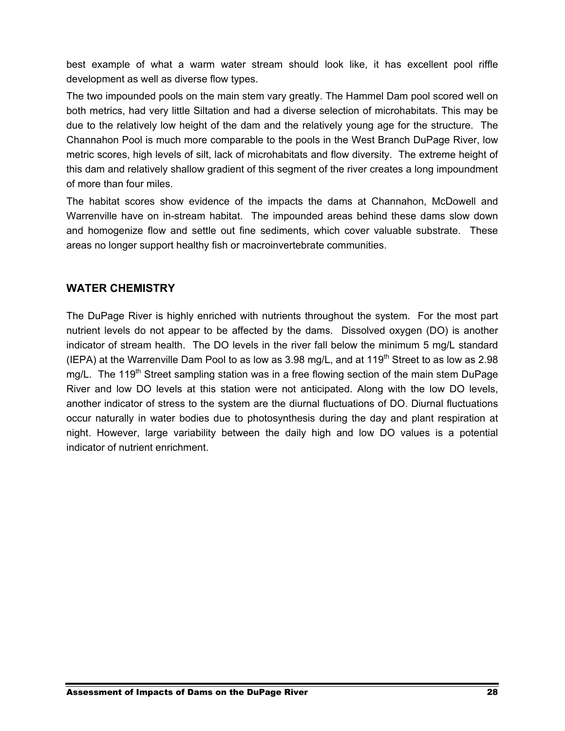best example of what a warm water stream should look like, it has excellent pool riffle development as well as diverse flow types.

The two impounded pools on the main stem vary greatly. The Hammel Dam pool scored well on both metrics, had very little Siltation and had a diverse selection of microhabitats. This may be due to the relatively low height of the dam and the relatively young age for the structure. The Channahon Pool is much more comparable to the pools in the West Branch DuPage River, low metric scores, high levels of silt, lack of microhabitats and flow diversity. The extreme height of this dam and relatively shallow gradient of this segment of the river creates a long impoundment of more than four miles.

The habitat scores show evidence of the impacts the dams at Channahon, McDowell and Warrenville have on in-stream habitat. The impounded areas behind these dams slow down and homogenize flow and settle out fine sediments, which cover valuable substrate. These areas no longer support healthy fish or macroinvertebrate communities.

#### **WATER CHEMISTRY**

The DuPage River is highly enriched with nutrients throughout the system. For the most part nutrient levels do not appear to be affected by the dams. Dissolved oxygen (DO) is another indicator of stream health. The DO levels in the river fall below the minimum 5 mg/L standard (IEPA) at the Warrenville Dam Pool to as low as  $3.98$  mg/L, and at  $119<sup>th</sup>$  Street to as low as 2.98 mg/L. The 119<sup>th</sup> Street sampling station was in a free flowing section of the main stem DuPage River and low DO levels at this station were not anticipated. Along with the low DO levels, another indicator of stress to the system are the diurnal fluctuations of DO. Diurnal fluctuations occur naturally in water bodies due to photosynthesis during the day and plant respiration at night. However, large variability between the daily high and low DO values is a potential indicator of nutrient enrichment.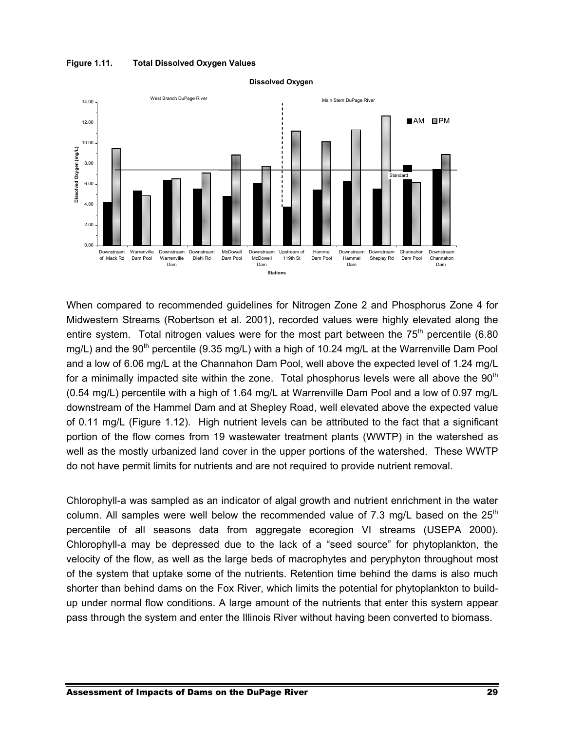



**Dissolved Oxygen**

When compared to recommended guidelines for Nitrogen Zone 2 and Phosphorus Zone 4 for Midwestern Streams (Robertson et al. 2001), recorded values were highly elevated along the entire system. Total nitrogen values were for the most part between the  $75<sup>th</sup>$  percentile (6.80) mg/L) and the 90<sup>th</sup> percentile (9.35 mg/L) with a high of 10.24 mg/L at the Warrenville Dam Pool and a low of 6.06 mg/L at the Channahon Dam Pool, well above the expected level of 1.24 mg/L for a minimally impacted site within the zone. Total phosphorus levels were all above the  $90<sup>th</sup>$ (0.54 mg/L) percentile with a high of 1.64 mg/L at Warrenville Dam Pool and a low of 0.97 mg/L downstream of the Hammel Dam and at Shepley Road, well elevated above the expected value of 0.11 mg/L (Figure 1.12). High nutrient levels can be attributed to the fact that a significant portion of the flow comes from 19 wastewater treatment plants (WWTP) in the watershed as well as the mostly urbanized land cover in the upper portions of the watershed. These WWTP do not have permit limits for nutrients and are not required to provide nutrient removal.

Chlorophyll-a was sampled as an indicator of algal growth and nutrient enrichment in the water column. All samples were well below the recommended value of 7.3 mg/L based on the  $25<sup>th</sup>$ percentile of all seasons data from aggregate ecoregion VI streams (USEPA 2000). Chlorophyll-a may be depressed due to the lack of a "seed source" for phytoplankton, the velocity of the flow, as well as the large beds of macrophytes and peryphyton throughout most of the system that uptake some of the nutrients. Retention time behind the dams is also much shorter than behind dams on the Fox River, which limits the potential for phytoplankton to buildup under normal flow conditions. A large amount of the nutrients that enter this system appear pass through the system and enter the Illinois River without having been converted to biomass.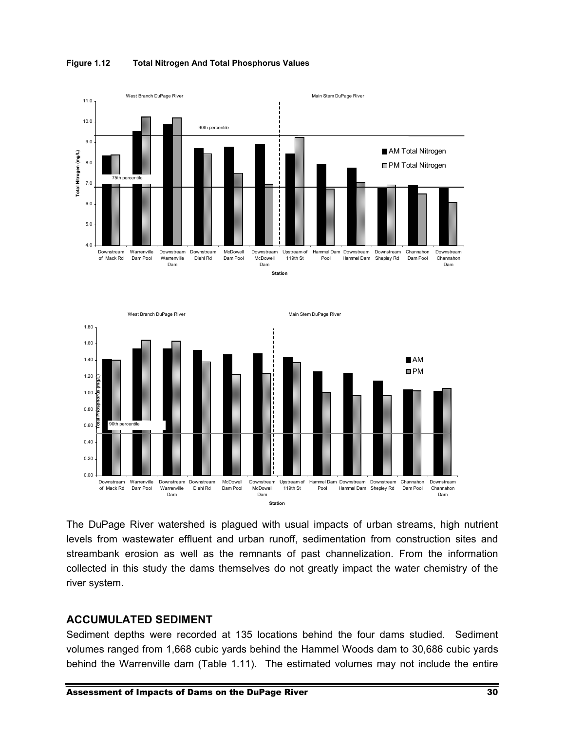

**Figure 1.12 Total Nitrogen And Total Phosphorus Values** 

The DuPage River watershed is plagued with usual impacts of urban streams, high nutrient levels from wastewater effluent and urban runoff, sedimentation from construction sites and streambank erosion as well as the remnants of past channelization. From the information collected in this study the dams themselves do not greatly impact the water chemistry of the river system.

#### **ACCUMULATED SEDIMENT**

Sediment depths were recorded at 135 locations behind the four dams studied. Sediment volumes ranged from 1,668 cubic yards behind the Hammel Woods dam to 30,686 cubic yards behind the Warrenville dam (Table 1.11). The estimated volumes may not include the entire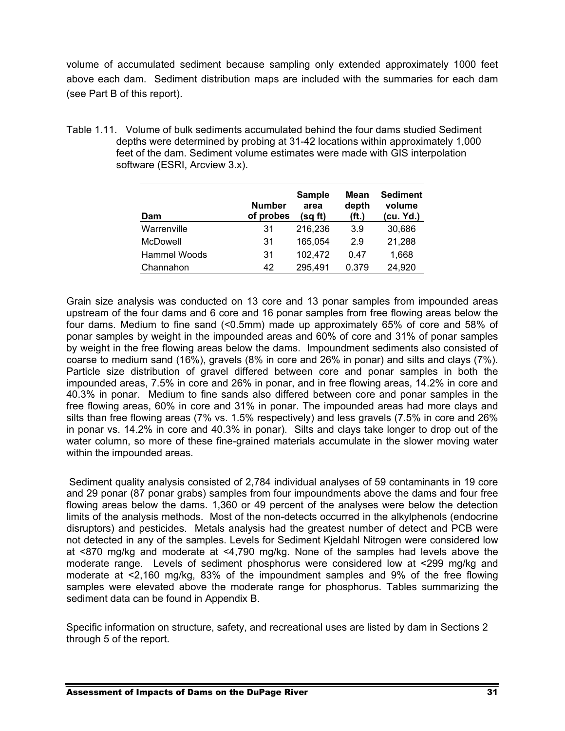volume of accumulated sediment because sampling only extended approximately 1000 feet above each dam. Sediment distribution maps are included with the summaries for each dam (see Part B of this report).

Table 1.11. Volume of bulk sediments accumulated behind the four dams studied Sediment depths were determined by probing at 31-42 locations within approximately 1,000 feet of the dam. Sediment volume estimates were made with GIS interpolation software (ESRI, Arcview 3.x).

| Dam          | <b>Number</b><br>of probes | <b>Sample</b><br>area<br>(sq ft) | Mean<br>depth<br>(ft.) | <b>Sediment</b><br>volume<br>(cu. Yd.) |
|--------------|----------------------------|----------------------------------|------------------------|----------------------------------------|
| Warrenville  | 31                         | 216,236                          | 3.9                    | 30,686                                 |
| McDowell     | 31                         | 165,054                          | 2.9                    | 21,288                                 |
| Hammel Woods | 31                         | 102,472                          | 0.47                   | 1,668                                  |
| Channahon    | 42                         | 295,491                          | 0.379                  | 24,920                                 |

Grain size analysis was conducted on 13 core and 13 ponar samples from impounded areas upstream of the four dams and 6 core and 16 ponar samples from free flowing areas below the four dams. Medium to fine sand (<0.5mm) made up approximately 65% of core and 58% of ponar samples by weight in the impounded areas and 60% of core and 31% of ponar samples by weight in the free flowing areas below the dams. Impoundment sediments also consisted of coarse to medium sand (16%), gravels (8% in core and 26% in ponar) and silts and clays (7%). Particle size distribution of gravel differed between core and ponar samples in both the impounded areas, 7.5% in core and 26% in ponar, and in free flowing areas, 14.2% in core and 40.3% in ponar. Medium to fine sands also differed between core and ponar samples in the free flowing areas, 60% in core and 31% in ponar. The impounded areas had more clays and silts than free flowing areas (7% vs. 1.5% respectively) and less gravels (7.5% in core and 26% in ponar vs. 14.2% in core and 40.3% in ponar). Silts and clays take longer to drop out of the water column, so more of these fine-grained materials accumulate in the slower moving water within the impounded areas.

 Sediment quality analysis consisted of 2,784 individual analyses of 59 contaminants in 19 core and 29 ponar (87 ponar grabs) samples from four impoundments above the dams and four free flowing areas below the dams. 1,360 or 49 percent of the analyses were below the detection limits of the analysis methods. Most of the non-detects occurred in the alkylphenols (endocrine disruptors) and pesticides. Metals analysis had the greatest number of detect and PCB were not detected in any of the samples. Levels for Sediment Kjeldahl Nitrogen were considered low at <870 mg/kg and moderate at <4,790 mg/kg. None of the samples had levels above the moderate range. Levels of sediment phosphorus were considered low at <299 mg/kg and moderate at <2,160 mg/kg, 83% of the impoundment samples and 9% of the free flowing samples were elevated above the moderate range for phosphorus. Tables summarizing the sediment data can be found in Appendix B.

Specific information on structure, safety, and recreational uses are listed by dam in Sections 2 through 5 of the report.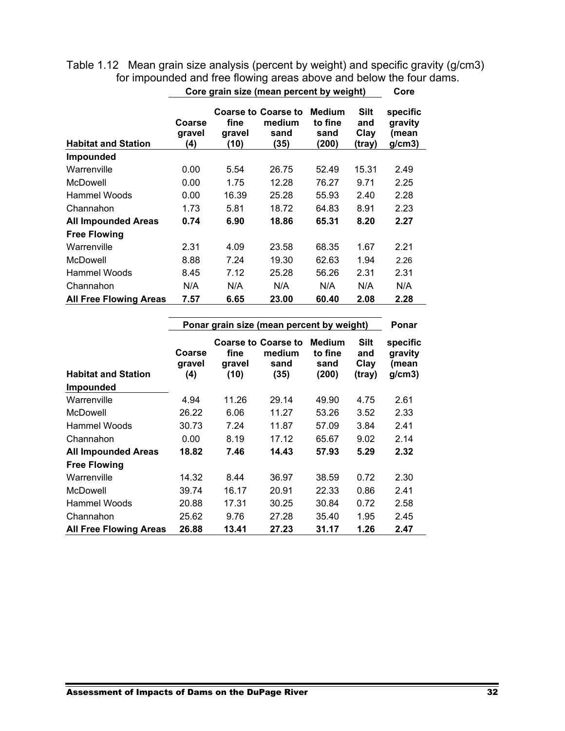| Core grain size (mean percent by weight) |                         |                        |                                                      |                                           |                                      |                                       |  |  |  |  |  |
|------------------------------------------|-------------------------|------------------------|------------------------------------------------------|-------------------------------------------|--------------------------------------|---------------------------------------|--|--|--|--|--|
| <b>Habitat and Station</b>               | Coarse<br>gravel<br>(4) | fine<br>gravel<br>(10) | <b>Coarse to Coarse to</b><br>medium<br>sand<br>(35) | <b>Medium</b><br>to fine<br>sand<br>(200) | <b>Silt</b><br>and<br>Clay<br>(tray) | specific<br>gravity<br>(mean<br>g/cm3 |  |  |  |  |  |
| <b>Impounded</b>                         |                         |                        |                                                      |                                           |                                      |                                       |  |  |  |  |  |
| Warrenville                              | 0.00                    | 5.54                   | 26.75                                                | 52.49                                     | 15.31                                | 2.49                                  |  |  |  |  |  |
| McDowell                                 | 0.00                    | 1.75                   | 12.28                                                | 76.27                                     | 9.71                                 | 2.25                                  |  |  |  |  |  |
| Hammel Woods                             | 0.00                    | 16.39                  | 25.28                                                | 55.93                                     | 2.40                                 | 2.28                                  |  |  |  |  |  |
| Channahon                                | 1.73                    | 5.81                   | 18.72                                                | 64.83                                     | 8.91                                 | 2.23                                  |  |  |  |  |  |
| <b>All Impounded Areas</b>               | 0.74                    | 6.90                   | 18.86                                                | 65.31                                     | 8.20                                 | 2.27                                  |  |  |  |  |  |
| <b>Free Flowing</b>                      |                         |                        |                                                      |                                           |                                      |                                       |  |  |  |  |  |
| Warrenville                              | 2.31                    | 4.09                   | 23.58                                                | 68.35                                     | 1.67                                 | 2.21                                  |  |  |  |  |  |
| McDowell                                 | 8.88                    | 7.24                   | 19.30                                                | 62.63                                     | 1.94                                 | 2.26                                  |  |  |  |  |  |
| Hammel Woods                             | 8.45                    | 7.12                   | 25.28                                                | 56.26                                     | 2.31                                 | 2.31                                  |  |  |  |  |  |
| Channahon                                | N/A                     | N/A                    | N/A                                                  | N/A                                       | N/A                                  | N/A                                   |  |  |  |  |  |
| <b>All Free Flowing Areas</b>            | 7.57                    | 6.65                   | 23.00                                                | 60.40                                     | 2.08                                 | 2.28                                  |  |  |  |  |  |

Table 1.12 Mean grain size analysis (percent by weight) and specific gravity (g/cm3) for impounded and free flowing areas above and below the four dams.

|                                                |                         |                        | Ponar grain size (mean percent by weight)            |                                           |                               | Ponar                                 |
|------------------------------------------------|-------------------------|------------------------|------------------------------------------------------|-------------------------------------------|-------------------------------|---------------------------------------|
| <b>Habitat and Station</b><br><b>Impounded</b> | Coarse<br>gravel<br>(4) | fine<br>gravel<br>(10) | <b>Coarse to Coarse to</b><br>medium<br>sand<br>(35) | <b>Medium</b><br>to fine<br>sand<br>(200) | Silt<br>and<br>Clay<br>(tray) | specific<br>gravity<br>(mean<br>g/cm3 |
| Warrenville                                    | 4.94                    | 11.26                  | 29.14                                                | 49.90                                     | 4.75                          | 2.61                                  |
| McDowell                                       | 26.22                   | 6.06                   | 11.27                                                | 53.26                                     | 3.52                          | 2.33                                  |
| Hammel Woods                                   | 30.73                   | 7.24                   | 11.87                                                | 57.09                                     | 3.84                          | 2.41                                  |
| Channahon                                      | 0.00                    | 8.19                   | 17.12                                                | 65.67                                     | 9.02                          | 2.14                                  |
| <b>All Impounded Areas</b>                     | 18.82                   | 7.46                   | 14.43                                                | 57.93                                     | 5.29                          | 2.32                                  |
| <b>Free Flowing</b>                            |                         |                        |                                                      |                                           |                               |                                       |
| Warrenville                                    | 14.32                   | 8.44                   | 36.97                                                | 38.59                                     | 0.72                          | 2.30                                  |
| McDowell                                       | 39.74                   | 16.17                  | 20.91                                                | 22.33                                     | 0.86                          | 2.41                                  |
| Hammel Woods                                   | 20.88                   | 17.31                  | 30.25                                                | 30.84                                     | 0.72                          | 2.58                                  |
| Channahon                                      | 25.62                   | 9.76                   | 27.28                                                | 35.40                                     | 1.95                          | 2.45                                  |
| <b>All Free Flowing Areas</b>                  | 26.88                   | 13.41                  | 27.23                                                | 31.17                                     | 1.26                          | 2.47                                  |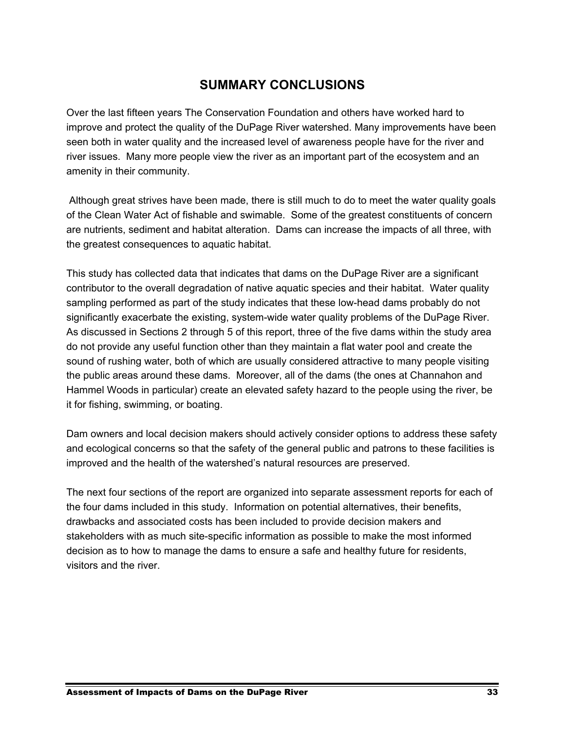## **SUMMARY CONCLUSIONS**

Over the last fifteen years The Conservation Foundation and others have worked hard to improve and protect the quality of the DuPage River watershed. Many improvements have been seen both in water quality and the increased level of awareness people have for the river and river issues. Many more people view the river as an important part of the ecosystem and an amenity in their community.

 Although great strives have been made, there is still much to do to meet the water quality goals of the Clean Water Act of fishable and swimable. Some of the greatest constituents of concern are nutrients, sediment and habitat alteration. Dams can increase the impacts of all three, with the greatest consequences to aquatic habitat.

This study has collected data that indicates that dams on the DuPage River are a significant contributor to the overall degradation of native aquatic species and their habitat. Water quality sampling performed as part of the study indicates that these low-head dams probably do not significantly exacerbate the existing, system-wide water quality problems of the DuPage River. As discussed in Sections 2 through 5 of this report, three of the five dams within the study area do not provide any useful function other than they maintain a flat water pool and create the sound of rushing water, both of which are usually considered attractive to many people visiting the public areas around these dams. Moreover, all of the dams (the ones at Channahon and Hammel Woods in particular) create an elevated safety hazard to the people using the river, be it for fishing, swimming, or boating.

Dam owners and local decision makers should actively consider options to address these safety and ecological concerns so that the safety of the general public and patrons to these facilities is improved and the health of the watershed's natural resources are preserved.

The next four sections of the report are organized into separate assessment reports for each of the four dams included in this study. Information on potential alternatives, their benefits, drawbacks and associated costs has been included to provide decision makers and stakeholders with as much site-specific information as possible to make the most informed decision as to how to manage the dams to ensure a safe and healthy future for residents, visitors and the river.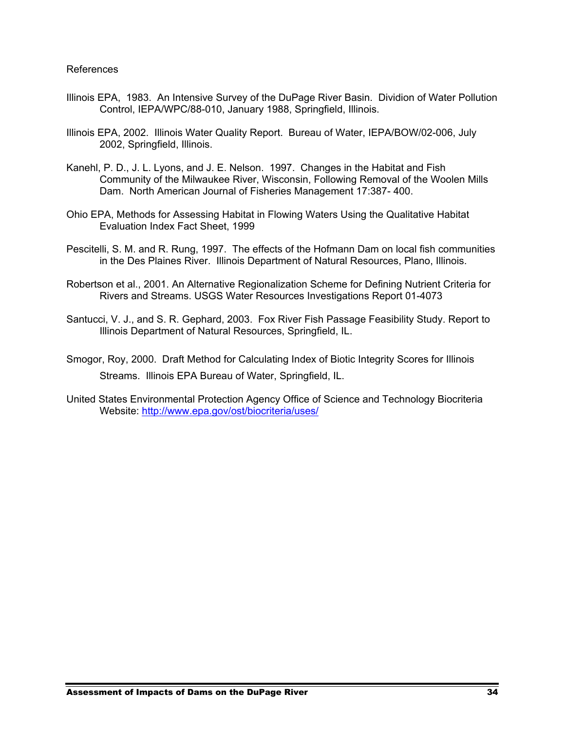#### References

- Illinois EPA, 1983. An Intensive Survey of the DuPage River Basin. Dividion of Water Pollution Control, IEPA/WPC/88-010, January 1988, Springfield, Illinois.
- Illinois EPA, 2002. Illinois Water Quality Report. Bureau of Water, IEPA/BOW/02-006, July 2002, Springfield, Illinois.
- Kanehl, P. D., J. L. Lyons, and J. E. Nelson. 1997. Changes in the Habitat and Fish Community of the Milwaukee River, Wisconsin, Following Removal of the Woolen Mills Dam. North American Journal of Fisheries Management 17:387- 400.
- Ohio EPA, Methods for Assessing Habitat in Flowing Waters Using the Qualitative Habitat Evaluation Index Fact Sheet, 1999
- Pescitelli, S. M. and R. Rung, 1997. The effects of the Hofmann Dam on local fish communities in the Des Plaines River. Illinois Department of Natural Resources, Plano, Illinois.
- Robertson et al., 2001. An Alternative Regionalization Scheme for Defining Nutrient Criteria for Rivers and Streams. USGS Water Resources Investigations Report 01-4073
- Santucci, V. J., and S. R. Gephard, 2003. Fox River Fish Passage Feasibility Study. Report to Illinois Department of Natural Resources, Springfield, IL.
- Smogor, Roy, 2000. Draft Method for Calculating Index of Biotic Integrity Scores for Illinois Streams. Illinois EPA Bureau of Water, Springfield, IL.
- United States Environmental Protection Agency Office of Science and Technology Biocriteria Website: http://www.epa.gov/ost/biocriteria/uses/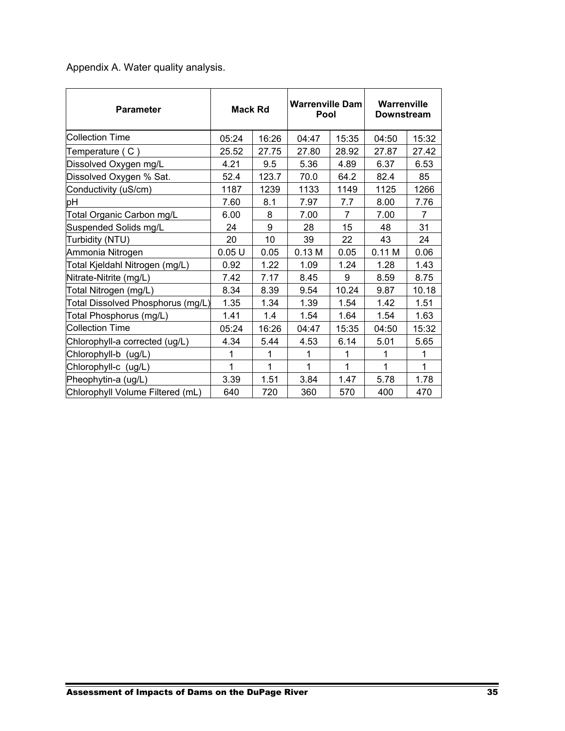Appendix A. Water quality analysis.

| <b>Parameter</b>                  | <b>Mack Rd</b> |       | <b>Warrenville Dam</b><br>Pool |                | Warrenville<br><b>Downstream</b> |       |  |
|-----------------------------------|----------------|-------|--------------------------------|----------------|----------------------------------|-------|--|
| <b>Collection Time</b>            | 05:24          | 16:26 | 04:47                          | 15:35          | 04:50                            | 15:32 |  |
| Temperature (C)                   | 25.52          | 27.75 | 27.80                          | 28.92          | 27.87                            | 27.42 |  |
| Dissolved Oxygen mg/L             | 4.21           | 9.5   | 5.36                           | 4.89           | 6.37                             | 6.53  |  |
| Dissolved Oxygen % Sat.           | 52.4           | 123.7 | 70.0                           | 64.2           | 82.4                             | 85    |  |
| Conductivity (uS/cm)              | 1187           | 1239  | 1133                           | 1149           | 1125                             | 1266  |  |
| pH                                | 7.60           | 8.1   | 7.97                           | 7.7            | 8.00                             | 7.76  |  |
| Total Organic Carbon mg/L         | 6.00           | 8     | 7.00                           | $\overline{7}$ | 7.00                             | 7     |  |
| Suspended Solids mg/L             | 24             | 9     | 28                             | 15             | 48                               | 31    |  |
| Turbidity (NTU)                   | 20             | 10    | 39                             | 22             | 43                               | 24    |  |
| Ammonia Nitrogen                  | 0.05U          | 0.05  | 0.13 M                         | 0.05           | 0.11 M                           | 0.06  |  |
| Total Kjeldahl Nitrogen (mg/L)    | 0.92           | 1.22  | 1.09                           | 1.24           | 1.28                             | 1.43  |  |
| Nitrate-Nitrite (mg/L)            | 7.42           | 7.17  | 8.45                           | 9              | 8.59                             | 8.75  |  |
| Total Nitrogen (mg/L)             | 8.34           | 8.39  | 9.54                           | 10.24          | 9.87                             | 10.18 |  |
| Total Dissolved Phosphorus (mg/L) | 1.35           | 1.34  | 1.39                           | 1.54           | 1.42                             | 1.51  |  |
| Total Phosphorus (mg/L)           | 1.41           | 1.4   | 1.54                           | 1.64           | 1.54                             | 1.63  |  |
| <b>Collection Time</b>            | 05:24          | 16:26 | 04:47                          | 15:35          | 04:50                            | 15:32 |  |
| Chlorophyll-a corrected (ug/L)    | 4.34           | 5.44  | 4.53                           | 6.14           | 5.01                             | 5.65  |  |
| Chlorophyll-b (ug/L)              | 1              | 1     | 1                              | 1              | 1                                | 1     |  |
| Chlorophyll-c (ug/L)              | 1              | 1     | 1                              | 1              | 1                                | 1     |  |
| Pheophytin-a (ug/L)               | 3.39           | 1.51  | 3.84                           | 1.47           | 5.78                             | 1.78  |  |
| Chlorophyll Volume Filtered (mL)  | 640            | 720   | 360                            | 570            | 400                              | 470   |  |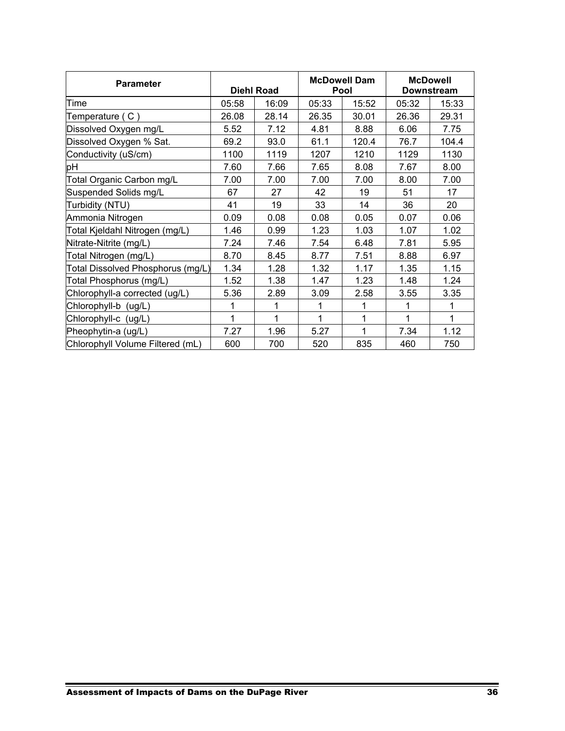| <b>Parameter</b>                  |       | <b>Diehl Road</b> |       | <b>McDowell Dam</b><br>Pool | <b>McDowell</b><br><b>Downstream</b> |       |  |
|-----------------------------------|-------|-------------------|-------|-----------------------------|--------------------------------------|-------|--|
| Time                              | 05:58 | 16:09             | 05:33 | 15:52                       | 05:32                                | 15:33 |  |
| Temperature (C)                   | 26.08 | 28.14             | 26.35 | 30.01                       | 26.36                                | 29.31 |  |
| Dissolved Oxygen mg/L             | 5.52  | 7.12              | 4.81  | 8.88                        | 6.06                                 | 7.75  |  |
| Dissolved Oxygen % Sat.           | 69.2  | 93.0              | 61.1  | 120.4                       | 76.7                                 | 104.4 |  |
| Conductivity (uS/cm)              | 1100  | 1119              | 1207  | 1210                        | 1129                                 | 1130  |  |
| рH                                | 7.60  | 7.66              | 7.65  | 8.08                        | 7.67                                 | 8.00  |  |
| Total Organic Carbon mg/L         | 7.00  | 7.00              | 7.00  | 7.00                        | 8.00                                 | 7.00  |  |
| Suspended Solids mg/L             | 67    | 27                | 42    | 19                          | 51                                   | 17    |  |
| Turbidity (NTU)                   | 41    | 19                | 33    | 14                          | 36                                   | 20    |  |
| Ammonia Nitrogen                  | 0.09  | 0.08              | 0.08  | 0.05                        | 0.07                                 | 0.06  |  |
| Total Kjeldahl Nitrogen (mg/L)    | 1.46  | 0.99              | 1.23  | 1.03                        | 1.07                                 | 1.02  |  |
| Nitrate-Nitrite (mg/L)            | 7.24  | 7.46              | 7.54  | 6.48                        | 7.81                                 | 5.95  |  |
| Total Nitrogen (mg/L)             | 8.70  | 8.45              | 8.77  | 7.51                        | 8.88                                 | 6.97  |  |
| Total Dissolved Phosphorus (mg/L) | 1.34  | 1.28              | 1.32  | 1.17                        | 1.35                                 | 1.15  |  |
| Total Phosphorus (mg/L)           | 1.52  | 1.38              | 1.47  | 1.23                        | 1.48                                 | 1.24  |  |
| Chlorophyll-a corrected (ug/L)    | 5.36  | 2.89              | 3.09  | 2.58                        | 3.55                                 | 3.35  |  |
| Chlorophyll-b (ug/L)              | 1     | 1                 | 1     | 1                           | 1                                    | 1     |  |
| Chlorophyll-c (ug/L)              | 1     | 1                 | 1     | 1                           | 1                                    | 1     |  |
| Pheophytin-a (ug/L)               | 7.27  | 1.96              | 5.27  | 1                           | 7.34                                 | 1.12  |  |
| Chlorophyll Volume Filtered (mL)  | 600   | 700               | 520   | 835                         | 460                                  | 750   |  |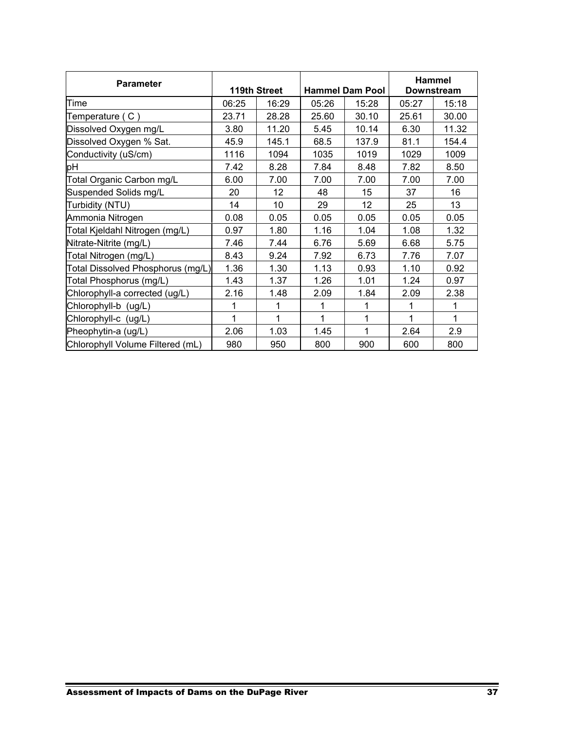| <b>Parameter</b>                  |       | 119th Street |       | <b>Hammel Dam Pool</b> | Hammel<br><b>Downstream</b> |       |  |
|-----------------------------------|-------|--------------|-------|------------------------|-----------------------------|-------|--|
| Time                              | 06:25 | 16:29        | 05:26 | 15:28                  | 05:27                       | 15:18 |  |
| Temperature (C)                   | 23.71 | 28.28        | 25.60 | 30.10                  | 25.61                       | 30.00 |  |
| Dissolved Oxygen mg/L             | 3.80  | 11.20        | 5.45  | 10.14                  | 6.30                        | 11.32 |  |
| Dissolved Oxygen % Sat.           | 45.9  | 145.1        | 68.5  | 137.9                  | 81.1                        | 154.4 |  |
| Conductivity (uS/cm)              | 1116  | 1094         | 1035  | 1019                   | 1029                        | 1009  |  |
| pН                                | 7.42  | 8.28         | 7.84  | 8.48                   | 7.82                        | 8.50  |  |
| Total Organic Carbon mg/L         | 6.00  | 7.00         | 7.00  | 7.00                   | 7.00                        | 7.00  |  |
| Suspended Solids mg/L             | 20    | 12           | 48    | 15                     | 37                          | 16    |  |
| Turbidity (NTU)                   | 14    | 10           | 29    | 12                     | 25                          | 13    |  |
| Ammonia Nitrogen                  | 0.08  | 0.05         | 0.05  | 0.05                   | 0.05                        | 0.05  |  |
| Total Kjeldahl Nitrogen (mg/L)    | 0.97  | 1.80         | 1.16  | 1.04                   | 1.08                        | 1.32  |  |
| Nitrate-Nitrite (mg/L)            | 7.46  | 7.44         | 6.76  | 5.69                   | 6.68                        | 5.75  |  |
| Total Nitrogen (mg/L)             | 8.43  | 9.24         | 7.92  | 6.73                   | 7.76                        | 7.07  |  |
| Total Dissolved Phosphorus (mg/L) | 1.36  | 1.30         | 1.13  | 0.93                   | 1.10                        | 0.92  |  |
| Total Phosphorus (mg/L)           | 1.43  | 1.37         | 1.26  | 1.01                   | 1.24                        | 0.97  |  |
| Chlorophyll-a corrected (ug/L)    | 2.16  | 1.48         | 2.09  | 1.84                   | 2.09                        | 2.38  |  |
| Chlorophyll-b (ug/L)              | 1     | 1            | 1     | 1                      | 1                           | 1     |  |
| Chlorophyll-c (ug/L)              | 1     | 1            | 1     | 1                      | 1                           | 1     |  |
| Pheophytin-a (ug/L)               | 2.06  | 1.03         | 1.45  | 1                      | 2.64                        | 2.9   |  |
| Chlorophyll Volume Filtered (mL)  | 980   | 950          | 800   | 900                    | 600                         | 800   |  |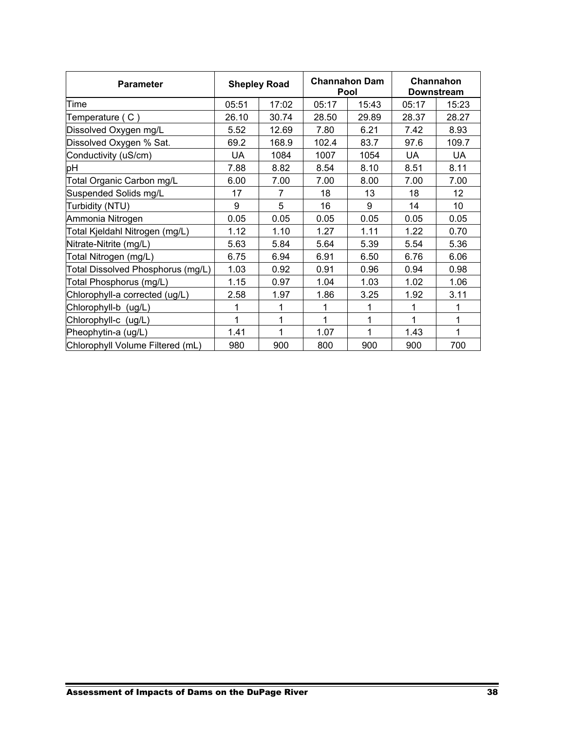| <b>Parameter</b>                  |       | <b>Shepley Road</b> |       | <b>Channahon Dam</b><br>Pool | Channahon<br><b>Downstream</b> |           |  |
|-----------------------------------|-------|---------------------|-------|------------------------------|--------------------------------|-----------|--|
| Time                              | 05:51 | 17:02               | 05:17 | 15:43                        | 05:17                          | 15:23     |  |
| Temperature (C)                   | 26.10 | 30.74               | 28.50 | 29.89                        | 28.37                          | 28.27     |  |
| Dissolved Oxygen mg/L             | 5.52  | 12.69               | 7.80  | 6.21                         | 7.42                           | 8.93      |  |
| Dissolved Oxygen % Sat.           | 69.2  | 168.9               | 102.4 | 83.7                         | 97.6                           | 109.7     |  |
| Conductivity (uS/cm)              | UA    | 1084                | 1007  | 1054                         | UA                             | <b>UA</b> |  |
| pH                                | 7.88  | 8.82                | 8.54  | 8.10                         | 8.51                           | 8.11      |  |
| Total Organic Carbon mg/L         | 6.00  | 7.00                | 7.00  | 8.00                         | 7.00                           | 7.00      |  |
| Suspended Solids mg/L             | 17    | 7                   | 18    | 13                           | 18                             | 12        |  |
| Turbidity (NTU)                   | 9     | 5                   | 16    | 9                            | 14                             | 10        |  |
| Ammonia Nitrogen                  | 0.05  | 0.05                | 0.05  | 0.05                         | 0.05                           | 0.05      |  |
| Total Kjeldahl Nitrogen (mg/L)    | 1.12  | 1.10                | 1.27  | 1.11                         | 1.22                           | 0.70      |  |
| Nitrate-Nitrite (mg/L)            | 5.63  | 5.84                | 5.64  | 5.39                         | 5.54                           | 5.36      |  |
| Total Nitrogen (mg/L)             | 6.75  | 6.94                | 6.91  | 6.50                         | 6.76                           | 6.06      |  |
| Total Dissolved Phosphorus (mg/L) | 1.03  | 0.92                | 0.91  | 0.96                         | 0.94                           | 0.98      |  |
| Total Phosphorus (mg/L)           | 1.15  | 0.97                | 1.04  | 1.03                         | 1.02                           | 1.06      |  |
| Chlorophyll-a corrected (ug/L)    | 2.58  | 1.97                | 1.86  | 3.25                         | 1.92                           | 3.11      |  |
| Chlorophyll-b (ug/L)              |       |                     | 1     | 1                            | 1                              | 1         |  |
| Chlorophyll-c (ug/L)              | 1     | 1                   | 1     | 1                            | 1                              | 1         |  |
| Pheophytin-a (ug/L)               | 1.41  | 1                   | 1.07  | 1                            | 1.43                           | 1         |  |
| Chlorophyll Volume Filtered (mL)  | 980   | 900                 | 800   | 900                          | 900                            | 700       |  |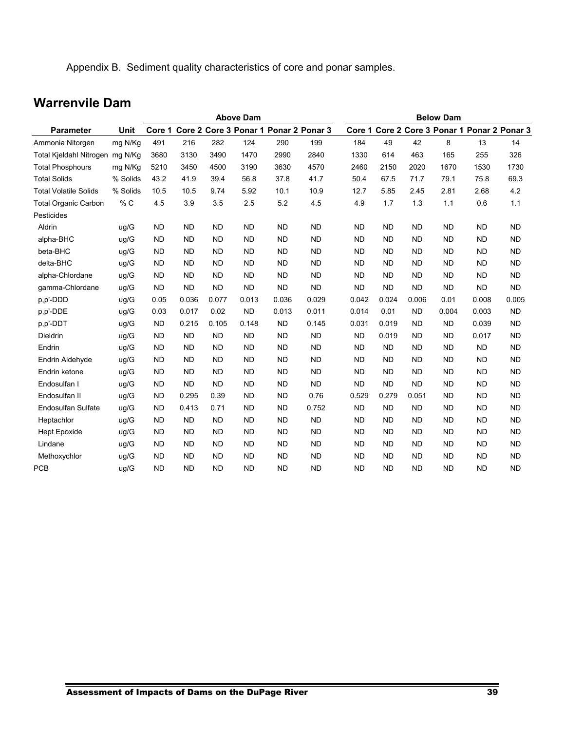Appendix B. Sediment quality characteristics of core and ponar samples.

# **Warrenvile Dam**

|                                 |          |           | <b>Above Dam</b> |           |           |           |                                              |           | <b>Below Dam</b> |           |           |           |                                              |  |  |
|---------------------------------|----------|-----------|------------------|-----------|-----------|-----------|----------------------------------------------|-----------|------------------|-----------|-----------|-----------|----------------------------------------------|--|--|
| <b>Parameter</b>                | Unit     |           |                  |           |           |           | Core 1 Core 2 Core 3 Ponar 1 Ponar 2 Ponar 3 |           |                  |           |           |           | Core 1 Core 2 Core 3 Ponar 1 Ponar 2 Ponar 3 |  |  |
| Ammonia Nitorgen                | mg N/Kg  | 491       | 216              | 282       | 124       | 290       | 199                                          | 184       | 49               | 42        | 8         | 13        | 14                                           |  |  |
| Total Kjeldahl Nitrogen mg N/Kg |          | 3680      | 3130             | 3490      | 1470      | 2990      | 2840                                         | 1330      | 614              | 463       | 165       | 255       | 326                                          |  |  |
| <b>Total Phosphours</b>         | mg N/Kg  | 5210      | 3450             | 4500      | 3190      | 3630      | 4570                                         | 2460      | 2150             | 2020      | 1670      | 1530      | 1730                                         |  |  |
| <b>Total Solids</b>             | % Solids | 43.2      | 41.9             | 39.4      | 56.8      | 37.8      | 41.7                                         | 50.4      | 67.5             | 71.7      | 79.1      | 75.8      | 69.3                                         |  |  |
| <b>Total Volatile Solids</b>    | % Solids | 10.5      | 10.5             | 9.74      | 5.92      | 10.1      | 10.9                                         | 12.7      | 5.85             | 2.45      | 2.81      | 2.68      | 4.2                                          |  |  |
| <b>Total Organic Carbon</b>     | % C      | 4.5       | 3.9              | 3.5       | 2.5       | 5.2       | 4.5                                          | 4.9       | 1.7              | 1.3       | 1.1       | 0.6       | 1.1                                          |  |  |
| Pesticides                      |          |           |                  |           |           |           |                                              |           |                  |           |           |           |                                              |  |  |
| Aldrin                          | ug/G     | <b>ND</b> | <b>ND</b>        | <b>ND</b> | <b>ND</b> | <b>ND</b> | <b>ND</b>                                    | <b>ND</b> | <b>ND</b>        | <b>ND</b> | <b>ND</b> | <b>ND</b> | <b>ND</b>                                    |  |  |
| alpha-BHC                       | ug/G     | <b>ND</b> | <b>ND</b>        | <b>ND</b> | <b>ND</b> | <b>ND</b> | <b>ND</b>                                    | <b>ND</b> | <b>ND</b>        | <b>ND</b> | <b>ND</b> | <b>ND</b> | <b>ND</b>                                    |  |  |
| beta-BHC                        | ug/G     | <b>ND</b> | <b>ND</b>        | <b>ND</b> | <b>ND</b> | <b>ND</b> | <b>ND</b>                                    | <b>ND</b> | <b>ND</b>        | <b>ND</b> | <b>ND</b> | <b>ND</b> | <b>ND</b>                                    |  |  |
| delta-BHC                       | ug/G     | <b>ND</b> | <b>ND</b>        | <b>ND</b> | <b>ND</b> | <b>ND</b> | <b>ND</b>                                    | <b>ND</b> | <b>ND</b>        | <b>ND</b> | <b>ND</b> | <b>ND</b> | <b>ND</b>                                    |  |  |
| alpha-Chlordane                 | ug/G     | <b>ND</b> | <b>ND</b>        | <b>ND</b> | <b>ND</b> | <b>ND</b> | <b>ND</b>                                    | <b>ND</b> | <b>ND</b>        | <b>ND</b> | <b>ND</b> | <b>ND</b> | <b>ND</b>                                    |  |  |
| gamma-Chlordane                 | ug/G     | <b>ND</b> | <b>ND</b>        | <b>ND</b> | <b>ND</b> | <b>ND</b> | <b>ND</b>                                    | <b>ND</b> | <b>ND</b>        | <b>ND</b> | <b>ND</b> | <b>ND</b> | <b>ND</b>                                    |  |  |
| p,p'-DDD                        | ug/G     | 0.05      | 0.036            | 0.077     | 0.013     | 0.036     | 0.029                                        | 0.042     | 0.024            | 0.006     | 0.01      | 0.008     | 0.005                                        |  |  |
| p,p'-DDE                        | ug/G     | 0.03      | 0.017            | 0.02      | <b>ND</b> | 0.013     | 0.011                                        | 0.014     | 0.01             | <b>ND</b> | 0.004     | 0.003     | <b>ND</b>                                    |  |  |
| p,p'-DDT                        | ug/G     | <b>ND</b> | 0.215            | 0.105     | 0.148     | <b>ND</b> | 0.145                                        | 0.031     | 0.019            | <b>ND</b> | <b>ND</b> | 0.039     | <b>ND</b>                                    |  |  |
| <b>Dieldrin</b>                 | ug/G     | <b>ND</b> | <b>ND</b>        | <b>ND</b> | <b>ND</b> | <b>ND</b> | <b>ND</b>                                    | <b>ND</b> | 0.019            | <b>ND</b> | <b>ND</b> | 0.017     | <b>ND</b>                                    |  |  |
| Endrin                          | ug/G     | <b>ND</b> | <b>ND</b>        | <b>ND</b> | <b>ND</b> | <b>ND</b> | <b>ND</b>                                    | <b>ND</b> | <b>ND</b>        | <b>ND</b> | <b>ND</b> | <b>ND</b> | <b>ND</b>                                    |  |  |
| Endrin Aldehyde                 | ug/G     | <b>ND</b> | <b>ND</b>        | <b>ND</b> | <b>ND</b> | <b>ND</b> | <b>ND</b>                                    | <b>ND</b> | <b>ND</b>        | <b>ND</b> | <b>ND</b> | <b>ND</b> | <b>ND</b>                                    |  |  |
| Endrin ketone                   | ug/G     | <b>ND</b> | <b>ND</b>        | <b>ND</b> | <b>ND</b> | <b>ND</b> | <b>ND</b>                                    | <b>ND</b> | <b>ND</b>        | <b>ND</b> | <b>ND</b> | <b>ND</b> | <b>ND</b>                                    |  |  |
| Endosulfan I                    | ug/G     | <b>ND</b> | <b>ND</b>        | <b>ND</b> | <b>ND</b> | <b>ND</b> | <b>ND</b>                                    | <b>ND</b> | <b>ND</b>        | <b>ND</b> | <b>ND</b> | <b>ND</b> | <b>ND</b>                                    |  |  |
| Endosulfan II                   | ug/G     | <b>ND</b> | 0.295            | 0.39      | <b>ND</b> | <b>ND</b> | 0.76                                         | 0.529     | 0.279            | 0.051     | <b>ND</b> | <b>ND</b> | <b>ND</b>                                    |  |  |
| <b>Endosulfan Sulfate</b>       | ug/G     | <b>ND</b> | 0.413            | 0.71      | <b>ND</b> | <b>ND</b> | 0.752                                        | <b>ND</b> | <b>ND</b>        | <b>ND</b> | <b>ND</b> | <b>ND</b> | <b>ND</b>                                    |  |  |
| Heptachlor                      | ug/G     | <b>ND</b> | <b>ND</b>        | <b>ND</b> | <b>ND</b> | <b>ND</b> | <b>ND</b>                                    | <b>ND</b> | <b>ND</b>        | <b>ND</b> | <b>ND</b> | <b>ND</b> | <b>ND</b>                                    |  |  |
| <b>Hept Epoxide</b>             | ug/G     | <b>ND</b> | <b>ND</b>        | <b>ND</b> | <b>ND</b> | <b>ND</b> | <b>ND</b>                                    | <b>ND</b> | <b>ND</b>        | <b>ND</b> | <b>ND</b> | <b>ND</b> | <b>ND</b>                                    |  |  |
| Lindane                         | ug/G     | <b>ND</b> | <b>ND</b>        | <b>ND</b> | <b>ND</b> | <b>ND</b> | <b>ND</b>                                    | <b>ND</b> | <b>ND</b>        | <b>ND</b> | <b>ND</b> | <b>ND</b> | <b>ND</b>                                    |  |  |
| Methoxychlor                    | ug/G     | <b>ND</b> | <b>ND</b>        | <b>ND</b> | <b>ND</b> | <b>ND</b> | <b>ND</b>                                    | <b>ND</b> | <b>ND</b>        | <b>ND</b> | <b>ND</b> | <b>ND</b> | <b>ND</b>                                    |  |  |
| <b>PCB</b>                      | uq/G     | <b>ND</b> | <b>ND</b>        | <b>ND</b> | <b>ND</b> | <b>ND</b> | <b>ND</b>                                    | <b>ND</b> | <b>ND</b>        | <b>ND</b> | <b>ND</b> | <b>ND</b> | <b>ND</b>                                    |  |  |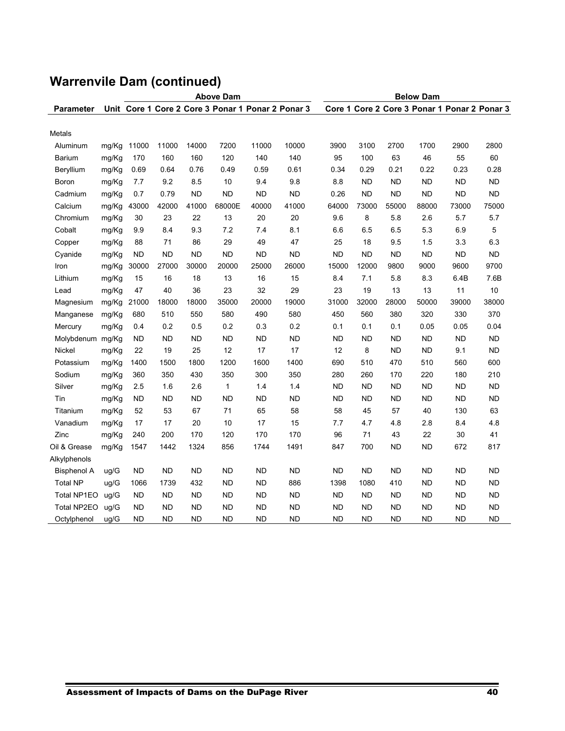|                  |       | <b>Above Dam</b> |           |           |                                                   |           |           | <b>Below Dam</b> |           |           |           |                                              |           |  |
|------------------|-------|------------------|-----------|-----------|---------------------------------------------------|-----------|-----------|------------------|-----------|-----------|-----------|----------------------------------------------|-----------|--|
| <b>Parameter</b> |       |                  |           |           | Unit Core 1 Core 2 Core 3 Ponar 1 Ponar 2 Ponar 3 |           |           |                  |           |           |           | Core 1 Core 2 Core 3 Ponar 1 Ponar 2 Ponar 3 |           |  |
|                  |       |                  |           |           |                                                   |           |           |                  |           |           |           |                                              |           |  |
| Metals           |       |                  |           |           |                                                   |           |           |                  |           |           |           |                                              |           |  |
| Aluminum         | mg/Kg | 11000            | 11000     | 14000     | 7200                                              | 11000     | 10000     | 3900             | 3100      | 2700      | 1700      | 2900                                         | 2800      |  |
| Barium           | mg/Kg | 170              | 160       | 160       | 120                                               | 140       | 140       | 95               | 100       | 63        | 46        | 55                                           | 60        |  |
| Beryllium        | mg/Kg | 0.69             | 0.64      | 0.76      | 0.49                                              | 0.59      | 0.61      | 0.34             | 0.29      | 0.21      | 0.22      | 0.23                                         | 0.28      |  |
| Boron            | mg/Kg | 7.7              | 9.2       | 8.5       | 10                                                | 9.4       | 9.8       | 8.8              | <b>ND</b> | <b>ND</b> | <b>ND</b> | <b>ND</b>                                    | <b>ND</b> |  |
| Cadmium          | mg/Kg | 0.7              | 0.79      | <b>ND</b> | <b>ND</b>                                         | <b>ND</b> | <b>ND</b> | 0.26             | <b>ND</b> | <b>ND</b> | <b>ND</b> | <b>ND</b>                                    | <b>ND</b> |  |
| Calcium          | mg/Kg | 43000            | 42000     | 41000     | 68000E                                            | 40000     | 41000     | 64000            | 73000     | 55000     | 88000     | 73000                                        | 75000     |  |
| Chromium         | mg/Kg | 30               | 23        | 22        | 13                                                | 20        | 20        | 9.6              | 8         | 5.8       | 2.6       | 5.7                                          | 5.7       |  |
| Cobalt           | mg/Kg | 9.9              | 8.4       | 9.3       | 7.2                                               | 7.4       | 8.1       | 6.6              | 6.5       | 6.5       | 5.3       | 6.9                                          | 5         |  |
| Copper           | mg/Kg | 88               | 71        | 86        | 29                                                | 49        | 47        | 25               | 18        | 9.5       | 1.5       | 3.3                                          | 6.3       |  |
| Cyanide          | mg/Kg | <b>ND</b>        | <b>ND</b> | <b>ND</b> | <b>ND</b>                                         | <b>ND</b> | <b>ND</b> | <b>ND</b>        | <b>ND</b> | <b>ND</b> | <b>ND</b> | <b>ND</b>                                    | <b>ND</b> |  |
| Iron             | mg/Kg | 30000            | 27000     | 30000     | 20000                                             | 25000     | 26000     | 15000            | 12000     | 9800      | 9000      | 9600                                         | 9700      |  |
| Lithium          | mg/Kg | 15               | 16        | 18        | 13                                                | 16        | 15        | 8.4              | 7.1       | 5.8       | 8.3       | 6.4B                                         | 7.6B      |  |
| Lead             | mg/Kg | 47               | 40        | 36        | 23                                                | 32        | 29        | 23               | 19        | 13        | 13        | 11                                           | 10        |  |
| Magnesium        | mg/Kg | 21000            | 18000     | 18000     | 35000                                             | 20000     | 19000     | 31000            | 32000     | 28000     | 50000     | 39000                                        | 38000     |  |
| Manganese        | mg/Kg | 680              | 510       | 550       | 580                                               | 490       | 580       | 450              | 560       | 380       | 320       | 330                                          | 370       |  |
| Mercury          | mg/Kg | 0.4              | 0.2       | 0.5       | 0.2                                               | 0.3       | 0.2       | 0.1              | 0.1       | 0.1       | 0.05      | 0.05                                         | 0.04      |  |
| Molybdenum mg/Kg |       | <b>ND</b>        | <b>ND</b> | <b>ND</b> | <b>ND</b>                                         | <b>ND</b> | <b>ND</b> | <b>ND</b>        | <b>ND</b> | <b>ND</b> | <b>ND</b> | <b>ND</b>                                    | <b>ND</b> |  |
| Nickel           | mg/Kg | 22               | 19        | 25        | 12                                                | 17        | 17        | 12               | 8         | <b>ND</b> | <b>ND</b> | 9.1                                          | <b>ND</b> |  |
| Potassium        | mg/Kg | 1400             | 1500      | 1800      | 1200                                              | 1600      | 1400      | 690              | 510       | 470       | 510       | 560                                          | 600       |  |
| Sodium           | mg/Kg | 360              | 350       | 430       | 350                                               | 300       | 350       | 280              | 260       | 170       | 220       | 180                                          | 210       |  |
| Silver           | mg/Kg | 2.5              | 1.6       | 2.6       | $\mathbf{1}$                                      | 1.4       | 1.4       | <b>ND</b>        | <b>ND</b> | <b>ND</b> | <b>ND</b> | <b>ND</b>                                    | <b>ND</b> |  |
| Tin              | mg/Kg | ND               | <b>ND</b> | <b>ND</b> | <b>ND</b>                                         | <b>ND</b> | <b>ND</b> | <b>ND</b>        | <b>ND</b> | ND        | <b>ND</b> | ND                                           | <b>ND</b> |  |
| Titanium         | mg/Kg | 52               | 53        | 67        | 71                                                | 65        | 58        | 58               | 45        | 57        | 40        | 130                                          | 63        |  |
| Vanadium         | mg/Kg | 17               | 17        | 20        | 10                                                | 17        | 15        | 7.7              | 4.7       | 4.8       | 2.8       | 8.4                                          | 4.8       |  |
| Zinc             | mg/Kg | 240              | 200       | 170       | 120                                               | 170       | 170       | 96               | 71        | 43        | 22        | 30                                           | 41        |  |
| Oil & Grease     | mg/Kg | 1547             | 1442      | 1324      | 856                                               | 1744      | 1491      | 847              | 700       | <b>ND</b> | <b>ND</b> | 672                                          | 817       |  |
| Alkylphenols     |       |                  |           |           |                                                   |           |           |                  |           |           |           |                                              |           |  |
| Bisphenol A      | ug/G  | <b>ND</b>        | <b>ND</b> | <b>ND</b> | <b>ND</b>                                         | <b>ND</b> | <b>ND</b> | <b>ND</b>        | <b>ND</b> | <b>ND</b> | <b>ND</b> | <b>ND</b>                                    | <b>ND</b> |  |
| <b>Total NP</b>  | uq/G  | 1066             | 1739      | 432       | <b>ND</b>                                         | <b>ND</b> | 886       | 1398             | 1080      | 410       | <b>ND</b> | <b>ND</b>                                    | <b>ND</b> |  |
| Total NP1EO      | ug/G  | ND.              | <b>ND</b> | ND        | <b>ND</b>                                         | ND        | <b>ND</b> | <b>ND</b>        | <b>ND</b> | ND        | <b>ND</b> | ND                                           | <b>ND</b> |  |
| Total NP2EO      | ug/G  | <b>ND</b>        | <b>ND</b> | <b>ND</b> | <b>ND</b>                                         | <b>ND</b> | <b>ND</b> | <b>ND</b>        | <b>ND</b> | <b>ND</b> | <b>ND</b> | <b>ND</b>                                    | <b>ND</b> |  |
| Octylphenol      | uq/G  | <b>ND</b>        | <b>ND</b> | <b>ND</b> | <b>ND</b>                                         | <b>ND</b> | <b>ND</b> | <b>ND</b>        | <b>ND</b> | <b>ND</b> | <b>ND</b> | <b>ND</b>                                    | <b>ND</b> |  |

# **Warrenvile Dam (continued)**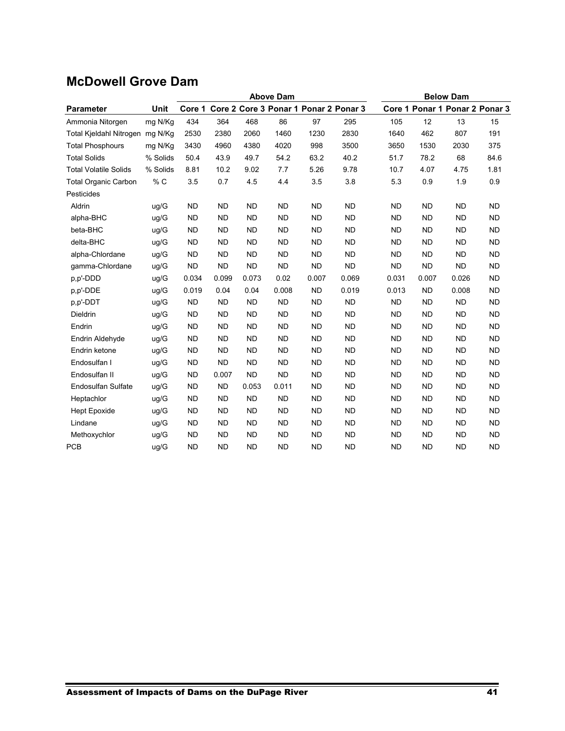# **McDowell Grove Dam**

|                                 |          | <b>Above Dam</b> |           |           |                                       |           |           | <b>Below Dam</b> |           |                                |           |  |  |
|---------------------------------|----------|------------------|-----------|-----------|---------------------------------------|-----------|-----------|------------------|-----------|--------------------------------|-----------|--|--|
| <b>Parameter</b>                | Unit     | Core 1           |           |           | Core 2 Core 3 Ponar 1 Ponar 2 Ponar 3 |           |           |                  |           | Core 1 Ponar 1 Ponar 2 Ponar 3 |           |  |  |
| Ammonia Nitorgen                | mg N/Kg  | 434              | 364       | 468       | 86                                    | 97        | 295       | 105              | 12        | 13                             | 15        |  |  |
| Total Kjeldahl Nitrogen mg N/Kg |          | 2530             | 2380      | 2060      | 1460                                  | 1230      | 2830      | 1640             | 462       | 807                            | 191       |  |  |
| <b>Total Phosphours</b>         | mg N/Kg  | 3430             | 4960      | 4380      | 4020                                  | 998       | 3500      | 3650             | 1530      | 2030                           | 375       |  |  |
| <b>Total Solids</b>             | % Solids | 50.4             | 43.9      | 49.7      | 54.2                                  | 63.2      | 40.2      | 51.7             | 78.2      | 68                             | 84.6      |  |  |
| <b>Total Volatile Solids</b>    | % Solids | 8.81             | 10.2      | 9.02      | 7.7                                   | 5.26      | 9.78      | 10.7             | 4.07      | 4.75                           | 1.81      |  |  |
| <b>Total Organic Carbon</b>     | % C      | 3.5              | 0.7       | 4.5       | 4.4                                   | 3.5       | 3.8       | 5.3              | 0.9       | 1.9                            | 0.9       |  |  |
| Pesticides                      |          |                  |           |           |                                       |           |           |                  |           |                                |           |  |  |
| Aldrin                          | uq/G     | <b>ND</b>        | <b>ND</b> | <b>ND</b> | <b>ND</b>                             | <b>ND</b> | <b>ND</b> | <b>ND</b>        | <b>ND</b> | <b>ND</b>                      | <b>ND</b> |  |  |
| alpha-BHC                       | uq/G     | <b>ND</b>        | <b>ND</b> | <b>ND</b> | <b>ND</b>                             | <b>ND</b> | <b>ND</b> | <b>ND</b>        | <b>ND</b> | <b>ND</b>                      | <b>ND</b> |  |  |
| beta-BHC                        | ug/G     | <b>ND</b>        | <b>ND</b> | <b>ND</b> | <b>ND</b>                             | <b>ND</b> | <b>ND</b> | <b>ND</b>        | <b>ND</b> | <b>ND</b>                      | <b>ND</b> |  |  |
| delta-BHC                       | uq/G     | <b>ND</b>        | <b>ND</b> | <b>ND</b> | <b>ND</b>                             | <b>ND</b> | <b>ND</b> | <b>ND</b>        | <b>ND</b> | <b>ND</b>                      | <b>ND</b> |  |  |
| alpha-Chlordane                 | ug/G     | <b>ND</b>        | <b>ND</b> | <b>ND</b> | <b>ND</b>                             | <b>ND</b> | <b>ND</b> | <b>ND</b>        | <b>ND</b> | <b>ND</b>                      | <b>ND</b> |  |  |
| gamma-Chlordane                 | ug/G     | <b>ND</b>        | <b>ND</b> | <b>ND</b> | <b>ND</b>                             | <b>ND</b> | <b>ND</b> | <b>ND</b>        | <b>ND</b> | <b>ND</b>                      | <b>ND</b> |  |  |
| p,p'-DDD                        | ug/G     | 0.034            | 0.099     | 0.073     | 0.02                                  | 0.007     | 0.069     | 0.031            | 0.007     | 0.026                          | <b>ND</b> |  |  |
| p,p'-DDE                        | uq/G     | 0.019            | 0.04      | 0.04      | 0.008                                 | <b>ND</b> | 0.019     | 0.013            | <b>ND</b> | 0.008                          | <b>ND</b> |  |  |
| p,p'-DDT                        | ug/G     | <b>ND</b>        | <b>ND</b> | <b>ND</b> | <b>ND</b>                             | <b>ND</b> | <b>ND</b> | <b>ND</b>        | <b>ND</b> | <b>ND</b>                      | <b>ND</b> |  |  |
| Dieldrin                        | ug/G     | <b>ND</b>        | <b>ND</b> | <b>ND</b> | <b>ND</b>                             | <b>ND</b> | <b>ND</b> | <b>ND</b>        | <b>ND</b> | <b>ND</b>                      | <b>ND</b> |  |  |
| Endrin                          | uq/G     | <b>ND</b>        | <b>ND</b> | <b>ND</b> | <b>ND</b>                             | <b>ND</b> | <b>ND</b> | <b>ND</b>        | <b>ND</b> | <b>ND</b>                      | <b>ND</b> |  |  |
| Endrin Aldehyde                 | uq/G     | <b>ND</b>        | <b>ND</b> | <b>ND</b> | <b>ND</b>                             | <b>ND</b> | <b>ND</b> | <b>ND</b>        | <b>ND</b> | <b>ND</b>                      | <b>ND</b> |  |  |
| Endrin ketone                   | uq/G     | <b>ND</b>        | <b>ND</b> | <b>ND</b> | <b>ND</b>                             | <b>ND</b> | <b>ND</b> | <b>ND</b>        | <b>ND</b> | <b>ND</b>                      | <b>ND</b> |  |  |
| Endosulfan I                    | ug/G     | <b>ND</b>        | <b>ND</b> | <b>ND</b> | <b>ND</b>                             | <b>ND</b> | <b>ND</b> | <b>ND</b>        | <b>ND</b> | <b>ND</b>                      | <b>ND</b> |  |  |
| Endosulfan II                   | ug/G     | <b>ND</b>        | 0.007     | <b>ND</b> | <b>ND</b>                             | <b>ND</b> | <b>ND</b> | <b>ND</b>        | <b>ND</b> | <b>ND</b>                      | <b>ND</b> |  |  |
| <b>Endosulfan Sulfate</b>       | uq/G     | <b>ND</b>        | <b>ND</b> | 0.053     | 0.011                                 | <b>ND</b> | <b>ND</b> | <b>ND</b>        | <b>ND</b> | <b>ND</b>                      | <b>ND</b> |  |  |
| Heptachlor                      | ug/G     | <b>ND</b>        | <b>ND</b> | <b>ND</b> | <b>ND</b>                             | <b>ND</b> | <b>ND</b> | <b>ND</b>        | <b>ND</b> | <b>ND</b>                      | <b>ND</b> |  |  |
| <b>Hept Epoxide</b>             | ug/G     | <b>ND</b>        | <b>ND</b> | <b>ND</b> | <b>ND</b>                             | <b>ND</b> | <b>ND</b> | <b>ND</b>        | <b>ND</b> | <b>ND</b>                      | <b>ND</b> |  |  |
| Lindane                         | uq/G     | <b>ND</b>        | <b>ND</b> | <b>ND</b> | <b>ND</b>                             | <b>ND</b> | <b>ND</b> | <b>ND</b>        | <b>ND</b> | <b>ND</b>                      | <b>ND</b> |  |  |
| Methoxychlor                    | uq/G     | <b>ND</b>        | <b>ND</b> | <b>ND</b> | <b>ND</b>                             | <b>ND</b> | <b>ND</b> | <b>ND</b>        | <b>ND</b> | <b>ND</b>                      | <b>ND</b> |  |  |
| <b>PCB</b>                      | uq/G     | <b>ND</b>        | <b>ND</b> | <b>ND</b> | <b>ND</b>                             | <b>ND</b> | <b>ND</b> | <b>ND</b>        | <b>ND</b> | <b>ND</b>                      | <b>ND</b> |  |  |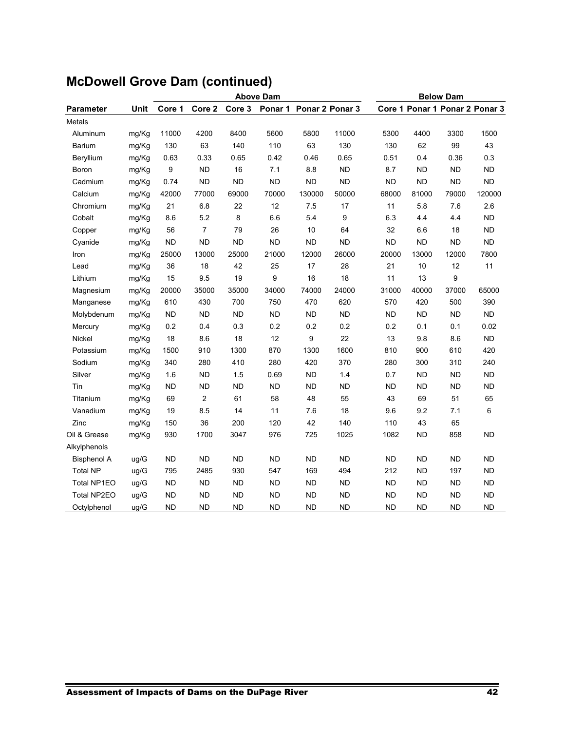|                    |             |           |                | <b>Above Dam</b> | <b>Below Dam</b> |           |                 |           |           |                                |           |
|--------------------|-------------|-----------|----------------|------------------|------------------|-----------|-----------------|-----------|-----------|--------------------------------|-----------|
| <b>Parameter</b>   | <b>Unit</b> | Core 1    | Core 2         | Core 3           | Ponar 1          |           | Ponar 2 Ponar 3 |           |           | Core 1 Ponar 1 Ponar 2 Ponar 3 |           |
| Metals             |             |           |                |                  |                  |           |                 |           |           |                                |           |
| Aluminum           | mg/Kg       | 11000     | 4200           | 8400             | 5600             | 5800      | 11000           | 5300      | 4400      | 3300                           | 1500      |
| <b>Barium</b>      | mg/Kg       | 130       | 63             | 140              | 110              | 63        | 130             | 130       | 62        | 99                             | 43        |
| Beryllium          | mg/Kg       | 0.63      | 0.33           | 0.65             | 0.42             | 0.46      | 0.65            | 0.51      | 0.4       | 0.36                           | 0.3       |
| Boron              | mg/Kg       | 9         | <b>ND</b>      | 16               | 7.1              | 8.8       | <b>ND</b>       | 8.7       | <b>ND</b> | <b>ND</b>                      | <b>ND</b> |
| Cadmium            | mg/Kg       | 0.74      | <b>ND</b>      | <b>ND</b>        | <b>ND</b>        | <b>ND</b> | <b>ND</b>       | <b>ND</b> | <b>ND</b> | <b>ND</b>                      | <b>ND</b> |
| Calcium            | mg/Kg       | 42000     | 77000          | 69000            | 70000            | 130000    | 50000           | 68000     | 81000     | 79000                          | 120000    |
| Chromium           | mg/Kg       | 21        | 6.8            | 22               | 12               | 7.5       | 17              | 11        | 5.8       | 7.6                            | 2.6       |
| Cobalt             | mg/Kg       | 8.6       | 5.2            | 8                | 6.6              | 5.4       | 9               | 6.3       | 4.4       | 4.4                            | <b>ND</b> |
| Copper             | mg/Kg       | 56        | $\overline{7}$ | 79               | 26               | 10        | 64              | 32        | 6.6       | 18                             | <b>ND</b> |
| Cyanide            | mg/Kg       | <b>ND</b> | <b>ND</b>      | <b>ND</b>        | <b>ND</b>        | <b>ND</b> | <b>ND</b>       | <b>ND</b> | <b>ND</b> | <b>ND</b>                      | <b>ND</b> |
| Iron               | mg/Kg       | 25000     | 13000          | 25000            | 21000            | 12000     | 26000           | 20000     | 13000     | 12000                          | 7800      |
| Lead               | mg/Kg       | 36        | 18             | 42               | 25               | 17        | 28              | 21        | 10        | 12                             | 11        |
| Lithium            | mg/Kg       | 15        | 9.5            | 19               | 9                | 16        | 18              | 11        | 13        | 9                              |           |
| Magnesium          | mg/Kg       | 20000     | 35000          | 35000            | 34000            | 74000     | 24000           | 31000     | 40000     | 37000                          | 65000     |
| Manganese          | mg/Kg       | 610       | 430            | 700              | 750              | 470       | 620             | 570       | 420       | 500                            | 390       |
| Molybdenum         | mg/Kg       | <b>ND</b> | <b>ND</b>      | <b>ND</b>        | <b>ND</b>        | <b>ND</b> | <b>ND</b>       | <b>ND</b> | <b>ND</b> | <b>ND</b>                      | <b>ND</b> |
| Mercury            | mg/Kg       | 0.2       | 0.4            | 0.3              | 0.2              | 0.2       | 0.2             | 0.2       | 0.1       | 0.1                            | 0.02      |
| Nickel             | mg/Kg       | 18        | 8.6            | 18               | 12               | 9         | 22              | 13        | 9.8       | 8.6                            | <b>ND</b> |
| Potassium          | mg/Kg       | 1500      | 910            | 1300             | 870              | 1300      | 1600            | 810       | 900       | 610                            | 420       |
| Sodium             | mg/Kg       | 340       | 280            | 410              | 280              | 420       | 370             | 280       | 300       | 310                            | 240       |
| Silver             | mg/Kg       | 1.6       | <b>ND</b>      | 1.5              | 0.69             | <b>ND</b> | 1.4             | 0.7       | <b>ND</b> | <b>ND</b>                      | <b>ND</b> |
| Tin                | mg/Kg       | <b>ND</b> | <b>ND</b>      | <b>ND</b>        | <b>ND</b>        | <b>ND</b> | <b>ND</b>       | <b>ND</b> | <b>ND</b> | <b>ND</b>                      | <b>ND</b> |
| Titanium           | mg/Kg       | 69        | $\overline{2}$ | 61               | 58               | 48        | 55              | 43        | 69        | 51                             | 65        |
| Vanadium           | mg/Kg       | 19        | 8.5            | 14               | 11               | 7.6       | 18              | 9.6       | 9.2       | 7.1                            | 6         |
| Zinc               | mg/Kg       | 150       | 36             | 200              | 120              | 42        | 140             | 110       | 43        | 65                             |           |
| Oil & Grease       | mg/Kg       | 930       | 1700           | 3047             | 976              | 725       | 1025            | 1082      | <b>ND</b> | 858                            | <b>ND</b> |
| Alkylphenols       |             |           |                |                  |                  |           |                 |           |           |                                |           |
| <b>Bisphenol A</b> | uq/G        | <b>ND</b> | <b>ND</b>      | <b>ND</b>        | <b>ND</b>        | <b>ND</b> | <b>ND</b>       | <b>ND</b> | <b>ND</b> | <b>ND</b>                      | <b>ND</b> |
| <b>Total NP</b>    | ug/G        | 795       | 2485           | 930              | 547              | 169       | 494             | 212       | ND        | 197                            | <b>ND</b> |
| Total NP1EO        | ug/G        | ND        | ND             | <b>ND</b>        | <b>ND</b>        | <b>ND</b> | <b>ND</b>       | <b>ND</b> | ND        | ND                             | <b>ND</b> |
| Total NP2EO        | ug/G        | <b>ND</b> | <b>ND</b>      | <b>ND</b>        | <b>ND</b>        | <b>ND</b> | <b>ND</b>       | <b>ND</b> | <b>ND</b> | <b>ND</b>                      | <b>ND</b> |
| Octylphenol        | ug/G        | <b>ND</b> | <b>ND</b>      | <b>ND</b>        | <b>ND</b>        | <b>ND</b> | <b>ND</b>       | <b>ND</b> | <b>ND</b> | <b>ND</b>                      | <b>ND</b> |

# **McDowell Grove Dam (continued)**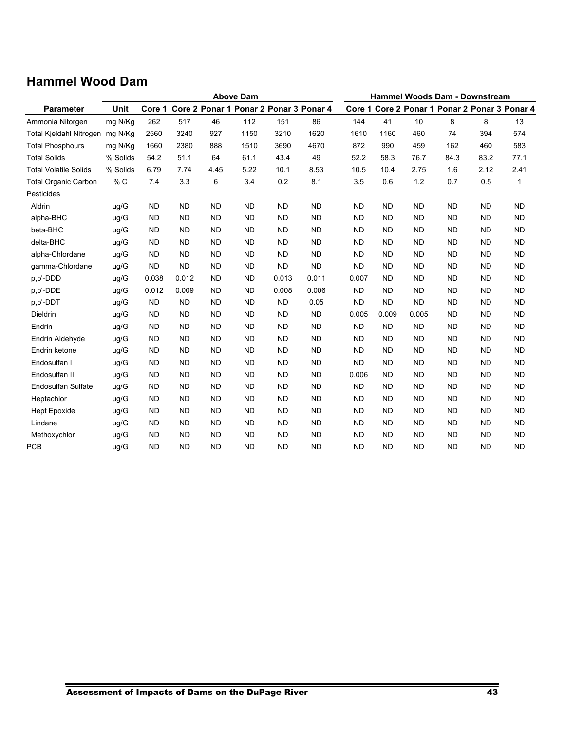# **Hammel Wood Dam**

|                                |          | <b>Above Dam</b> |           |           |           |           |                                        |           | <b>Hammel Woods Dam - Downstream</b> |           |           |                                               |           |  |  |
|--------------------------------|----------|------------------|-----------|-----------|-----------|-----------|----------------------------------------|-----------|--------------------------------------|-----------|-----------|-----------------------------------------------|-----------|--|--|
| <b>Parameter</b>               | Unit     | Core 1           |           |           |           |           | Core 2 Ponar 1 Ponar 2 Ponar 3 Ponar 4 |           |                                      |           |           | Core 1 Core 2 Ponar 1 Ponar 2 Ponar 3 Ponar 4 |           |  |  |
| Ammonia Nitorgen               | mg N/Kg  | 262              | 517       | 46        | 112       | 151       | 86                                     | 144       | 41                                   | 10        | 8         | 8                                             | 13        |  |  |
| <b>Total Kieldahl Nitrogen</b> | mg N/Kg  | 2560             | 3240      | 927       | 1150      | 3210      | 1620                                   | 1610      | 1160                                 | 460       | 74        | 394                                           | 574       |  |  |
| <b>Total Phosphours</b>        | mg N/Kg  | 1660             | 2380      | 888       | 1510      | 3690      | 4670                                   | 872       | 990                                  | 459       | 162       | 460                                           | 583       |  |  |
| <b>Total Solids</b>            | % Solids | 54.2             | 51.1      | 64        | 61.1      | 43.4      | 49                                     | 52.2      | 58.3                                 | 76.7      | 84.3      | 83.2                                          | 77.1      |  |  |
| <b>Total Volatile Solids</b>   | % Solids | 6.79             | 7.74      | 4.45      | 5.22      | 10.1      | 8.53                                   | 10.5      | 10.4                                 | 2.75      | 1.6       | 2.12                                          | 2.41      |  |  |
| <b>Total Organic Carbon</b>    | % C      | 74               | 3.3       | 6         | 3.4       | 0.2       | 8.1                                    | 3.5       | 0.6                                  | 1.2       | 0.7       | 0.5                                           | 1         |  |  |
| Pesticides                     |          |                  |           |           |           |           |                                        |           |                                      |           |           |                                               |           |  |  |
| Aldrin                         | uq/G     | <b>ND</b>        | <b>ND</b> | <b>ND</b> | <b>ND</b> | <b>ND</b> | <b>ND</b>                              | <b>ND</b> | <b>ND</b>                            | <b>ND</b> | <b>ND</b> | <b>ND</b>                                     | <b>ND</b> |  |  |
| alpha-BHC                      | ug/G     | <b>ND</b>        | <b>ND</b> | <b>ND</b> | <b>ND</b> | <b>ND</b> | <b>ND</b>                              | <b>ND</b> | <b>ND</b>                            | <b>ND</b> | <b>ND</b> | <b>ND</b>                                     | <b>ND</b> |  |  |
| beta-BHC                       | uq/G     | <b>ND</b>        | <b>ND</b> | <b>ND</b> | <b>ND</b> | <b>ND</b> | <b>ND</b>                              | <b>ND</b> | <b>ND</b>                            | <b>ND</b> | <b>ND</b> | <b>ND</b>                                     | <b>ND</b> |  |  |
| delta-BHC                      | ug/G     | <b>ND</b>        | <b>ND</b> | <b>ND</b> | <b>ND</b> | <b>ND</b> | <b>ND</b>                              | <b>ND</b> | <b>ND</b>                            | <b>ND</b> | <b>ND</b> | <b>ND</b>                                     | <b>ND</b> |  |  |
| alpha-Chlordane                | ug/G     | <b>ND</b>        | <b>ND</b> | <b>ND</b> | <b>ND</b> | <b>ND</b> | <b>ND</b>                              | <b>ND</b> | <b>ND</b>                            | <b>ND</b> | <b>ND</b> | <b>ND</b>                                     | <b>ND</b> |  |  |
| gamma-Chlordane                | ug/G     | <b>ND</b>        | <b>ND</b> | <b>ND</b> | <b>ND</b> | <b>ND</b> | <b>ND</b>                              | <b>ND</b> | <b>ND</b>                            | <b>ND</b> | <b>ND</b> | <b>ND</b>                                     | <b>ND</b> |  |  |
| p,p'-DDD                       | uq/G     | 0.038            | 0.012     | <b>ND</b> | <b>ND</b> | 0.013     | 0.011                                  | 0.007     | <b>ND</b>                            | <b>ND</b> | <b>ND</b> | <b>ND</b>                                     | <b>ND</b> |  |  |
| p,p'-DDE                       | ug/G     | 0.012            | 0.009     | <b>ND</b> | <b>ND</b> | 0.008     | 0.006                                  | ND.       | <b>ND</b>                            | <b>ND</b> | <b>ND</b> | <b>ND</b>                                     | <b>ND</b> |  |  |
| p,p'-DDT                       | ug/G     | <b>ND</b>        | <b>ND</b> | <b>ND</b> | <b>ND</b> | <b>ND</b> | 0.05                                   | <b>ND</b> | <b>ND</b>                            | <b>ND</b> | <b>ND</b> | <b>ND</b>                                     | <b>ND</b> |  |  |
| Dieldrin                       | ug/G     | <b>ND</b>        | <b>ND</b> | <b>ND</b> | <b>ND</b> | <b>ND</b> | <b>ND</b>                              | 0.005     | 0.009                                | 0.005     | <b>ND</b> | <b>ND</b>                                     | <b>ND</b> |  |  |
| Endrin                         | ug/G     | <b>ND</b>        | <b>ND</b> | <b>ND</b> | <b>ND</b> | <b>ND</b> | <b>ND</b>                              | <b>ND</b> | <b>ND</b>                            | <b>ND</b> | <b>ND</b> | <b>ND</b>                                     | <b>ND</b> |  |  |
| Endrin Aldehyde                | ug/G     | <b>ND</b>        | <b>ND</b> | <b>ND</b> | <b>ND</b> | <b>ND</b> | <b>ND</b>                              | <b>ND</b> | <b>ND</b>                            | <b>ND</b> | <b>ND</b> | <b>ND</b>                                     | <b>ND</b> |  |  |
| Endrin ketone                  | uq/G     | <b>ND</b>        | <b>ND</b> | <b>ND</b> | <b>ND</b> | <b>ND</b> | <b>ND</b>                              | <b>ND</b> | <b>ND</b>                            | <b>ND</b> | <b>ND</b> | <b>ND</b>                                     | <b>ND</b> |  |  |
| Endosulfan I                   | ug/G     | <b>ND</b>        | <b>ND</b> | <b>ND</b> | <b>ND</b> | <b>ND</b> | <b>ND</b>                              | <b>ND</b> | <b>ND</b>                            | <b>ND</b> | <b>ND</b> | <b>ND</b>                                     | <b>ND</b> |  |  |
| Endosulfan II                  | ug/G     | <b>ND</b>        | <b>ND</b> | <b>ND</b> | <b>ND</b> | <b>ND</b> | <b>ND</b>                              | 0.006     | <b>ND</b>                            | <b>ND</b> | <b>ND</b> | <b>ND</b>                                     | <b>ND</b> |  |  |
| <b>Endosulfan Sulfate</b>      | uq/G     | <b>ND</b>        | <b>ND</b> | <b>ND</b> | <b>ND</b> | <b>ND</b> | <b>ND</b>                              | <b>ND</b> | <b>ND</b>                            | <b>ND</b> | <b>ND</b> | <b>ND</b>                                     | <b>ND</b> |  |  |
| Heptachlor                     | uq/G     | <b>ND</b>        | <b>ND</b> | <b>ND</b> | <b>ND</b> | <b>ND</b> | <b>ND</b>                              | <b>ND</b> | <b>ND</b>                            | <b>ND</b> | <b>ND</b> | <b>ND</b>                                     | <b>ND</b> |  |  |
| <b>Hept Epoxide</b>            | ug/G     | <b>ND</b>        | <b>ND</b> | <b>ND</b> | <b>ND</b> | <b>ND</b> | <b>ND</b>                              | <b>ND</b> | <b>ND</b>                            | <b>ND</b> | <b>ND</b> | <b>ND</b>                                     | <b>ND</b> |  |  |
| Lindane                        | ug/G     | <b>ND</b>        | <b>ND</b> | <b>ND</b> | <b>ND</b> | <b>ND</b> | <b>ND</b>                              | <b>ND</b> | <b>ND</b>                            | <b>ND</b> | <b>ND</b> | <b>ND</b>                                     | <b>ND</b> |  |  |
| Methoxychlor                   | ug/G     | <b>ND</b>        | <b>ND</b> | <b>ND</b> | <b>ND</b> | <b>ND</b> | <b>ND</b>                              | <b>ND</b> | <b>ND</b>                            | <b>ND</b> | <b>ND</b> | <b>ND</b>                                     | <b>ND</b> |  |  |
| <b>PCB</b>                     | uq/G     | <b>ND</b>        | <b>ND</b> | <b>ND</b> | <b>ND</b> | <b>ND</b> | <b>ND</b>                              | <b>ND</b> | <b>ND</b>                            | <b>ND</b> | <b>ND</b> | <b>ND</b>                                     | <b>ND</b> |  |  |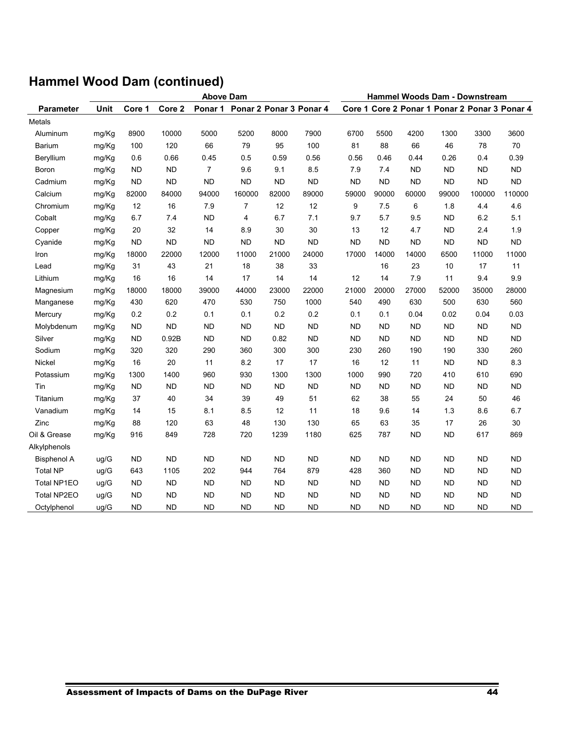| <b>Above Dam</b>   |             |           |           |                |                         |           | Hammel Woods Dam - Downstream |           |           |           |           |                                               |           |
|--------------------|-------------|-----------|-----------|----------------|-------------------------|-----------|-------------------------------|-----------|-----------|-----------|-----------|-----------------------------------------------|-----------|
| Parameter          | <b>Unit</b> | Core 1    | Core 2    | Ponar 1        | Ponar 2 Ponar 3 Ponar 4 |           |                               |           |           |           |           | Core 1 Core 2 Ponar 1 Ponar 2 Ponar 3 Ponar 4 |           |
| Metals             |             |           |           |                |                         |           |                               |           |           |           |           |                                               |           |
| Aluminum           | mg/Kg       | 8900      | 10000     | 5000           | 5200                    | 8000      | 7900                          | 6700      | 5500      | 4200      | 1300      | 3300                                          | 3600      |
| Barium             | mg/Kg       | 100       | 120       | 66             | 79                      | 95        | 100                           | 81        | 88        | 66        | 46        | 78                                            | 70        |
| Beryllium          | mg/Kg       | 0.6       | 0.66      | 0.45           | 0.5                     | 0.59      | 0.56                          | 0.56      | 0.46      | 0.44      | 0.26      | 0.4                                           | 0.39      |
| Boron              | mg/Kg       | <b>ND</b> | <b>ND</b> | $\overline{7}$ | 9.6                     | 9.1       | 8.5                           | 7.9       | 7.4       | <b>ND</b> | <b>ND</b> | <b>ND</b>                                     | <b>ND</b> |
| Cadmium            | mg/Kg       | <b>ND</b> | <b>ND</b> | <b>ND</b>      | <b>ND</b>               | <b>ND</b> | <b>ND</b>                     | <b>ND</b> | <b>ND</b> | <b>ND</b> | <b>ND</b> | <b>ND</b>                                     | <b>ND</b> |
| Calcium            | mg/Kg       | 82000     | 84000     | 94000          | 160000                  | 82000     | 89000                         | 59000     | 90000     | 60000     | 99000     | 100000                                        | 110000    |
| Chromium           | mg/Kg       | 12        | 16        | 7.9            | $\overline{7}$          | 12        | 12                            | 9         | 7.5       | 6         | 1.8       | 4.4                                           | 4.6       |
| Cobalt             | mg/Kg       | 6.7       | 7.4       | <b>ND</b>      | 4                       | 6.7       | 7.1                           | 9.7       | 5.7       | 9.5       | <b>ND</b> | 6.2                                           | 5.1       |
| Copper             | mg/Kg       | 20        | 32        | 14             | 8.9                     | 30        | 30                            | 13        | 12        | 4.7       | <b>ND</b> | 2.4                                           | 1.9       |
| Cyanide            | mg/Kg       | <b>ND</b> | <b>ND</b> | <b>ND</b>      | <b>ND</b>               | <b>ND</b> | <b>ND</b>                     | <b>ND</b> | <b>ND</b> | <b>ND</b> | <b>ND</b> | <b>ND</b>                                     | <b>ND</b> |
| Iron               | mg/Kg       | 18000     | 22000     | 12000          | 11000                   | 21000     | 24000                         | 17000     | 14000     | 14000     | 6500      | 11000                                         | 11000     |
| Lead               | mg/Kg       | 31        | 43        | 21             | 18                      | 38        | 33                            |           | 16        | 23        | 10        | 17                                            | 11        |
| Lithium            | mg/Kg       | 16        | 16        | 14             | 17                      | 14        | 14                            | 12        | 14        | 7.9       | 11        | 9.4                                           | 9.9       |
| Magnesium          | mg/Kg       | 18000     | 18000     | 39000          | 44000                   | 23000     | 22000                         | 21000     | 20000     | 27000     | 52000     | 35000                                         | 28000     |
| Manganese          | mg/Kg       | 430       | 620       | 470            | 530                     | 750       | 1000                          | 540       | 490       | 630       | 500       | 630                                           | 560       |
| Mercury            | mg/Kg       | 0.2       | 0.2       | 0.1            | 0.1                     | 0.2       | 0.2                           | 0.1       | 0.1       | 0.04      | 0.02      | 0.04                                          | 0.03      |
| Molybdenum         | mg/Kg       | <b>ND</b> | <b>ND</b> | <b>ND</b>      | <b>ND</b>               | <b>ND</b> | <b>ND</b>                     | <b>ND</b> | <b>ND</b> | <b>ND</b> | <b>ND</b> | <b>ND</b>                                     | <b>ND</b> |
| Silver             | mg/Kg       | <b>ND</b> | 0.92B     | <b>ND</b>      | <b>ND</b>               | 0.82      | <b>ND</b>                     | ND.       | <b>ND</b> | <b>ND</b> | <b>ND</b> | <b>ND</b>                                     | <b>ND</b> |
| Sodium             | mg/Kg       | 320       | 320       | 290            | 360                     | 300       | 300                           | 230       | 260       | 190       | 190       | 330                                           | 260       |
| Nickel             | mg/Kg       | 16        | 20        | 11             | 8.2                     | 17        | 17                            | 16        | 12        | 11        | <b>ND</b> | <b>ND</b>                                     | 8.3       |
| Potassium          | mg/Kg       | 1300      | 1400      | 960            | 930                     | 1300      | 1300                          | 1000      | 990       | 720       | 410       | 610                                           | 690       |
| Tin                | mg/Kg       | <b>ND</b> | <b>ND</b> | <b>ND</b>      | <b>ND</b>               | <b>ND</b> | <b>ND</b>                     | <b>ND</b> | <b>ND</b> | <b>ND</b> | <b>ND</b> | <b>ND</b>                                     | <b>ND</b> |
| Titanium           | mg/Kg       | 37        | 40        | 34             | 39                      | 49        | 51                            | 62        | 38        | 55        | 24        | 50                                            | 46        |
| Vanadium           | mg/Kg       | 14        | 15        | 8.1            | 8.5                     | 12        | 11                            | 18        | 9.6       | 14        | 1.3       | 8.6                                           | 6.7       |
| Zinc               | mg/Kg       | 88        | 120       | 63             | 48                      | 130       | 130                           | 65        | 63        | 35        | 17        | 26                                            | 30        |
| Oil & Grease       | mg/Kg       | 916       | 849       | 728            | 720                     | 1239      | 1180                          | 625       | 787       | <b>ND</b> | <b>ND</b> | 617                                           | 869       |
| Alkylphenols       |             |           |           |                |                         |           |                               |           |           |           |           |                                               |           |
| Bisphenol A        | ug/G        | <b>ND</b> | <b>ND</b> | <b>ND</b>      | <b>ND</b>               | <b>ND</b> | <b>ND</b>                     | <b>ND</b> | <b>ND</b> | <b>ND</b> | <b>ND</b> | ND                                            | <b>ND</b> |
| <b>Total NP</b>    | uq/G        | 643       | 1105      | 202            | 944                     | 764       | 879                           | 428       | 360       | <b>ND</b> | <b>ND</b> | <b>ND</b>                                     | <b>ND</b> |
| Total NP1EO        | ug/G        | <b>ND</b> | <b>ND</b> | <b>ND</b>      | <b>ND</b>               | <b>ND</b> | <b>ND</b>                     | <b>ND</b> | <b>ND</b> | <b>ND</b> | <b>ND</b> | <b>ND</b>                                     | ND        |
| <b>Total NP2EO</b> | ug/G        | <b>ND</b> | <b>ND</b> | <b>ND</b>      | <b>ND</b>               | <b>ND</b> | <b>ND</b>                     | <b>ND</b> | <b>ND</b> | <b>ND</b> | <b>ND</b> | <b>ND</b>                                     | <b>ND</b> |
| Octylphenol        | uq/G        | <b>ND</b> | <b>ND</b> | <b>ND</b>      | <b>ND</b>               | <b>ND</b> | <b>ND</b>                     | <b>ND</b> | <b>ND</b> | <b>ND</b> | <b>ND</b> | <b>ND</b>                                     | <b>ND</b> |

# **Hammel Wood Dam (continued)**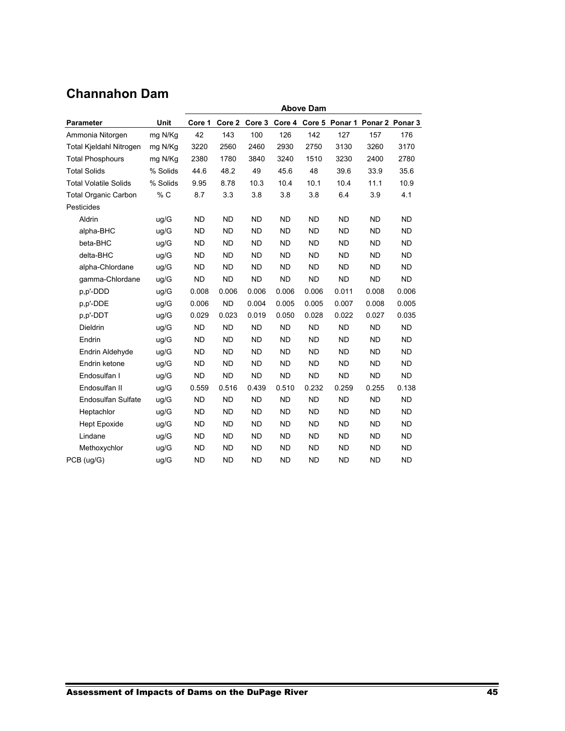## **Channahon Dam**

|                              |          | <b>Above Dam</b> |           |           |           |           |           |                                       |           |
|------------------------------|----------|------------------|-----------|-----------|-----------|-----------|-----------|---------------------------------------|-----------|
| <b>Parameter</b>             | Unit     | Core 1           | Core 2    | Core 3    |           |           |           | Core 4 Core 5 Ponar 1 Ponar 2 Ponar 3 |           |
| Ammonia Nitorgen             | mg N/Kg  | 42               | 143       | 100       | 126       | 142       | 127       | 157                                   | 176       |
| Total Kjeldahl Nitrogen      | mg N/Kg  | 3220             | 2560      | 2460      | 2930      | 2750      | 3130      | 3260                                  | 3170      |
| <b>Total Phosphours</b>      | mg N/Kg  | 2380             | 1780      | 3840      | 3240      | 1510      | 3230      | 2400                                  | 2780      |
| <b>Total Solids</b>          | % Solids | 44.6             | 48.2      | 49        | 45.6      | 48        | 39.6      | 33.9                                  | 35.6      |
| <b>Total Volatile Solids</b> | % Solids | 9.95             | 8.78      | 10.3      | 10.4      | 10.1      | 10.4      | 11.1                                  | 10.9      |
| <b>Total Organic Carbon</b>  | % C      | 8.7              | 3.3       | 3.8       | 3.8       | 3.8       | 6.4       | 3.9                                   | 4.1       |
| Pesticides                   |          |                  |           |           |           |           |           |                                       |           |
| Aldrin                       | ug/G     | <b>ND</b>        | <b>ND</b> | <b>ND</b> | <b>ND</b> | <b>ND</b> | <b>ND</b> | <b>ND</b>                             | <b>ND</b> |
| alpha-BHC                    | ug/G     | <b>ND</b>        | <b>ND</b> | <b>ND</b> | <b>ND</b> | <b>ND</b> | <b>ND</b> | <b>ND</b>                             | <b>ND</b> |
| beta-BHC                     | uq/G     | <b>ND</b>        | <b>ND</b> | <b>ND</b> | <b>ND</b> | <b>ND</b> | <b>ND</b> | <b>ND</b>                             | <b>ND</b> |
| delta-BHC                    | uq/G     | <b>ND</b>        | <b>ND</b> | <b>ND</b> | <b>ND</b> | <b>ND</b> | <b>ND</b> | <b>ND</b>                             | <b>ND</b> |
| alpha-Chlordane              | ug/G     | <b>ND</b>        | <b>ND</b> | <b>ND</b> | <b>ND</b> | <b>ND</b> | <b>ND</b> | <b>ND</b>                             | <b>ND</b> |
| gamma-Chlordane              | ug/G     | <b>ND</b>        | <b>ND</b> | <b>ND</b> | <b>ND</b> | <b>ND</b> | <b>ND</b> | <b>ND</b>                             | <b>ND</b> |
| p.p'-DDD                     | uq/G     | 0.008            | 0.006     | 0.006     | 0.006     | 0.006     | 0.011     | 0.008                                 | 0.006     |
| p,p'-DDE                     | uq/G     | 0.006            | <b>ND</b> | 0.004     | 0.005     | 0.005     | 0.007     | 0.008                                 | 0.005     |
| p,p'-DDT                     | uq/G     | 0.029            | 0.023     | 0.019     | 0.050     | 0.028     | 0.022     | 0.027                                 | 0.035     |
| Dieldrin                     | ug/G     | <b>ND</b>        | <b>ND</b> | <b>ND</b> | <b>ND</b> | <b>ND</b> | <b>ND</b> | <b>ND</b>                             | <b>ND</b> |
| Endrin                       | ug/G     | <b>ND</b>        | <b>ND</b> | <b>ND</b> | <b>ND</b> | <b>ND</b> | <b>ND</b> | <b>ND</b>                             | <b>ND</b> |
| Endrin Aldehyde              | ug/G     | <b>ND</b>        | <b>ND</b> | <b>ND</b> | <b>ND</b> | <b>ND</b> | <b>ND</b> | <b>ND</b>                             | <b>ND</b> |
| Endrin ketone                | uq/G     | <b>ND</b>        | <b>ND</b> | <b>ND</b> | <b>ND</b> | <b>ND</b> | <b>ND</b> | <b>ND</b>                             | <b>ND</b> |
| Endosulfan I                 | ug/G     | <b>ND</b>        | <b>ND</b> | <b>ND</b> | <b>ND</b> | <b>ND</b> | <b>ND</b> | <b>ND</b>                             | <b>ND</b> |
| Endosulfan II                | ug/G     | 0.559            | 0.516     | 0.439     | 0.510     | 0.232     | 0.259     | 0.255                                 | 0.138     |
| <b>Endosulfan Sulfate</b>    | ug/G     | <b>ND</b>        | <b>ND</b> | <b>ND</b> | <b>ND</b> | <b>ND</b> | <b>ND</b> | <b>ND</b>                             | <b>ND</b> |
| Heptachlor                   | uq/G     | <b>ND</b>        | <b>ND</b> | <b>ND</b> | <b>ND</b> | <b>ND</b> | <b>ND</b> | <b>ND</b>                             | <b>ND</b> |
| <b>Hept Epoxide</b>          | uq/G     | <b>ND</b>        | <b>ND</b> | <b>ND</b> | <b>ND</b> | <b>ND</b> | <b>ND</b> | <b>ND</b>                             | <b>ND</b> |
| Lindane                      | ug/G     | <b>ND</b>        | <b>ND</b> | <b>ND</b> | <b>ND</b> | <b>ND</b> | <b>ND</b> | <b>ND</b>                             | <b>ND</b> |
| Methoxychlor                 | uq/G     | <b>ND</b>        | <b>ND</b> | <b>ND</b> | <b>ND</b> | ND        | ND        | <b>ND</b>                             | <b>ND</b> |
| PCB (ug/G)                   | uq/G     | <b>ND</b>        | <b>ND</b> | <b>ND</b> | <b>ND</b> | <b>ND</b> | <b>ND</b> | <b>ND</b>                             | <b>ND</b> |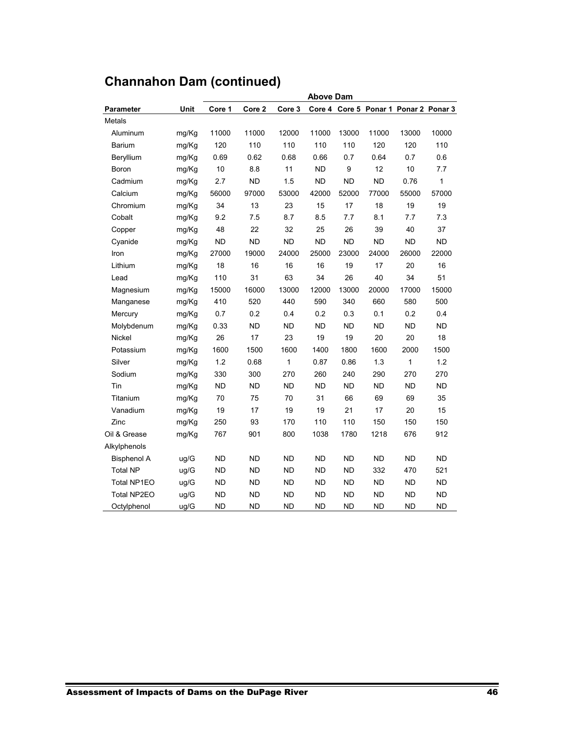|                    |       | <b>Above Dam</b> |           |           |           |           |           |                                       |              |  |
|--------------------|-------|------------------|-----------|-----------|-----------|-----------|-----------|---------------------------------------|--------------|--|
| <b>Parameter</b>   | Unit  | Core 1           | Core 2    | Core 3    |           |           |           | Core 4 Core 5 Ponar 1 Ponar 2 Ponar 3 |              |  |
| Metals             |       |                  |           |           |           |           |           |                                       |              |  |
| Aluminum           | mg/Kg | 11000            | 11000     | 12000     | 11000     | 13000     | 11000     | 13000                                 | 10000        |  |
| Barium             | mg/Kg | 120              | 110       | 110       | 110       | 110       | 120       | 120                                   | 110          |  |
| Beryllium          | mg/Kg | 0.69             | 0.62      | 0.68      | 0.66      | 0.7       | 0.64      | 0.7                                   | 0.6          |  |
| Boron              | mg/Kg | 10               | 8.8       | 11        | <b>ND</b> | 9         | 12        | 10                                    | 7.7          |  |
| Cadmium            | mg/Kg | 2.7              | <b>ND</b> | 1.5       | <b>ND</b> | <b>ND</b> | <b>ND</b> | 0.76                                  | $\mathbf{1}$ |  |
| Calcium            | mg/Kg | 56000            | 97000     | 53000     | 42000     | 52000     | 77000     | 55000                                 | 57000        |  |
| Chromium           | mg/Kg | 34               | 13        | 23        | 15        | 17        | 18        | 19                                    | 19           |  |
| Cobalt             | mg/Kg | 9.2              | 7.5       | 8.7       | 8.5       | 7.7       | 8.1       | 7.7                                   | 7.3          |  |
| Copper             | mg/Kg | 48               | 22        | 32        | 25        | 26        | 39        | 40                                    | 37           |  |
| Cyanide            | mg/Kg | <b>ND</b>        | <b>ND</b> | <b>ND</b> | <b>ND</b> | <b>ND</b> | <b>ND</b> | <b>ND</b>                             | <b>ND</b>    |  |
| Iron               | mg/Kg | 27000            | 19000     | 24000     | 25000     | 23000     | 24000     | 26000                                 | 22000        |  |
| Lithium            | mg/Kg | 18               | 16        | 16        | 16        | 19        | 17        | 20                                    | 16           |  |
| Lead               | mg/Kg | 110              | 31        | 63        | 34        | 26        | 40        | 34                                    | 51           |  |
| Magnesium          | mg/Kg | 15000            | 16000     | 13000     | 12000     | 13000     | 20000     | 17000                                 | 15000        |  |
| Manganese          | mg/Kg | 410              | 520       | 440       | 590       | 340       | 660       | 580                                   | 500          |  |
| Mercury            | mg/Kg | 0.7              | 0.2       | 0.4       | 0.2       | 0.3       | 0.1       | 0.2                                   | 0.4          |  |
| Molybdenum         | mg/Kg | 0.33             | <b>ND</b> | <b>ND</b> | <b>ND</b> | <b>ND</b> | <b>ND</b> | <b>ND</b>                             | <b>ND</b>    |  |
| Nickel             | mg/Kg | 26               | 17        | 23        | 19        | 19        | 20        | 20                                    | 18           |  |
| Potassium          | mg/Kg | 1600             | 1500      | 1600      | 1400      | 1800      | 1600      | 2000                                  | 1500         |  |
| Silver             | mg/Kg | 1.2              | 0.68      | 1         | 0.87      | 0.86      | 1.3       | $\mathbf{1}$                          | 1.2          |  |
| Sodium             | mg/Kg | 330              | 300       | 270       | 260       | 240       | 290       | 270                                   | 270          |  |
| Tin                | mg/Kg | <b>ND</b>        | ND        | <b>ND</b> | <b>ND</b> | ND        | ND        | ND                                    | <b>ND</b>    |  |
| Titanium           | mg/Kg | 70               | 75        | 70        | 31        | 66        | 69        | 69                                    | 35           |  |
| Vanadium           | mg/Kg | 19               | 17        | 19        | 19        | 21        | 17        | 20                                    | 15           |  |
| Zinc               | mg/Kg | 250              | 93        | 170       | 110       | 110       | 150       | 150                                   | 150          |  |
| Oil & Grease       | mg/Kg | 767              | 901       | 800       | 1038      | 1780      | 1218      | 676                                   | 912          |  |
| Alkylphenols       |       |                  |           |           |           |           |           |                                       |              |  |
| <b>Bisphenol A</b> | ug/G  | <b>ND</b>        | <b>ND</b> | <b>ND</b> | <b>ND</b> | <b>ND</b> | <b>ND</b> | <b>ND</b>                             | <b>ND</b>    |  |
| <b>Total NP</b>    | ug/G  | <b>ND</b>        | <b>ND</b> | <b>ND</b> | <b>ND</b> | <b>ND</b> | 332       | 470                                   | 521          |  |
| Total NP1EO        | ug/G  | <b>ND</b>        | <b>ND</b> | <b>ND</b> | <b>ND</b> | <b>ND</b> | <b>ND</b> | <b>ND</b>                             | <b>ND</b>    |  |
| Total NP2EO        | ug/G  | <b>ND</b>        | <b>ND</b> | <b>ND</b> | <b>ND</b> | <b>ND</b> | <b>ND</b> | <b>ND</b>                             | <b>ND</b>    |  |
| Octylphenol        | ug/G  | <b>ND</b>        | <b>ND</b> | <b>ND</b> | <b>ND</b> | <b>ND</b> | <b>ND</b> | <b>ND</b>                             | <b>ND</b>    |  |

# **Channahon Dam (continued)**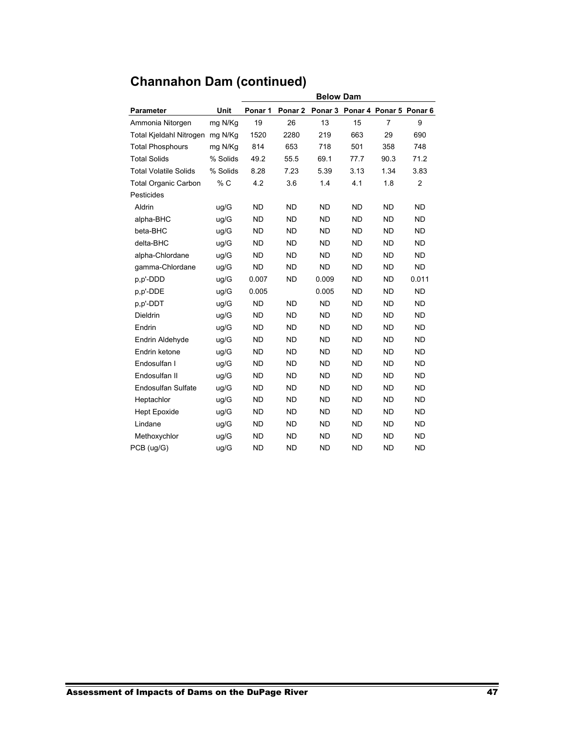|                              |          |           |           | <b>Below Dam</b> |           |                                 |           |
|------------------------------|----------|-----------|-----------|------------------|-----------|---------------------------------|-----------|
| <b>Parameter</b>             | Unit     | Ponar 1   | Ponar 2   |                  |           | Ponar 3 Ponar 4 Ponar 5 Ponar 6 |           |
| Ammonia Nitorgen             | mg N/Kg  | 19        | 26        | 13               | 15        | $\overline{7}$                  | 9         |
| Total Kjeldahl Nitrogen      | mg N/Kg  | 1520      | 2280      | 219              | 663       | 29                              | 690       |
| <b>Total Phosphours</b>      | mg N/Kg  | 814       | 653       | 718              | 501       | 358                             | 748       |
| <b>Total Solids</b>          | % Solids | 49.2      | 55.5      | 69.1             | 77.7      | 90.3                            | 71.2      |
| <b>Total Volatile Solids</b> | % Solids | 8.28      | 7.23      | 5.39             | 3.13      | 1.34                            | 3.83      |
| <b>Total Organic Carbon</b>  | % C      | 4.2       | 3.6       | 1.4              | 4.1       | 1.8                             | 2         |
| Pesticides                   |          |           |           |                  |           |                                 |           |
| Aldrin                       | uq/G     | <b>ND</b> | <b>ND</b> | <b>ND</b>        | <b>ND</b> | <b>ND</b>                       | <b>ND</b> |
| alpha-BHC                    | uq/G     | <b>ND</b> | <b>ND</b> | <b>ND</b>        | <b>ND</b> | <b>ND</b>                       | <b>ND</b> |
| beta-BHC                     | ug/G     | <b>ND</b> | <b>ND</b> | <b>ND</b>        | <b>ND</b> | <b>ND</b>                       | <b>ND</b> |
| delta-BHC                    | ug/G     | <b>ND</b> | <b>ND</b> | <b>ND</b>        | <b>ND</b> | <b>ND</b>                       | <b>ND</b> |
| alpha-Chlordane              | ug/G     | <b>ND</b> | <b>ND</b> | <b>ND</b>        | <b>ND</b> | <b>ND</b>                       | ND.       |
| gamma-Chlordane              | ug/G     | <b>ND</b> | <b>ND</b> | <b>ND</b>        | <b>ND</b> | <b>ND</b>                       | <b>ND</b> |
| p,p'-DDD                     | ug/G     | 0.007     | <b>ND</b> | 0.009            | <b>ND</b> | <b>ND</b>                       | 0.011     |
| p,p'-DDE                     | ug/G     | 0.005     |           | 0.005            | <b>ND</b> | <b>ND</b>                       | <b>ND</b> |
| p,p'-DDT                     | ug/G     | <b>ND</b> | <b>ND</b> | <b>ND</b>        | <b>ND</b> | <b>ND</b>                       | ND.       |
| <b>Dieldrin</b>              | uq/G     | <b>ND</b> | <b>ND</b> | <b>ND</b>        | <b>ND</b> | <b>ND</b>                       | <b>ND</b> |
| Endrin                       | uq/G     | <b>ND</b> | <b>ND</b> | <b>ND</b>        | <b>ND</b> | <b>ND</b>                       | <b>ND</b> |
| Endrin Aldehyde              | uq/G     | <b>ND</b> | <b>ND</b> | <b>ND</b>        | <b>ND</b> | <b>ND</b>                       | <b>ND</b> |
| Endrin ketone                | uq/G     | <b>ND</b> | <b>ND</b> | <b>ND</b>        | <b>ND</b> | <b>ND</b>                       | ND        |
| Endosulfan I                 | uq/G     | <b>ND</b> | <b>ND</b> | <b>ND</b>        | <b>ND</b> | <b>ND</b>                       | <b>ND</b> |
| Endosulfan II                | uq/G     | <b>ND</b> | <b>ND</b> | <b>ND</b>        | <b>ND</b> | <b>ND</b>                       | <b>ND</b> |
| <b>Endosulfan Sulfate</b>    | uq/G     | <b>ND</b> | <b>ND</b> | <b>ND</b>        | <b>ND</b> | <b>ND</b>                       | <b>ND</b> |
| Heptachlor                   | uq/G     | <b>ND</b> | <b>ND</b> | <b>ND</b>        | <b>ND</b> | <b>ND</b>                       | <b>ND</b> |
| <b>Hept Epoxide</b>          | uq/G     | <b>ND</b> | <b>ND</b> | <b>ND</b>        | <b>ND</b> | <b>ND</b>                       | <b>ND</b> |
| Lindane                      | ug/G     | <b>ND</b> | <b>ND</b> | <b>ND</b>        | <b>ND</b> | <b>ND</b>                       | <b>ND</b> |
| Methoxychlor                 | ug/G     | <b>ND</b> | <b>ND</b> | <b>ND</b>        | <b>ND</b> | <b>ND</b>                       | <b>ND</b> |
| PCB (uq/G)                   | uq/G     | <b>ND</b> | <b>ND</b> | <b>ND</b>        | <b>ND</b> | <b>ND</b>                       | <b>ND</b> |

# **Channahon Dam (continued)**